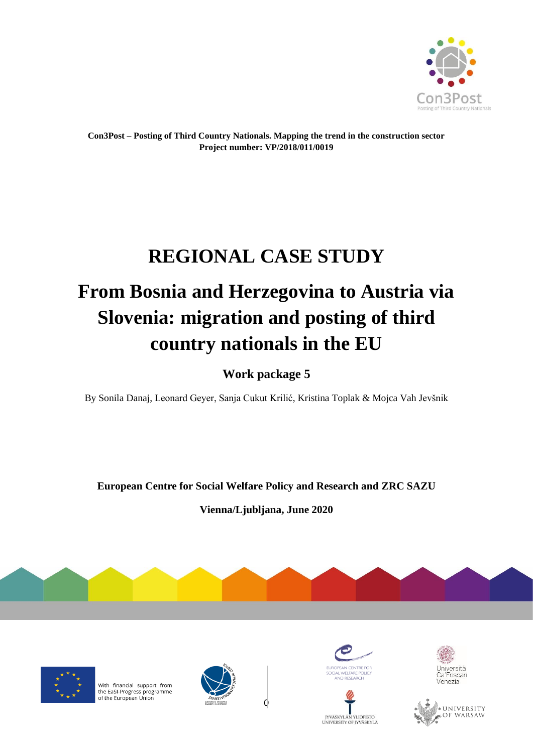

**Con3Post – Posting of Third Country Nationals. Mapping the trend in the construction sector Project number: VP/2018/011/0019**

# **REGIONAL CASE STUDY**

# **From Bosnia and Herzegovina to Austria via Slovenia: migration and posting of third country nationals in the EU**

**Work package 5**

By Sonila Danaj, Leonard Geyer, Sanja Cukut Krilić, Kristina Toplak & Mojca Vah Jevšnik

**European Centre for Social Welfare Policy and Research and ZRC SAZU**

**Vienna/Ljubljana, June 2020**





With financial support from the EaSI-Progress programme<br>of the European Union









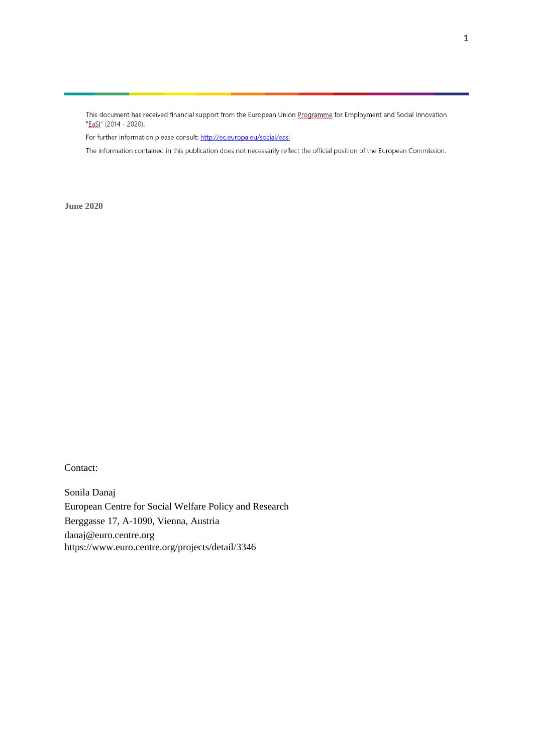This document has received financial support from the European Union Programme for Employment and Social Innovation "Easl" (2014 - 2020).

For further information please consult: http://ec.europa.eu/social/easi

The information contained in this publication does not necessarily reflect the official position of the European Commission.

**June 2020**

Contact:

Sonila Danaj European Centre for Social Welfare Policy and Research Berggasse 17, A-1090, Vienna, Austria danaj@euro.centre.org https://www.euro.centre.org/projects/detail/3346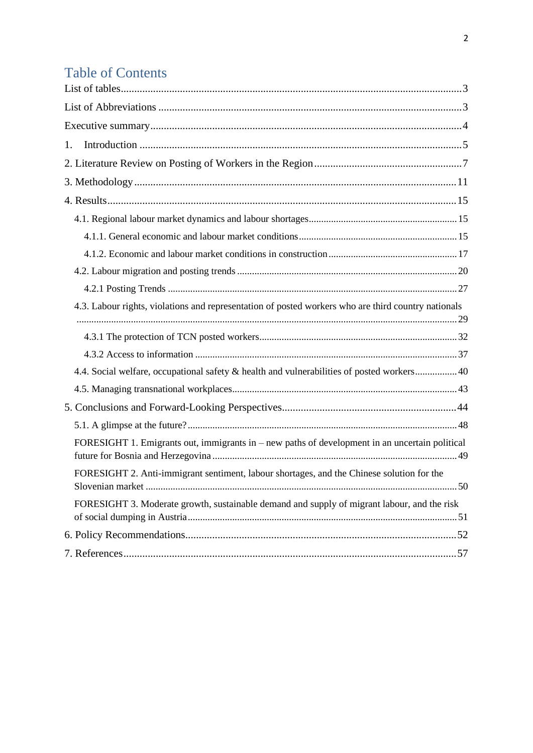# **Table of Contents**

| 1.                                                                                                  |  |
|-----------------------------------------------------------------------------------------------------|--|
|                                                                                                     |  |
|                                                                                                     |  |
|                                                                                                     |  |
|                                                                                                     |  |
|                                                                                                     |  |
|                                                                                                     |  |
|                                                                                                     |  |
|                                                                                                     |  |
| 4.3. Labour rights, violations and representation of posted workers who are third country nationals |  |
|                                                                                                     |  |
|                                                                                                     |  |
|                                                                                                     |  |
| 4.4. Social welfare, occupational safety & health and vulnerabilities of posted workers 40          |  |
|                                                                                                     |  |
|                                                                                                     |  |
|                                                                                                     |  |
| FORESIGHT 1. Emigrants out, immigrants in – new paths of development in an uncertain political      |  |
| FORESIGHT 2. Anti-immigrant sentiment, labour shortages, and the Chinese solution for the           |  |
| FORESIGHT 3. Moderate growth, sustainable demand and supply of migrant labour, and the risk         |  |
|                                                                                                     |  |
|                                                                                                     |  |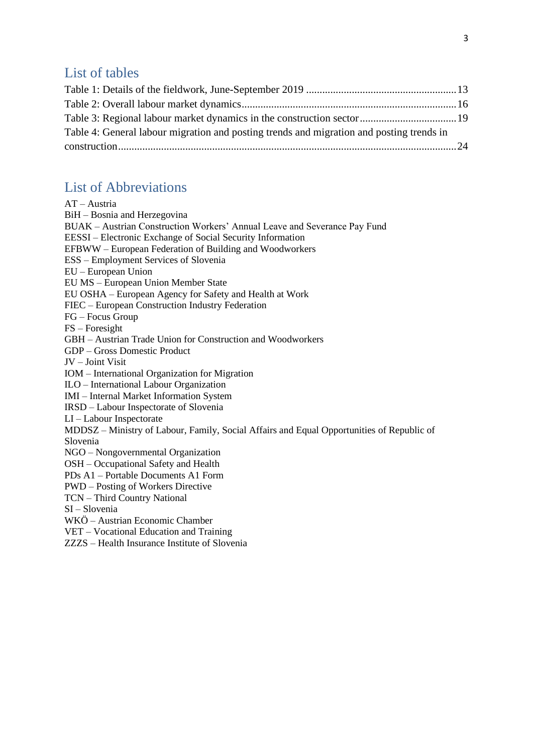## <span id="page-3-0"></span>List of tables

| Table 4: General labour migration and posting trends and migration and posting trends in |  |
|------------------------------------------------------------------------------------------|--|
|                                                                                          |  |
|                                                                                          |  |

## <span id="page-3-1"></span>List of Abbreviations

| AT - Austria                                                                              |
|-------------------------------------------------------------------------------------------|
| BiH - Bosnia and Herzegovina                                                              |
| BUAK - Austrian Construction Workers' Annual Leave and Severance Pay Fund                 |
| EESSI - Electronic Exchange of Social Security Information                                |
| EFBWW – European Federation of Building and Woodworkers                                   |
| <b>ESS</b> – Employment Services of Slovenia                                              |
| EU - European Union                                                                       |
| EU MS - European Union Member State                                                       |
| EU OSHA – European Agency for Safety and Health at Work                                   |
| FIEC - European Construction Industry Federation                                          |
| FG - Focus Group                                                                          |
| $FS - Foresight$                                                                          |
| GBH - Austrian Trade Union for Construction and Woodworkers                               |
| <b>GDP</b> – Gross Domestic Product                                                       |
| JV - Joint Visit                                                                          |
| IOM - International Organization for Migration                                            |
| ILO - International Labour Organization                                                   |
| <b>IMI</b> - Internal Market Information System                                           |
| IRSD - Labour Inspectorate of Slovenia                                                    |
| LI-Labour Inspectorate                                                                    |
| MDDSZ - Ministry of Labour, Family, Social Affairs and Equal Opportunities of Republic of |
| Slovenia                                                                                  |
| NGO - Nongovernmental Organization                                                        |
| OSH – Occupational Safety and Health                                                      |
| PDs A1 - Portable Documents A1 Form                                                       |
| <b>PWD</b> – Posting of Workers Directive                                                 |
| <b>TCN</b> - Third Country National                                                       |
| SI-Slovenia                                                                               |
| WKÖ - Austrian Economic Chamber                                                           |

- VET Vocational Education and Training
- ZZZS Health Insurance Institute of Slovenia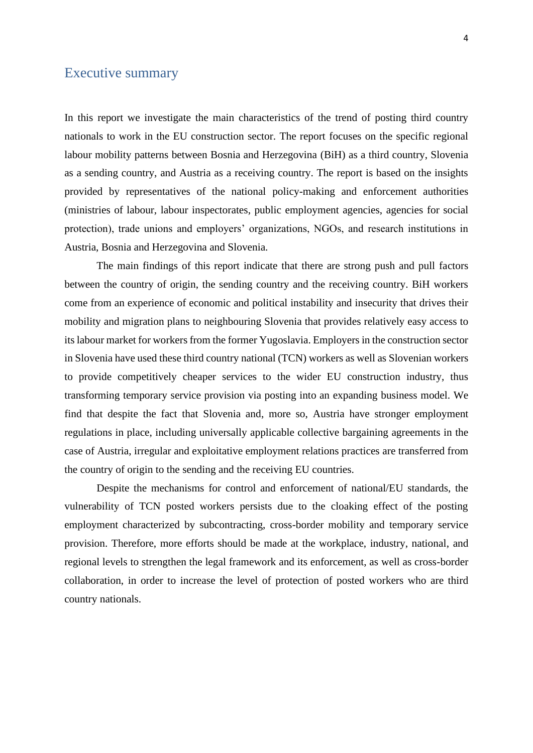### <span id="page-4-0"></span>Executive summary

In this report we investigate the main characteristics of the trend of posting third country nationals to work in the EU construction sector. The report focuses on the specific regional labour mobility patterns between Bosnia and Herzegovina (BiH) as a third country, Slovenia as a sending country, and Austria as a receiving country. The report is based on the insights provided by representatives of the national policy-making and enforcement authorities (ministries of labour, labour inspectorates, public employment agencies, agencies for social protection), trade unions and employers' organizations, NGOs, and research institutions in Austria, Bosnia and Herzegovina and Slovenia.

The main findings of this report indicate that there are strong push and pull factors between the country of origin, the sending country and the receiving country. BiH workers come from an experience of economic and political instability and insecurity that drives their mobility and migration plans to neighbouring Slovenia that provides relatively easy access to its labour market for workers from the former Yugoslavia. Employers in the construction sector in Slovenia have used these third country national (TCN) workers as well as Slovenian workers to provide competitively cheaper services to the wider EU construction industry, thus transforming temporary service provision via posting into an expanding business model. We find that despite the fact that Slovenia and, more so, Austria have stronger employment regulations in place, including universally applicable collective bargaining agreements in the case of Austria, irregular and exploitative employment relations practices are transferred from the country of origin to the sending and the receiving EU countries.

Despite the mechanisms for control and enforcement of national/EU standards, the vulnerability of TCN posted workers persists due to the cloaking effect of the posting employment characterized by subcontracting, cross-border mobility and temporary service provision. Therefore, more efforts should be made at the workplace, industry, national, and regional levels to strengthen the legal framework and its enforcement, as well as cross-border collaboration, in order to increase the level of protection of posted workers who are third country nationals.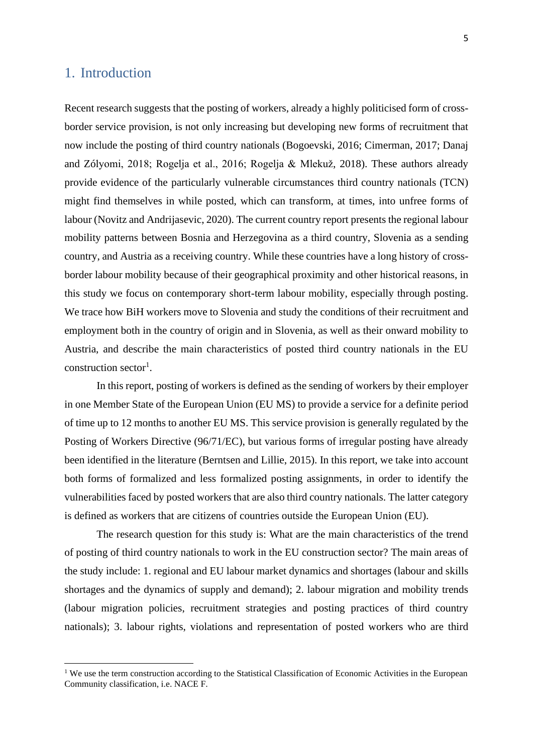### <span id="page-5-0"></span>1. Introduction

Recent research suggests that the posting of workers, already a highly politicised form of crossborder service provision, is not only increasing but developing new forms of recruitment that now include the posting of third country nationals (Bogoevski, 2016; Cimerman, 2017; Danaj and Zólyomi, 2018; Rogelja et al., 2016; Rogelja & Mlekuž, 2018). These authors already provide evidence of the particularly vulnerable circumstances third country nationals (TCN) might find themselves in while posted, which can transform, at times, into unfree forms of labour (Novitz and Andrijasevic, 2020). The current country report presents the regional labour mobility patterns between Bosnia and Herzegovina as a third country, Slovenia as a sending country, and Austria as a receiving country. While these countries have a long history of crossborder labour mobility because of their geographical proximity and other historical reasons, in this study we focus on contemporary short-term labour mobility, especially through posting. We trace how BiH workers move to Slovenia and study the conditions of their recruitment and employment both in the country of origin and in Slovenia, as well as their onward mobility to Austria, and describe the main characteristics of posted third country nationals in the EU construction sector<sup>1</sup>.

In this report, posting of workers is defined as the sending of workers by their employer in one Member State of the European Union (EU MS) to provide a service for a definite period of time up to 12 months to another EU MS. This service provision is generally regulated by the Posting of Workers Directive (96/71/EC), but various forms of irregular posting have already been identified in the literature (Berntsen and Lillie, 2015). In this report, we take into account both forms of formalized and less formalized posting assignments, in order to identify the vulnerabilities faced by posted workers that are also third country nationals. The latter category is defined as workers that are citizens of countries outside the European Union (EU).

The research question for this study is: What are the main characteristics of the trend of posting of third country nationals to work in the EU construction sector? The main areas of the study include: 1. regional and EU labour market dynamics and shortages (labour and skills shortages and the dynamics of supply and demand); 2. labour migration and mobility trends (labour migration policies, recruitment strategies and posting practices of third country nationals); 3. labour rights, violations and representation of posted workers who are third

<sup>&</sup>lt;sup>1</sup> We use the term construction according to the Statistical Classification of Economic Activities in the European Community classification, i.e. NACE F.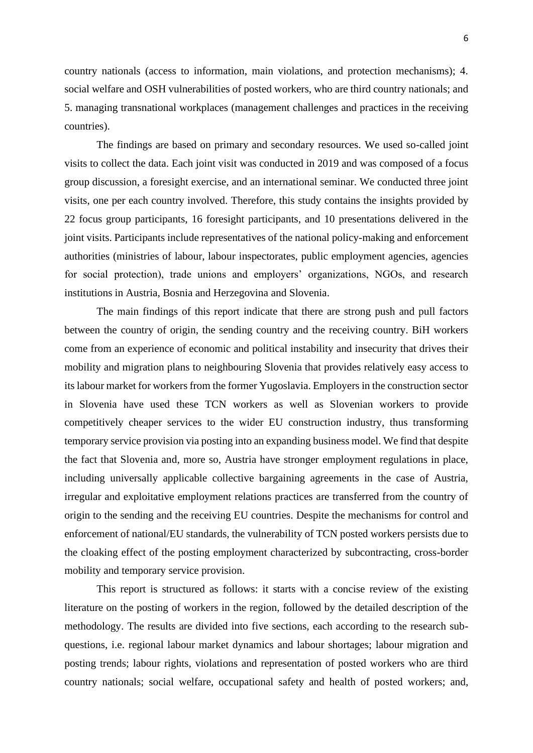6

country nationals (access to information, main violations, and protection mechanisms); 4. social welfare and OSH vulnerabilities of posted workers, who are third country nationals; and 5. managing transnational workplaces (management challenges and practices in the receiving countries).

The findings are based on primary and secondary resources. We used so-called joint visits to collect the data. Each joint visit was conducted in 2019 and was composed of a focus group discussion, a foresight exercise, and an international seminar. We conducted three joint visits, one per each country involved. Therefore, this study contains the insights provided by 22 focus group participants, 16 foresight participants, and 10 presentations delivered in the joint visits. Participants include representatives of the national policy-making and enforcement authorities (ministries of labour, labour inspectorates, public employment agencies, agencies for social protection), trade unions and employers' organizations, NGOs, and research institutions in Austria, Bosnia and Herzegovina and Slovenia.

The main findings of this report indicate that there are strong push and pull factors between the country of origin, the sending country and the receiving country. BiH workers come from an experience of economic and political instability and insecurity that drives their mobility and migration plans to neighbouring Slovenia that provides relatively easy access to its labour market for workers from the former Yugoslavia. Employers in the construction sector in Slovenia have used these TCN workers as well as Slovenian workers to provide competitively cheaper services to the wider EU construction industry, thus transforming temporary service provision via posting into an expanding business model. We find that despite the fact that Slovenia and, more so, Austria have stronger employment regulations in place, including universally applicable collective bargaining agreements in the case of Austria, irregular and exploitative employment relations practices are transferred from the country of origin to the sending and the receiving EU countries. Despite the mechanisms for control and enforcement of national/EU standards, the vulnerability of TCN posted workers persists due to the cloaking effect of the posting employment characterized by subcontracting, cross-border mobility and temporary service provision.

This report is structured as follows: it starts with a concise review of the existing literature on the posting of workers in the region, followed by the detailed description of the methodology. The results are divided into five sections, each according to the research subquestions, i.e. regional labour market dynamics and labour shortages; labour migration and posting trends; labour rights, violations and representation of posted workers who are third country nationals; social welfare, occupational safety and health of posted workers; and,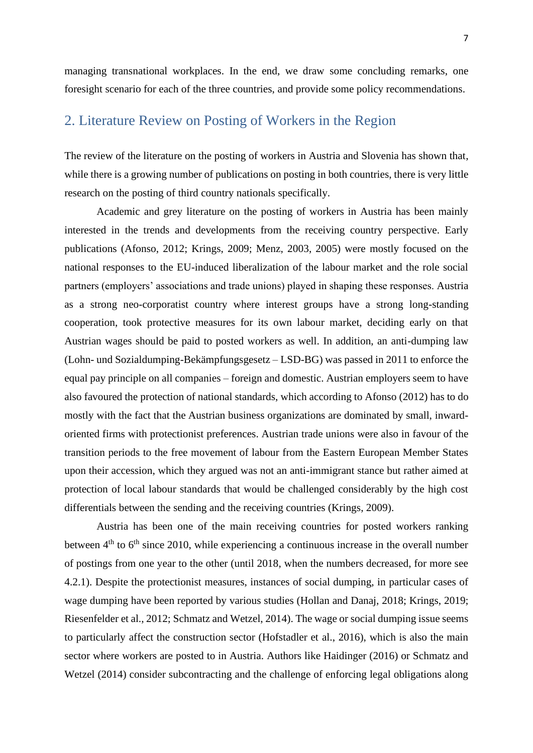managing transnational workplaces. In the end, we draw some concluding remarks, one foresight scenario for each of the three countries, and provide some policy recommendations.

### <span id="page-7-0"></span>2. Literature Review on Posting of Workers in the Region

The review of the literature on the posting of workers in Austria and Slovenia has shown that, while there is a growing number of publications on posting in both countries, there is very little research on the posting of third country nationals specifically.

Academic and grey literature on the posting of workers in Austria has been mainly interested in the trends and developments from the receiving country perspective. Early publications (Afonso, 2012; Krings, 2009; Menz, 2003, 2005) were mostly focused on the national responses to the EU-induced liberalization of the labour market and the role social partners (employers' associations and trade unions) played in shaping these responses. Austria as a strong neo-corporatist country where interest groups have a strong long-standing cooperation, took protective measures for its own labour market, deciding early on that Austrian wages should be paid to posted workers as well. In addition, an anti-dumping law (Lohn- und Sozialdumping-Bekämpfungsgesetz – LSD-BG) was passed in 2011 to enforce the equal pay principle on all companies – foreign and domestic. Austrian employers seem to have also favoured the protection of national standards, which according to Afonso (2012) has to do mostly with the fact that the Austrian business organizations are dominated by small, inwardoriented firms with protectionist preferences. Austrian trade unions were also in favour of the transition periods to the free movement of labour from the Eastern European Member States upon their accession, which they argued was not an anti-immigrant stance but rather aimed at protection of local labour standards that would be challenged considerably by the high cost differentials between the sending and the receiving countries (Krings, 2009).

Austria has been one of the main receiving countries for posted workers ranking between  $4<sup>th</sup>$  to  $6<sup>th</sup>$  since 2010, while experiencing a continuous increase in the overall number of postings from one year to the other (until 2018, when the numbers decreased, for more see 4.2.1). Despite the protectionist measures, instances of social dumping, in particular cases of wage dumping have been reported by various studies (Hollan and Danaj, 2018; Krings, 2019; Riesenfelder et al., 2012; Schmatz and Wetzel, 2014). The wage or social dumping issue seems to particularly affect the construction sector (Hofstadler et al., 2016), which is also the main sector where workers are posted to in Austria. Authors like Haidinger (2016) or Schmatz and Wetzel (2014) consider subcontracting and the challenge of enforcing legal obligations along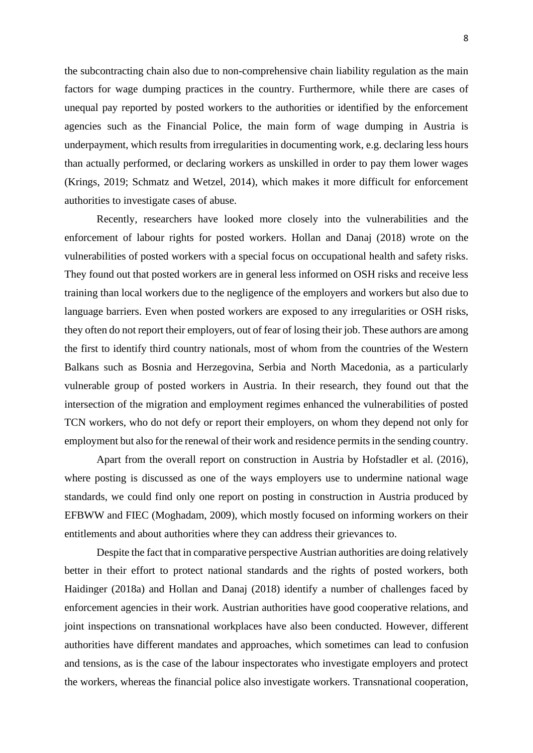the subcontracting chain also due to non-comprehensive chain liability regulation as the main factors for wage dumping practices in the country. Furthermore, while there are cases of unequal pay reported by posted workers to the authorities or identified by the enforcement agencies such as the Financial Police, the main form of wage dumping in Austria is underpayment, which results from irregularities in documenting work, e.g. declaring less hours than actually performed, or declaring workers as unskilled in order to pay them lower wages (Krings, 2019; Schmatz and Wetzel, 2014), which makes it more difficult for enforcement authorities to investigate cases of abuse.

Recently, researchers have looked more closely into the vulnerabilities and the enforcement of labour rights for posted workers. Hollan and Danaj (2018) wrote on the vulnerabilities of posted workers with a special focus on occupational health and safety risks. They found out that posted workers are in general less informed on OSH risks and receive less training than local workers due to the negligence of the employers and workers but also due to language barriers. Even when posted workers are exposed to any irregularities or OSH risks, they often do not report their employers, out of fear of losing their job. These authors are among the first to identify third country nationals, most of whom from the countries of the Western Balkans such as Bosnia and Herzegovina, Serbia and North Macedonia, as a particularly vulnerable group of posted workers in Austria. In their research, they found out that the intersection of the migration and employment regimes enhanced the vulnerabilities of posted TCN workers, who do not defy or report their employers, on whom they depend not only for employment but also for the renewal of their work and residence permits in the sending country.

Apart from the overall report on construction in Austria by Hofstadler et al. (2016), where posting is discussed as one of the ways employers use to undermine national wage standards, we could find only one report on posting in construction in Austria produced by EFBWW and FIEC (Moghadam, 2009), which mostly focused on informing workers on their entitlements and about authorities where they can address their grievances to.

Despite the fact that in comparative perspective Austrian authorities are doing relatively better in their effort to protect national standards and the rights of posted workers, both Haidinger (2018a) and Hollan and Danaj (2018) identify a number of challenges faced by enforcement agencies in their work. Austrian authorities have good cooperative relations, and joint inspections on transnational workplaces have also been conducted. However, different authorities have different mandates and approaches, which sometimes can lead to confusion and tensions, as is the case of the labour inspectorates who investigate employers and protect the workers, whereas the financial police also investigate workers. Transnational cooperation,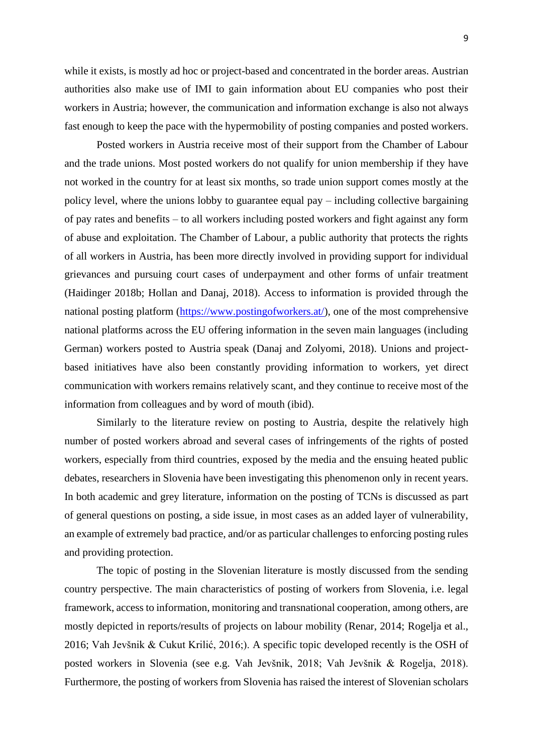while it exists, is mostly ad hoc or project-based and concentrated in the border areas. Austrian authorities also make use of IMI to gain information about EU companies who post their workers in Austria; however, the communication and information exchange is also not always fast enough to keep the pace with the hypermobility of posting companies and posted workers.

Posted workers in Austria receive most of their support from the Chamber of Labour and the trade unions. Most posted workers do not qualify for union membership if they have not worked in the country for at least six months, so trade union support comes mostly at the policy level, where the unions lobby to guarantee equal pay – including collective bargaining of pay rates and benefits – to all workers including posted workers and fight against any form of abuse and exploitation. The Chamber of Labour, a public authority that protects the rights of all workers in Austria, has been more directly involved in providing support for individual grievances and pursuing court cases of underpayment and other forms of unfair treatment (Haidinger 2018b; Hollan and Danaj, 2018). Access to information is provided through the national posting platform [\(https://www.postingofworkers.at/\)](https://www.postingofworkers.at/), one of the most comprehensive national platforms across the EU offering information in the seven main languages (including German) workers posted to Austria speak (Danaj and Zolyomi, 2018). Unions and projectbased initiatives have also been constantly providing information to workers, yet direct communication with workers remains relatively scant, and they continue to receive most of the information from colleagues and by word of mouth (ibid).

Similarly to the literature review on posting to Austria, despite the relatively high number of posted workers abroad and several cases of infringements of the rights of posted workers, especially from third countries, exposed by the media and the ensuing heated public debates, researchers in Slovenia have been investigating this phenomenon only in recent years. In both academic and grey literature, information on the posting of TCNs is discussed as part of general questions on posting, a side issue, in most cases as an added layer of vulnerability, an example of extremely bad practice, and/or as particular challenges to enforcing posting rules and providing protection.

The topic of posting in the Slovenian literature is mostly discussed from the sending country perspective. The main characteristics of posting of workers from Slovenia, i.e. legal framework, access to information, monitoring and transnational cooperation, among others, are mostly depicted in reports/results of projects on labour mobility (Renar, 2014; Rogelja et al., 2016; Vah Jevšnik & Cukut Krilić, 2016;). A specific topic developed recently is the OSH of posted workers in Slovenia (see e.g. Vah Jevšnik, 2018; Vah Jevšnik & Rogelja, 2018). Furthermore, the posting of workers from Slovenia has raised the interest of Slovenian scholars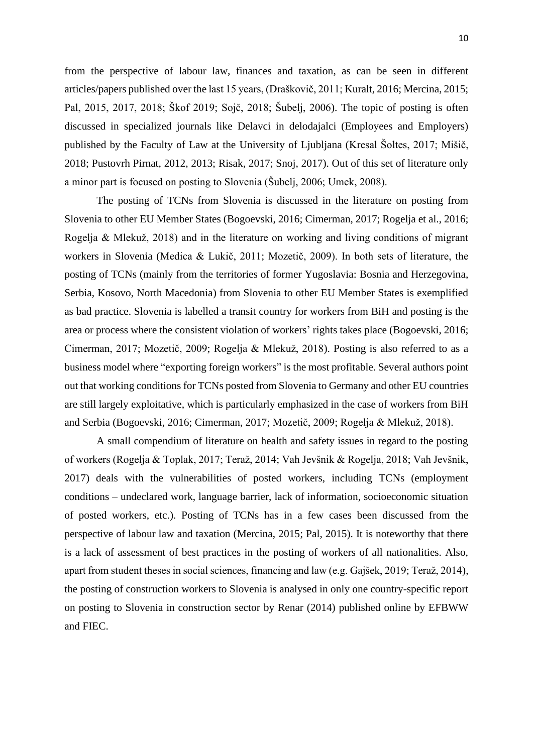from the perspective of labour law, finances and taxation, as can be seen in different articles/papers published over the last 15 years, (Draškovič, 2011; Kuralt, 2016; Mercina, 2015; Pal, 2015, 2017, 2018; Škof 2019; Sojč, 2018; Šubelj, 2006). The topic of posting is often discussed in specialized journals like Delavci in delodajalci (Employees and Employers) published by the Faculty of Law at the University of Ljubljana (Kresal Šoltes, 2017; Mišič, 2018; Pustovrh Pirnat, 2012, 2013; Risak, 2017; Snoj, 2017). Out of this set of literature only a minor part is focused on posting to Slovenia (Šubelj, 2006; Umek, 2008).

The posting of TCNs from Slovenia is discussed in the literature on posting from Slovenia to other EU Member States (Bogoevski, 2016; Cimerman, 2017; Rogelja et al., 2016; Rogelja & Mlekuž, 2018) and in the literature on working and living conditions of migrant workers in Slovenia (Medica & Lukič, 2011; Mozetič, 2009). In both sets of literature, the posting of TCNs (mainly from the territories of former Yugoslavia: Bosnia and Herzegovina, Serbia, Kosovo, North Macedonia) from Slovenia to other EU Member States is exemplified as bad practice. Slovenia is labelled a transit country for workers from BiH and posting is the area or process where the consistent violation of workers' rights takes place (Bogoevski, 2016; Cimerman, 2017; Mozetič, 2009; Rogelja & Mlekuž, 2018). Posting is also referred to as a business model where "exporting foreign workers" is the most profitable. Several authors point out that working conditions for TCNs posted from Slovenia to Germany and other EU countries are still largely exploitative, which is particularly emphasized in the case of workers from BiH and Serbia (Bogoevski, 2016; Cimerman, 2017; Mozetič, 2009; Rogelja & Mlekuž, 2018).

A small compendium of literature on health and safety issues in regard to the posting of workers (Rogelja & Toplak, 2017; Teraž, 2014; Vah Jevšnik & Rogelja, 2018; Vah Jevšnik, 2017) deals with the vulnerabilities of posted workers, including TCNs (employment conditions – undeclared work, language barrier, lack of information, socioeconomic situation of posted workers, etc.). Posting of TCNs has in a few cases been discussed from the perspective of labour law and taxation (Mercina, 2015; Pal, 2015). It is noteworthy that there is a lack of assessment of best practices in the posting of workers of all nationalities. Also, apart from student theses in social sciences, financing and law (e.g. Gajšek, 2019; Teraž, 2014), the posting of construction workers to Slovenia is analysed in only one country-specific report on posting to Slovenia in construction sector by Renar (2014) published online by EFBWW and FIEC.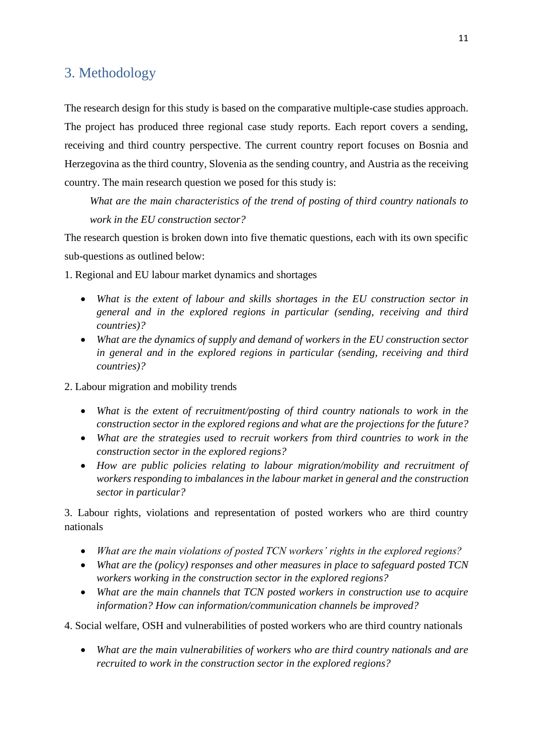### <span id="page-11-0"></span>3. Methodology

The research design for this study is based on the comparative multiple-case studies approach. The project has produced three regional case study reports. Each report covers a sending, receiving and third country perspective. The current country report focuses on Bosnia and Herzegovina as the third country, Slovenia as the sending country, and Austria as the receiving country. The main research question we posed for this study is:

*What are the main characteristics of the trend of posting of third country nationals to work in the EU construction sector?*

The research question is broken down into five thematic questions, each with its own specific sub-questions as outlined below:

- 1. Regional and EU labour market dynamics and shortages
	- *What is the extent of labour and skills shortages in the EU construction sector in general and in the explored regions in particular (sending, receiving and third countries)?*
	- *What are the dynamics of supply and demand of workers in the EU construction sector in general and in the explored regions in particular (sending, receiving and third countries)?*
- 2. Labour migration and mobility trends
	- *What is the extent of recruitment/posting of third country nationals to work in the construction sector in the explored regions and what are the projections for the future?*
	- *What are the strategies used to recruit workers from third countries to work in the construction sector in the explored regions?*
	- *How are public policies relating to labour migration/mobility and recruitment of workers responding to imbalances in the labour market in general and the construction sector in particular?*

3. Labour rights, violations and representation of posted workers who are third country nationals

- *What are the main violations of posted TCN workers' rights in the explored regions?*
- *What are the (policy) responses and other measures in place to safeguard posted TCN workers working in the construction sector in the explored regions?*
- *What are the main channels that TCN posted workers in construction use to acquire information? How can information/communication channels be improved?*

4. Social welfare, OSH and vulnerabilities of posted workers who are third country nationals

• *What are the main vulnerabilities of workers who are third country nationals and are recruited to work in the construction sector in the explored regions?*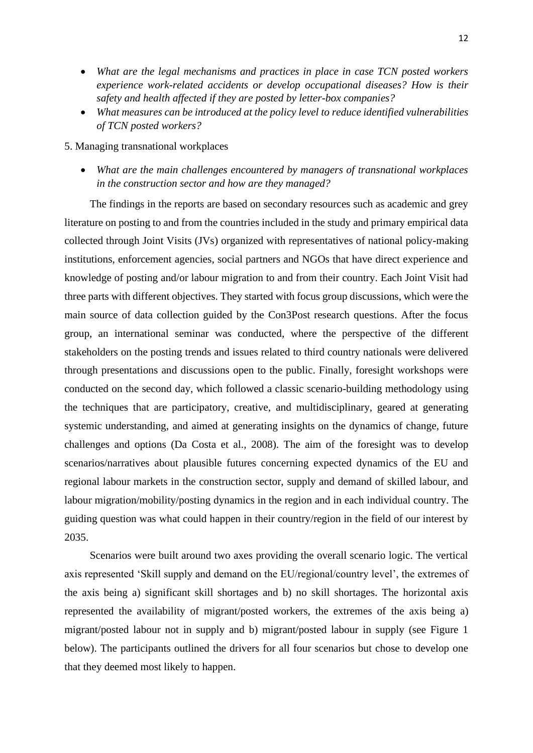- *What are the legal mechanisms and practices in place in case TCN posted workers experience work-related accidents or develop occupational diseases? How is their safety and health affected if they are posted by letter-box companies?*
- *What measures can be introduced at the policy level to reduce identified vulnerabilities of TCN posted workers?*

5. Managing transnational workplaces

• *What are the main challenges encountered by managers of transnational workplaces in the construction sector and how are they managed?*

The findings in the reports are based on secondary resources such as academic and grey literature on posting to and from the countries included in the study and primary empirical data collected through Joint Visits (JVs) organized with representatives of national policy-making institutions, enforcement agencies, social partners and NGOs that have direct experience and knowledge of posting and/or labour migration to and from their country. Each Joint Visit had three parts with different objectives. They started with focus group discussions, which were the main source of data collection guided by the Con3Post research questions. After the focus group, an international seminar was conducted, where the perspective of the different stakeholders on the posting trends and issues related to third country nationals were delivered through presentations and discussions open to the public. Finally, foresight workshops were conducted on the second day, which followed a classic scenario-building methodology using the techniques that are participatory, creative, and multidisciplinary, geared at generating systemic understanding, and aimed at generating insights on the dynamics of change, future challenges and options (Da Costa et al., 2008). The aim of the foresight was to develop scenarios/narratives about plausible futures concerning expected dynamics of the EU and regional labour markets in the construction sector, supply and demand of skilled labour, and labour migration/mobility/posting dynamics in the region and in each individual country. The guiding question was what could happen in their country/region in the field of our interest by 2035.

Scenarios were built around two axes providing the overall scenario logic. The vertical axis represented 'Skill supply and demand on the EU/regional/country level', the extremes of the axis being a) significant skill shortages and b) no skill shortages. The horizontal axis represented the availability of migrant/posted workers, the extremes of the axis being a) migrant/posted labour not in supply and b) migrant/posted labour in supply (see Figure 1 below). The participants outlined the drivers for all four scenarios but chose to develop one that they deemed most likely to happen.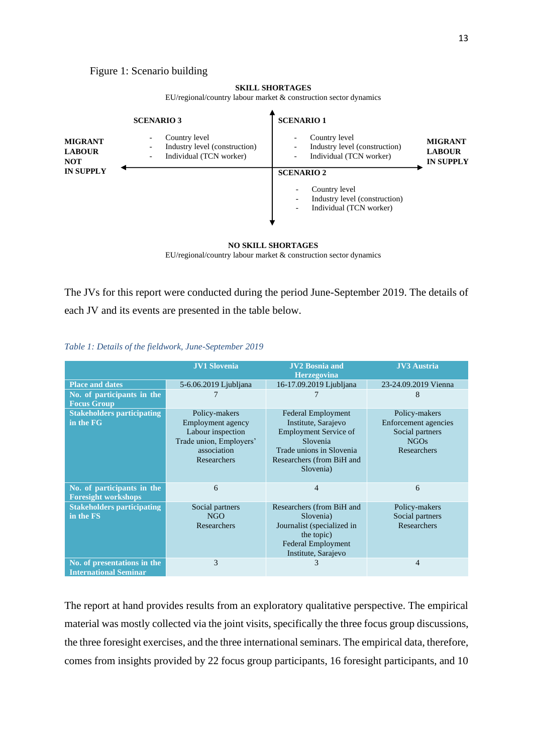Figure 1: Scenario building

#### **SKILL SHORTAGES**

EU/regional/country labour market & construction sector dynamics

|                                               | <b>SCENARIO 3</b>                                                         | <b>SCENARIO 1</b>                                                                                                                                                                        |  |
|-----------------------------------------------|---------------------------------------------------------------------------|------------------------------------------------------------------------------------------------------------------------------------------------------------------------------------------|--|
| <b>MIGRANT</b><br><b>LABOUR</b><br><b>NOT</b> | Country level<br>Industry level (construction)<br>Individual (TCN worker) | Country level<br>$\overline{\phantom{a}}$<br><b>MIGRANT</b><br>Industry level (construction)<br><b>LABOUR</b><br>Individual (TCN worker)<br>$\overline{\phantom{a}}$<br><b>IN SUPPLY</b> |  |
| <b>IN SUPPLY</b>                              |                                                                           | <b>SCENARIO 2</b><br>Country level<br>Industry level (construction)<br>Individual (TCN worker)                                                                                           |  |

#### **NO SKILL SHORTAGES**

EU/regional/country labour market & construction sector dynamics

The JVs for this report were conducted during the period June-September 2019. The details of each JV and its events are presented in the table below.

*Table 1: Details of the fieldwork, June-September 2019*

|                                                             | <b>JV1 Slovenia</b>                                                                                                     | <b>JV2 Bosnia and</b><br><b>Herzegovina</b>                                                                                                                        | <b>JV3</b> Austria                                                                     |
|-------------------------------------------------------------|-------------------------------------------------------------------------------------------------------------------------|--------------------------------------------------------------------------------------------------------------------------------------------------------------------|----------------------------------------------------------------------------------------|
| <b>Place and dates</b>                                      | 5-6.06.2019 Ljubljana                                                                                                   | 16-17.09.2019 Ljubljana                                                                                                                                            | 23-24.09.2019 Vienna                                                                   |
| No. of participants in the<br><b>Focus Group</b>            |                                                                                                                         |                                                                                                                                                                    | 8                                                                                      |
| <b>Stakeholders participating</b><br>in the FG              | Policy-makers<br>Employment agency<br>Labour inspection<br>Trade union, Employers'<br>association<br><b>Researchers</b> | <b>Federal Employment</b><br>Institute, Sarajevo<br><b>Employment Service of</b><br>Slovenia<br>Trade unions in Slovenia<br>Researchers (from BiH and<br>Slovenia) | Policy-makers<br>Enforcement agencies<br>Social partners<br><b>NGOs</b><br>Researchers |
| No. of participants in the<br><b>Foresight workshops</b>    | 6                                                                                                                       | 4                                                                                                                                                                  | 6                                                                                      |
| <b>Stakeholders participating</b><br>in the FS              | Social partners<br>NGO<br>Researchers                                                                                   | Researchers (from BiH and<br>Slovenia)<br>Journalist (specialized in<br>the topic)<br>Federal Employment<br>Institute, Sarajevo                                    | Policy-makers<br>Social partners<br>Researchers                                        |
| No. of presentations in the<br><b>International Seminar</b> | 3                                                                                                                       | 3                                                                                                                                                                  | $\overline{4}$                                                                         |

The report at hand provides results from an exploratory qualitative perspective. The empirical material was mostly collected via the joint visits, specifically the three focus group discussions, the three foresight exercises, and the three international seminars. The empirical data, therefore, comes from insights provided by 22 focus group participants, 16 foresight participants, and 10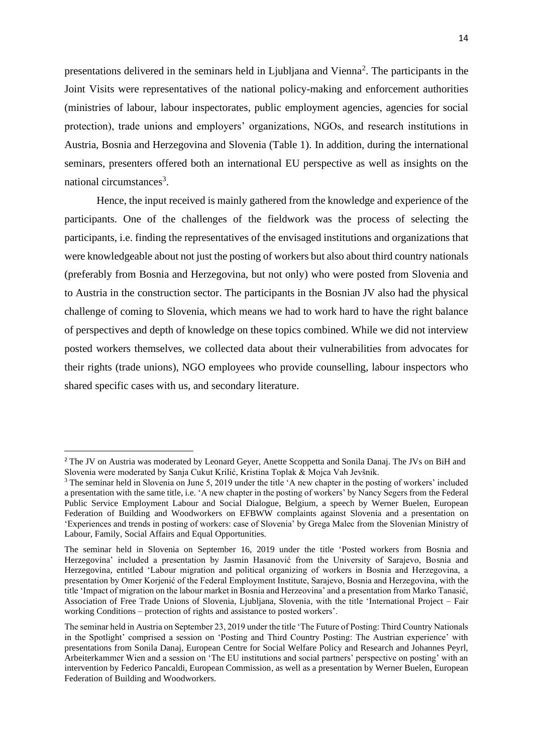presentations delivered in the seminars held in Ljubljana and Vienna<sup>2</sup>. The participants in the Joint Visits were representatives of the national policy-making and enforcement authorities (ministries of labour, labour inspectorates, public employment agencies, agencies for social protection), trade unions and employers' organizations, NGOs, and research institutions in Austria, Bosnia and Herzegovina and Slovenia (Table 1). In addition, during the international seminars, presenters offered both an international EU perspective as well as insights on the national circumstances<sup>3</sup>.

Hence, the input received is mainly gathered from the knowledge and experience of the participants. One of the challenges of the fieldwork was the process of selecting the participants, i.e. finding the representatives of the envisaged institutions and organizations that were knowledgeable about not just the posting of workers but also about third country nationals (preferably from Bosnia and Herzegovina, but not only) who were posted from Slovenia and to Austria in the construction sector. The participants in the Bosnian JV also had the physical challenge of coming to Slovenia, which means we had to work hard to have the right balance of perspectives and depth of knowledge on these topics combined. While we did not interview posted workers themselves, we collected data about their vulnerabilities from advocates for their rights (trade unions), NGO employees who provide counselling, labour inspectors who shared specific cases with us, and secondary literature.

<sup>&</sup>lt;sup>2</sup> The JV on Austria was moderated by Leonard Geyer, Anette Scoppetta and Sonila Danaj. The JVs on BiH and Slovenia were moderated by Sanja Cukut Krilić, Kristina Toplak & Mojca Vah Jevšnik.

<sup>&</sup>lt;sup>3</sup> The seminar held in Slovenia on June 5, 2019 under the title 'A new chapter in the posting of workers' included a presentation with the same title, i.e. 'A new chapter in the posting of workers' by Nancy Segers from the Federal Public Service Employment Labour and Social Dialogue, Belgium, a speech by Werner Buelen, European Federation of Building and Woodworkers on EFBWW complaints against Slovenia and a presentation on 'Experiences and trends in posting of workers: case of Slovenia' by Grega Malec from the Slovenian Ministry of Labour, Family, Social Affairs and Equal Opportunities.

The seminar held in Slovenia on September 16, 2019 under the title 'Posted workers from Bosnia and Herzegovina' included a presentation by Jasmin Hasanović from the University of Sarajevo, Bosnia and Herzegovina, entitled 'Labour migration and political organizing of workers in Bosnia and Herzegovina, a presentation by Omer Korjenić of the Federal Employment Institute, Sarajevo, Bosnia and Herzegovina, with the title 'Impact of migration on the labour market in Bosnia and Herzeovina' and a presentation from Marko Tanasić, Association of Free Trade Unions of Slovenia, Ljubljana, Slovenia, with the title 'International Project – Fair working Conditions – protection of rights and assistance to posted workers'.

The seminar held in Austria on September 23, 2019 under the title 'The Future of Posting: Third Country Nationals in the Spotlight' comprised a session on 'Posting and Third Country Posting: The Austrian experience' with presentations from Sonila Danaj, European Centre for Social Welfare Policy and Research and Johannes Peyrl, Arbeiterkammer Wien and a session on 'The EU institutions and social partners' perspective on posting' with an intervention by Federico Pancaldi, European Commission, as well as a presentation by Werner Buelen, European Federation of Building and Woodworkers.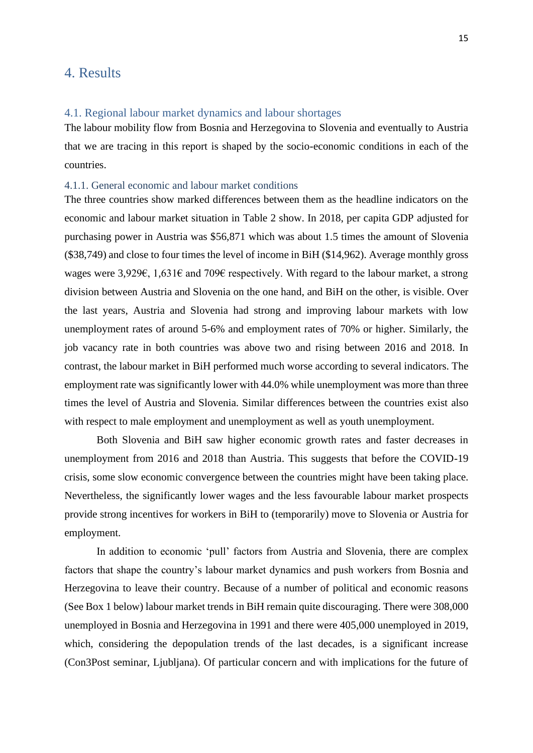### <span id="page-15-0"></span>4. Results

### <span id="page-15-1"></span>4.1. Regional labour market dynamics and labour shortages

The labour mobility flow from Bosnia and Herzegovina to Slovenia and eventually to Austria that we are tracing in this report is shaped by the socio-economic conditions in each of the countries.

### <span id="page-15-2"></span>4.1.1. General economic and labour market conditions

The three countries show marked differences between them as the headline indicators on the economic and labour market situation in Table 2 show. In 2018, per capita GDP adjusted for purchasing power in Austria was \$56,871 which was about 1.5 times the amount of Slovenia (\$38,749) and close to four times the level of income in BiH (\$14,962). Average monthly gross wages were 3,929€, 1,631€ and 709€ respectively. With regard to the labour market, a strong division between Austria and Slovenia on the one hand, and BiH on the other, is visible. Over the last years, Austria and Slovenia had strong and improving labour markets with low unemployment rates of around 5-6% and employment rates of 70% or higher. Similarly, the job vacancy rate in both countries was above two and rising between 2016 and 2018. In contrast, the labour market in BiH performed much worse according to several indicators. The employment rate was significantly lower with 44.0% while unemployment was more than three times the level of Austria and Slovenia. Similar differences between the countries exist also with respect to male employment and unemployment as well as youth unemployment.

Both Slovenia and BiH saw higher economic growth rates and faster decreases in unemployment from 2016 and 2018 than Austria. This suggests that before the COVID-19 crisis, some slow economic convergence between the countries might have been taking place. Nevertheless, the significantly lower wages and the less favourable labour market prospects provide strong incentives for workers in BiH to (temporarily) move to Slovenia or Austria for employment.

In addition to economic 'pull' factors from Austria and Slovenia, there are complex factors that shape the country's labour market dynamics and push workers from Bosnia and Herzegovina to leave their country. Because of a number of political and economic reasons (See Box 1 below) labour market trends in BiH remain quite discouraging. There were 308,000 unemployed in Bosnia and Herzegovina in 1991 and there were 405,000 unemployed in 2019, which, considering the depopulation trends of the last decades, is a significant increase (Con3Post seminar, Ljubljana). Of particular concern and with implications for the future of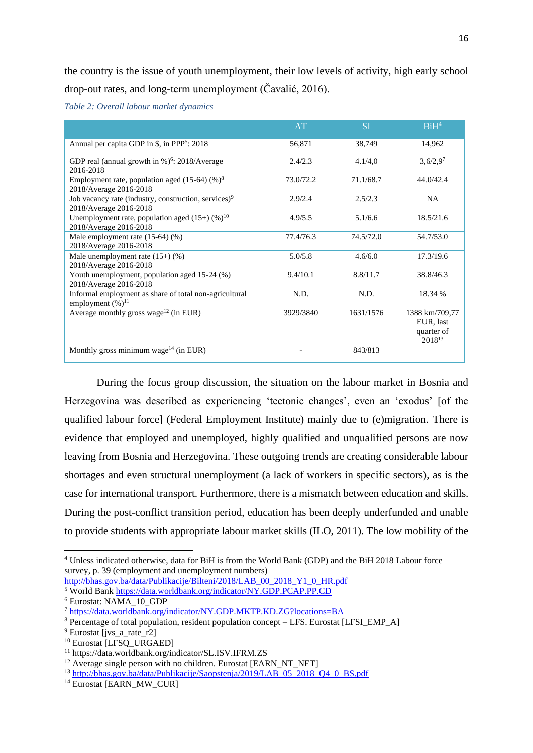the country is the issue of youth unemployment, their low levels of activity, high early school drop-out rates, and long-term unemployment (Čavalić, 2016).

*Table 2: Overall labour market dynamics*

|                                                                                            | AT        | <b>SI</b> | BiH <sup>4</sup>                                                |
|--------------------------------------------------------------------------------------------|-----------|-----------|-----------------------------------------------------------------|
| Annual per capita GDP in \$, in PPP <sup>5</sup> : 2018                                    | 56,871    | 38,749    | 14,962                                                          |
| GDP real (annual growth in %) <sup>6</sup> : 2018/Average<br>2016-2018                     | 2.4/2.3   | 4.1/4.0   | $3,6/2,9^7$                                                     |
| Employment rate, population aged $(15-64)$ (%) <sup>8</sup><br>2018/Average 2016-2018      | 73.0/72.2 | 71.1/68.7 | 44.0/42.4                                                       |
| Job vacancy rate (industry, construction, services) <sup>9</sup><br>2018/Average 2016-2018 | 2.9/2.4   | 2.5/2.3   | <b>NA</b>                                                       |
| Unemployment rate, population aged $(15+)$ (%) <sup>10</sup><br>2018/Average 2016-2018     | 4.9/5.5   | 5.1/6.6   | 18.5/21.6                                                       |
| Male employment rate $(15-64)$ $(\%)$<br>2018/Average 2016-2018                            | 77.4/76.3 | 74.5/72.0 | 54.7/53.0                                                       |
| Male unemployment rate $(15+)$ (%)<br>2018/Average 2016-2018                               | 5.0/5.8   | 4.6/6.0   | 17.3/19.6                                                       |
| Youth unemployment, population aged 15-24 (%)<br>2018/Average 2016-2018                    | 9.4/10.1  | 8.8/11.7  | 38.8/46.3                                                       |
| Informal employment as share of total non-agricultural<br>employment $(\%)^{11}$           | N.D.      | N.D.      | 18.34 %                                                         |
| Average monthly gross wage <sup>12</sup> (in EUR)                                          | 3929/3840 | 1631/1576 | 1388 km/709,77<br>EUR, last<br>quarter of<br>2018 <sup>13</sup> |
| Monthly gross minimum wage <sup>14</sup> (in EUR)                                          |           | 843/813   |                                                                 |

During the focus group discussion, the situation on the labour market in Bosnia and Herzegovina was described as experiencing 'tectonic changes', even an 'exodus' [of the qualified labour force] (Federal Employment Institute) mainly due to (e)migration. There is evidence that employed and unemployed, highly qualified and unqualified persons are now leaving from Bosnia and Herzegovina. These outgoing trends are creating considerable labour shortages and even structural unemployment (a lack of workers in specific sectors), as is the case for international transport. Furthermore, there is a mismatch between education and skills. During the post-conflict transition period, education has been deeply underfunded and unable to provide students with appropriate labour market skills (ILO, 2011). The low mobility of the

[http://bhas.gov.ba/data/Publikacije/Bilteni/2018/LAB\\_00\\_2018\\_Y1\\_0\\_HR.pdf](http://bhas.gov.ba/data/Publikacije/Bilteni/2018/LAB_00_2018_Y1_0_HR.pdf) <sup>5</sup> World Bank<https://data.worldbank.org/indicator/NY.GDP.PCAP.PP.CD>

<sup>4</sup> Unless indicated otherwise, data for BiH is from the World Bank (GDP) and the BiH 2018 Labour force survey, p. 39 (employment and unemployment numbers)

<sup>6</sup> Eurostat: NAMA\_10\_GDP

<sup>7</sup> <https://data.worldbank.org/indicator/NY.GDP.MKTP.KD.ZG?locations=BA>

<sup>&</sup>lt;sup>8</sup> Percentage of total population, resident population concept – LFS. Eurostat [LFSI\_EMP\_A]

<sup>&</sup>lt;sup>9</sup> Eurostat livs a rate r2l

<sup>&</sup>lt;sup>10</sup> Eurostat [LFSO\_URGAED]

<sup>11</sup> https://data.worldbank.org/indicator/SL.ISV.IFRM.ZS

 $12$  Average single person with no children. Eurostat [EARN\_NT\_NET]]

<sup>&</sup>lt;sup>13</sup> [http://bhas.gov.ba/data/Publikacije/Saopstenja/2019/LAB\\_05\\_2018\\_Q4\\_0\\_BS.pdf](http://bhas.gov.ba/data/Publikacije/Saopstenja/2019/LAB_05_2018_Q4_0_BS.pdf)

 $14$  Eurostat [EARN\_MW\_CUR]]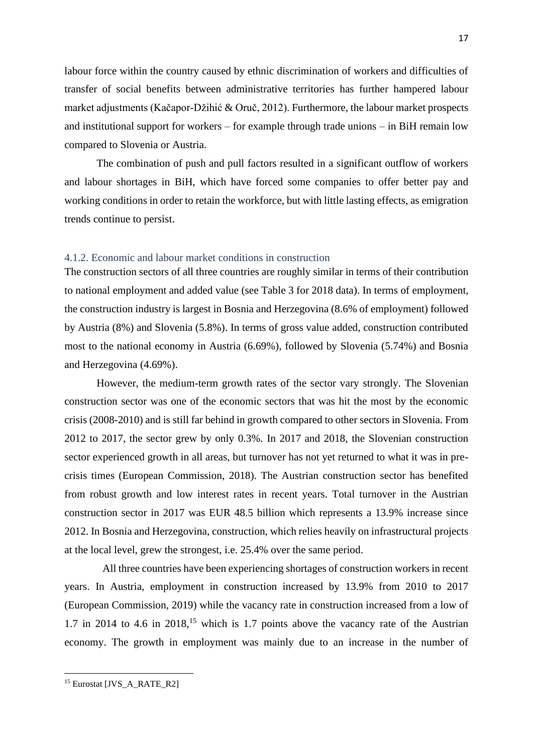labour force within the country caused by ethnic discrimination of workers and difficulties of transfer of social benefits between administrative territories has further hampered labour market adjustments (Kačapor-Džihić & Oruč, 2012). Furthermore, the labour market prospects and institutional support for workers – for example through trade unions – in BiH remain low compared to Slovenia or Austria.

The combination of push and pull factors resulted in a significant outflow of workers and labour shortages in BiH, which have forced some companies to offer better pay and working conditions in order to retain the workforce, but with little lasting effects, as emigration trends continue to persist.

#### <span id="page-17-0"></span>4.1.2. Economic and labour market conditions in construction

The construction sectors of all three countries are roughly similar in terms of their contribution to national employment and added value (see Table 3 for 2018 data). In terms of employment, the construction industry is largest in Bosnia and Herzegovina (8.6% of employment) followed by Austria (8%) and Slovenia (5.8%). In terms of gross value added, construction contributed most to the national economy in Austria (6.69%), followed by Slovenia (5.74%) and Bosnia and Herzegovina (4.69%).

However, the medium-term growth rates of the sector vary strongly. The Slovenian construction sector was one of the economic sectors that was hit the most by the economic crisis (2008-2010) and is still far behind in growth compared to other sectors in Slovenia. From 2012 to 2017, the sector grew by only 0.3%. In 2017 and 2018, the Slovenian construction sector experienced growth in all areas, but turnover has not yet returned to what it was in precrisis times (European Commission, 2018). The Austrian construction sector has benefited from robust growth and low interest rates in recent years. Total turnover in the Austrian construction sector in 2017 was EUR 48.5 billion which represents a 13.9% increase since 2012. In Bosnia and Herzegovina, construction, which relies heavily on infrastructural projects at the local level, grew the strongest, i.e. 25.4% over the same period.

All three countries have been experiencing shortages of construction workers in recent years. In Austria, employment in construction increased by 13.9% from 2010 to 2017 (European Commission, 2019) while the vacancy rate in construction increased from a low of 1.7 in 2014 to 4.6 in  $2018$ ,<sup>15</sup> which is 1.7 points above the vacancy rate of the Austrian economy. The growth in employment was mainly due to an increase in the number of

<sup>&</sup>lt;sup>15</sup> Eurostat [JVS\_A\_RATE\_R2]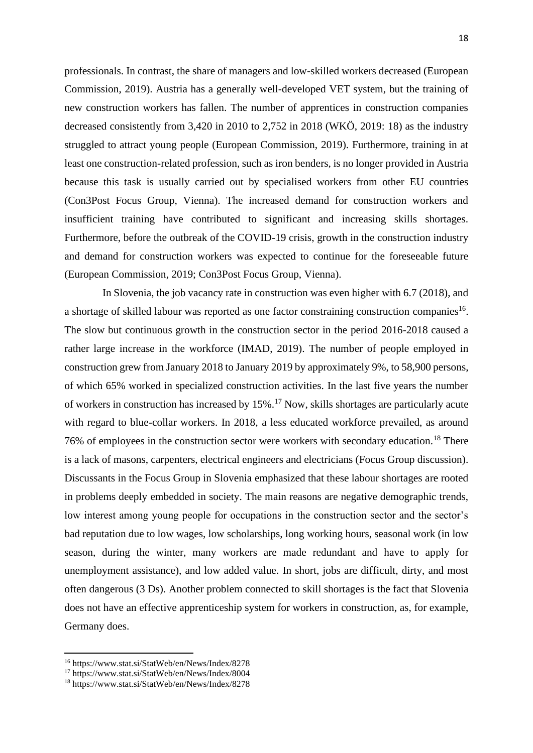professionals. In contrast, the share of managers and low-skilled workers decreased (European Commission, 2019). Austria has a generally well-developed VET system, but the training of new construction workers has fallen. The number of apprentices in construction companies decreased consistently from 3,420 in 2010 to 2,752 in 2018 (WKÖ, 2019: 18) as the industry struggled to attract young people (European Commission, 2019). Furthermore, training in at least one construction-related profession, such as iron benders, is no longer provided in Austria because this task is usually carried out by specialised workers from other EU countries (Con3Post Focus Group, Vienna). The increased demand for construction workers and insufficient training have contributed to significant and increasing skills shortages. Furthermore, before the outbreak of the COVID-19 crisis, growth in the construction industry and demand for construction workers was expected to continue for the foreseeable future (European Commission, 2019; Con3Post Focus Group, Vienna).

In Slovenia, the job vacancy rate in construction was even higher with 6.7 (2018), and a shortage of skilled labour was reported as one factor constraining construction companies<sup>16</sup>. The slow but continuous growth in the construction sector in the period 2016-2018 caused a rather large increase in the workforce (IMAD, 2019). The number of people employed in construction grew from January 2018 to January 2019 by approximately 9%, to 58,900 persons, of which 65% worked in specialized construction activities. In the last five years the number of workers in construction has increased by 15%.<sup>17</sup> Now, skills shortages are particularly acute with regard to blue-collar workers. In 2018, a less educated workforce prevailed, as around 76% of employees in the construction sector were workers with secondary education.<sup>18</sup> There is a lack of masons, carpenters, electrical engineers and electricians (Focus Group discussion). Discussants in the Focus Group in Slovenia emphasized that these labour shortages are rooted in problems deeply embedded in society. The main reasons are negative demographic trends, low interest among young people for occupations in the construction sector and the sector's bad reputation due to low wages, low scholarships, long working hours, seasonal work (in low season, during the winter, many workers are made redundant and have to apply for unemployment assistance), and low added value. In short, jobs are difficult, dirty, and most often dangerous (3 Ds). Another problem connected to skill shortages is the fact that Slovenia does not have an effective apprenticeship system for workers in construction, as, for example, Germany does.

<sup>16</sup> https://www.stat.si/StatWeb/en/News/Index/8278

<sup>17</sup> https://www.stat.si/StatWeb/en/News/Index/8004

<sup>18</sup> https://www.stat.si/StatWeb/en/News/Index/8278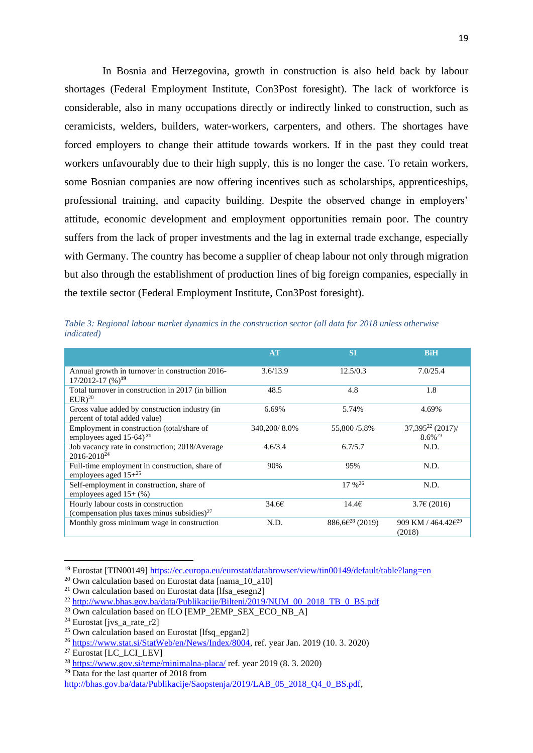In Bosnia and Herzegovina, growth in construction is also held back by labour shortages (Federal Employment Institute, Con3Post foresight). The lack of workforce is considerable, also in many occupations directly or indirectly linked to construction, such as ceramicists, welders, builders, water-workers, carpenters, and others. The shortages have forced employers to change their attitude towards workers. If in the past they could treat workers unfavourably due to their high supply, this is no longer the case. To retain workers, some Bosnian companies are now offering incentives such as scholarships, apprenticeships, professional training, and capacity building. Despite the observed change in employers' attitude, economic development and employment opportunities remain poor. The country suffers from the lack of proper investments and the lag in external trade exchange, especially with Germany. The country has become a supplier of cheap labour not only through migration but also through the establishment of production lines of big foreign companies, especially in the textile sector (Federal Employment Institute, Con3Post foresight).

*Table 3: Regional labour market dynamics in the construction sector (all data for 2018 unless otherwise indicated)* 

|                                                                                       | AT           | <b>ST</b>                   | <b>BiH</b>                               |
|---------------------------------------------------------------------------------------|--------------|-----------------------------|------------------------------------------|
| Annual growth in turnover in construction 2016-<br>$17/2012 - 17$ (%) <sup>19</sup>   | 3.6/13.9     | 12.5/0.3                    | 7.0/25.4                                 |
| Total turnover in construction in 2017 (in billion<br>$EUR)^{20}$                     | 48.5         | 4.8                         | 1.8                                      |
| Gross value added by construction industry (in<br>percent of total added value)       | 6.69%        | 5.74%                       | 4.69%                                    |
| Employment in construction (total/share of<br>employees aged $15-64$ ) <sup>21</sup>  | 340,200/8.0% | 55,800 / 5.8%               | $37,395^{22} (2017)$<br>$8.6\%^{23}$     |
| Job vacancy rate in construction; 2018/Average<br>2016-2018 <sup>24</sup>             | 4.6/3.4      | 6.7/5.7                     | N.D.                                     |
| Full-time employment in construction, share of<br>employees aged $15+^{25}$           | 90%          | 95%                         | N.D.                                     |
| Self-employment in construction, share of<br>employees aged $15+(%)$                  |              | $17\%^{26}$                 | N.D.                                     |
| Hourly labour costs in construction<br>(compensation plus taxes minus subsidies) $27$ | 34.66        | 14.46                       | 3.76(2016)                               |
| Monthly gross minimum wage in construction                                            | N.D.         | 886,6€ <sup>28</sup> (2019) | 909 KM / $464.42\text{E}^{29}$<br>(2018) |

<sup>&</sup>lt;sup>19</sup> Eurostat [TIN00149[\] https://ec.europa.eu/eurostat/databrowser/view/tin00149/default/table?lang=en](https://ec.europa.eu/eurostat/databrowser/view/tin00149/default/table?lang=en)

 $^{20}$  Own calculation based on Eurostat data [nama\_10\_a10]

<sup>&</sup>lt;sup>21</sup> Own calculation based on Eurostat data [lfsa\_esegn2]

<sup>&</sup>lt;sup>22</sup> [http://www.bhas.gov.ba/data/Publikacije/Bilteni/2019/NUM\\_00\\_2018\\_TB\\_0\\_BS.pdf](http://www.bhas.gov.ba/data/Publikacije/Bilteni/2019/NUM_00_2018_TB_0_BS.pdf)

 $^{23}$  Own calculation based on ILO [EMP\_2EMP\_SEX\_ECO\_NB\_A]

<sup>&</sup>lt;sup>24</sup> Eurostat [jvs. a rate\_r2]

<sup>&</sup>lt;sup>25</sup> Own calculation based on Eurostat [lfsq\_epgan2]

<sup>26</sup> [https://www.stat.si/StatWeb/en/News/Index/8004,](https://www.stat.si/StatWeb/en/News/Index/8004) ref. year Jan. 2019 (10. 3. 2020)

 $27$  Eurostat [LC\_LCI\_LEV]

 $\frac{28 \text{ https://www.gov.si/teme/minimalna-placa/}$  $\frac{28 \text{ https://www.gov.si/teme/minimalna-placa/}$  $\frac{28 \text{ https://www.gov.si/teme/minimalna-placa/}$  ref. year 2019 (8. 3. 2020)

 $29$  Data for the last quarter of 2018 from

[http://bhas.gov.ba/data/Publikacije/Saopstenja/2019/LAB\\_05\\_2018\\_Q4\\_0\\_BS.pdf,](http://bhas.gov.ba/data/Publikacije/Saopstenja/2019/LAB_05_2018_Q4_0_BS.pdf)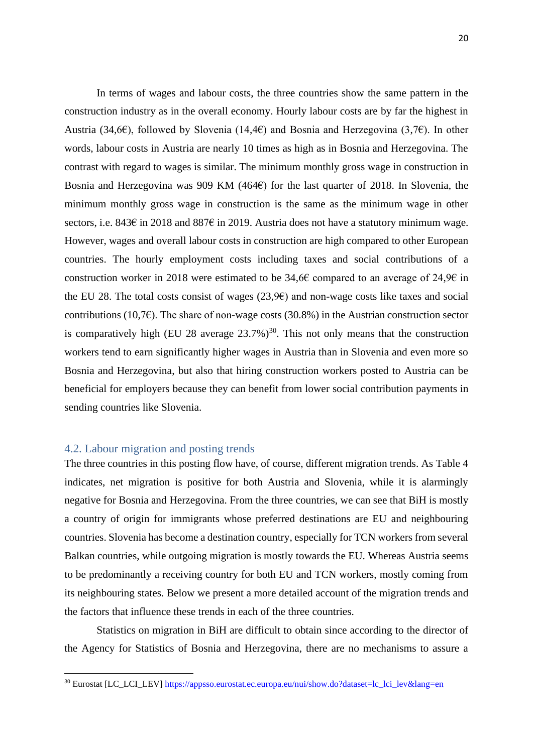In terms of wages and labour costs, the three countries show the same pattern in the construction industry as in the overall economy. Hourly labour costs are by far the highest in Austria (34,6€), followed by Slovenia (14,4€) and Bosnia and Herzegovina (3,7€). In other words, labour costs in Austria are nearly 10 times as high as in Bosnia and Herzegovina. The contrast with regard to wages is similar. The minimum monthly gross wage in construction in Bosnia and Herzegovina was 909 KM (464 $\varepsilon$ ) for the last quarter of 2018. In Slovenia, the minimum monthly gross wage in construction is the same as the minimum wage in other sectors, i.e. 843€ in 2018 and 887€ in 2019. Austria does not have a statutory minimum wage. However, wages and overall labour costs in construction are high compared to other European countries. The hourly employment costs including taxes and social contributions of a construction worker in 2018 were estimated to be 34,6€ compared to an average of 24,9€ in the EU 28. The total costs consist of wages  $(23,9e)$  and non-wage costs like taxes and social contributions (10,7 $\varepsilon$ ). The share of non-wage costs (30.8%) in the Austrian construction sector is comparatively high (EU 28 average  $23.7\%$ )<sup>30</sup>. This not only means that the construction workers tend to earn significantly higher wages in Austria than in Slovenia and even more so Bosnia and Herzegovina, but also that hiring construction workers posted to Austria can be beneficial for employers because they can benefit from lower social contribution payments in sending countries like Slovenia.

### <span id="page-20-0"></span>4.2. Labour migration and posting trends

The three countries in this posting flow have, of course, different migration trends. As Table 4 indicates, net migration is positive for both Austria and Slovenia, while it is alarmingly negative for Bosnia and Herzegovina. From the three countries, we can see that BiH is mostly a country of origin for immigrants whose preferred destinations are EU and neighbouring countries. Slovenia has become a destination country, especially for TCN workers from several Balkan countries, while outgoing migration is mostly towards the EU. Whereas Austria seems to be predominantly a receiving country for both EU and TCN workers, mostly coming from its neighbouring states. Below we present a more detailed account of the migration trends and the factors that influence these trends in each of the three countries.

Statistics on migration in BiH are difficult to obtain since according to the director of the Agency for Statistics of Bosnia and Herzegovina, there are no mechanisms to assure a

<sup>&</sup>lt;sup>30</sup> Eurostat [LC\_LCI\_LEV] [https://appsso.eurostat.ec.europa.eu/nui/show.do?dataset=lc\\_lci\\_lev&lang=en](https://appsso.eurostat.ec.europa.eu/nui/show.do?dataset=lc_lci_lev&lang=en)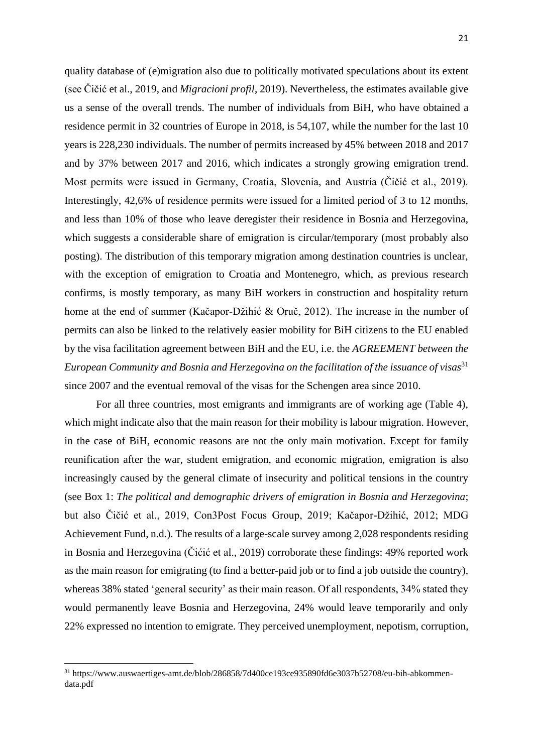quality database of (e)migration also due to politically motivated speculations about its extent (see Čičić et al., 2019, and *Migracioni profil*, 2019). Nevertheless, the estimates available give us a sense of the overall trends. The number of individuals from BiH, who have obtained a residence permit in 32 countries of Europe in 2018, is 54,107, while the number for the last 10 years is 228,230 individuals. The number of permits increased by 45% between 2018 and 2017 and by 37% between 2017 and 2016, which indicates a strongly growing emigration trend. Most permits were issued in Germany, Croatia, Slovenia, and Austria (Čičić et al., 2019). Interestingly, 42,6% of residence permits were issued for a limited period of 3 to 12 months, and less than 10% of those who leave deregister their residence in Bosnia and Herzegovina, which suggests a considerable share of emigration is circular/temporary (most probably also posting). The distribution of this temporary migration among destination countries is unclear, with the exception of emigration to Croatia and Montenegro, which, as previous research confirms, is mostly temporary, as many BiH workers in construction and hospitality return home at the end of summer (Kačapor-Džihić & Oruč, 2012). The increase in the number of permits can also be linked to the relatively easier mobility for BiH citizens to the EU enabled by the visa facilitation agreement between BiH and the EU, i.e. the *AGREEMENT between the European Community and Bosnia and Herzegovina on the facilitation of the issuance of visas*<sup>31</sup> since 2007 and the eventual removal of the visas for the Schengen area since 2010.

For all three countries, most emigrants and immigrants are of working age (Table 4), which might indicate also that the main reason for their mobility is labour migration. However, in the case of BiH, economic reasons are not the only main motivation. Except for family reunification after the war, student emigration, and economic migration, emigration is also increasingly caused by the general climate of insecurity and political tensions in the country (see Box 1: *The political and demographic drivers of emigration in Bosnia and Herzegovina*; but also Čičić et al., 2019, Con3Post Focus Group, 2019; Kačapor-Džihić, 2012; MDG Achievement Fund, n.d.). The results of a large-scale survey among 2,028 respondents residing in Bosnia and Herzegovina (Čićić et al., 2019) corroborate these findings: 49% reported work as the main reason for emigrating (to find a better-paid job or to find a job outside the country), whereas 38% stated 'general security' as their main reason. Of all respondents, 34% stated they would permanently leave Bosnia and Herzegovina, 24% would leave temporarily and only 22% expressed no intention to emigrate. They perceived unemployment, nepotism, corruption,

<sup>31</sup> https://www.auswaertiges-amt.de/blob/286858/7d400ce193ce935890fd6e3037b52708/eu-bih-abkommendata.pdf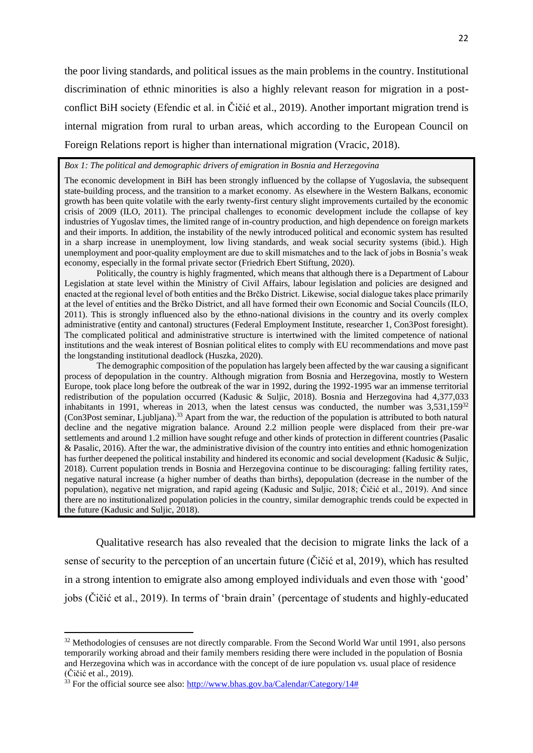the poor living standards, and political issues as the main problems in the country. Institutional discrimination of ethnic minorities is also a highly relevant reason for migration in a postconflict BiH society (Efendic et al. in Čičić et al., 2019). Another important migration trend is internal migration from rural to urban areas, which according to the European Council on Foreign Relations report is higher than international migration (Vracic, 2018).

#### *Box 1: The political and demographic drivers of emigration in Bosnia and Herzegovina*

The economic development in BiH has been strongly influenced by the collapse of Yugoslavia, the subsequent state-building process, and the transition to a market economy. As elsewhere in the Western Balkans, economic growth has been quite volatile with the early twenty-first century slight improvements curtailed by the economic crisis of 2009 (ILO, 2011). The principal challenges to economic development include the collapse of key industries of Yugoslav times, the limited range of in-country production, and high dependence on foreign markets and their imports. In addition, the instability of the newly introduced political and economic system has resulted in a sharp increase in unemployment, low living standards, and weak social security systems (ibid.). High unemployment and poor-quality employment are due to skill mismatches and to the lack of jobs in Bosnia's weak economy, especially in the formal private sector (Friedrich Ebert Stiftung, 2020).

Politically, the country is highly fragmented, which means that although there is a Department of Labour Legislation at state level within the Ministry of Civil Affairs, labour legislation and policies are designed and enacted at the regional level of both entities and the Brčko District. Likewise, social dialogue takes place primarily at the level of entities and the Brčko District, and all have formed their own Economic and Social Councils (ILO, 2011). This is strongly influenced also by the ethno-national divisions in the country and its overly complex administrative (entity and cantonal) structures (Federal Employment Institute, researcher 1, Con3Post foresight). The complicated political and administrative structure is intertwined with the limited competence of national institutions and the weak interest of Bosnian political elites to comply with EU recommendations and move past the longstanding institutional deadlock (Huszka, 2020).

The demographic composition of the population has largely been affected by the war causing a significant process of depopulation in the country. Although migration from Bosnia and Herzegovina, mostly to Western Europe, took place long before the outbreak of the war in 1992, during the 1992-1995 war an immense territorial redistribution of the population occurred (Kadusic & Suljic, 2018). Bosnia and Herzegovina had 4,377,033 inhabitants in 1991, whereas in 2013, when the latest census was conducted, the number was  $3.531.159^{32}$ (Con3Post seminar, Ljubljana).<sup>33</sup> Apart from the war, the reduction of the population is attributed to both natural decline and the negative migration balance. Around 2.2 million people were displaced from their pre-war settlements and around 1.2 million have sought refuge and other kinds of protection in different countries (Pasalic & Pasalic, 2016). After the war, the administrative division of the country into entities and ethnic homogenization has further deepened the political instability and hindered its economic and social development (Kadusic & Suljic, 2018). Current population trends in Bosnia and Herzegovina continue to be discouraging: falling fertility rates, negative natural increase (a higher number of deaths than births), depopulation (decrease in the number of the population), negative net migration, and rapid ageing (Kadusic and Suljic, 2018; Čičić et al., 2019). And since there are no institutionalized population policies in the country, similar demographic trends could be expected in the future (Kadusic and Suljic, 2018).

Qualitative research has also revealed that the decision to migrate links the lack of a sense of security to the perception of an uncertain future (Čičić et al, 2019), which has resulted in a strong intention to emigrate also among employed individuals and even those with 'good' jobs (Čičić et al., 2019). In terms of 'brain drain' (percentage of students and highly-educated

<sup>&</sup>lt;sup>32</sup> Methodologies of censuses are not directly comparable. From the Second World War until 1991, also persons temporarily working abroad and their family members residing there were included in the population of Bosnia and Herzegovina which was in accordance with the concept of de iure population vs. usual place of residence (Čičić et al., 2019).

 $33$  For the official source see also[: http://www.bhas.gov.ba/Calendar/Category/14#](http://www.bhas.gov.ba/Calendar/Category/14)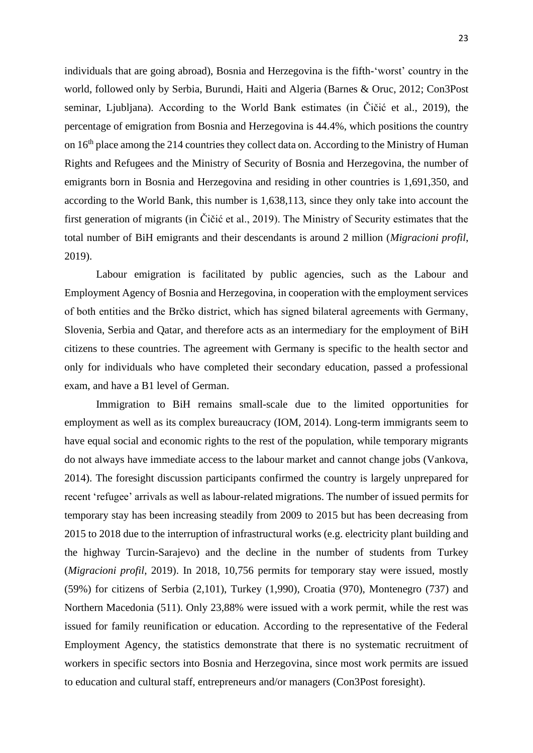individuals that are going abroad), Bosnia and Herzegovina is the fifth-'worst' country in the world, followed only by Serbia, Burundi, Haiti and Algeria (Barnes & Oruc, 2012; Con3Post seminar, Ljubljana). According to the World Bank estimates (in Čičić et al., 2019), the percentage of emigration from Bosnia and Herzegovina is 44.4%, which positions the country on  $16<sup>th</sup>$  place among the 214 countries they collect data on. According to the Ministry of Human Rights and Refugees and the Ministry of Security of Bosnia and Herzegovina, the number of emigrants born in Bosnia and Herzegovina and residing in other countries is 1,691,350, and according to the World Bank, this number is 1,638,113, since they only take into account the first generation of migrants (in Čičić et al., 2019). The Ministry of Security estimates that the total number of BiH emigrants and their descendants is around 2 million (*Migracioni profil*, 2019).

Labour emigration is facilitated by public agencies, such as the Labour and Employment Agency of Bosnia and Herzegovina, in cooperation with the employment services of both entities and the Brčko district, which has signed bilateral agreements with Germany, Slovenia, Serbia and Qatar, and therefore acts as an intermediary for the employment of BiH citizens to these countries. The agreement with Germany is specific to the health sector and only for individuals who have completed their secondary education, passed a professional exam, and have a B1 level of German.

Immigration to BiH remains small-scale due to the limited opportunities for employment as well as its complex bureaucracy (IOM, 2014). Long-term immigrants seem to have equal social and economic rights to the rest of the population, while temporary migrants do not always have immediate access to the labour market and cannot change jobs (Vankova, 2014). The foresight discussion participants confirmed the country is largely unprepared for recent 'refugee' arrivals as well as labour-related migrations. The number of issued permits for temporary stay has been increasing steadily from 2009 to 2015 but has been decreasing from 2015 to 2018 due to the interruption of infrastructural works (e.g. electricity plant building and the highway Turcin-Sarajevo) and the decline in the number of students from Turkey (*Migracioni profil*, 2019). In 2018, 10,756 permits for temporary stay were issued, mostly (59%) for citizens of Serbia (2,101), Turkey (1,990), Croatia (970), Montenegro (737) and Northern Macedonia (511). Only 23,88% were issued with a work permit, while the rest was issued for family reunification or education. According to the representative of the Federal Employment Agency, the statistics demonstrate that there is no systematic recruitment of workers in specific sectors into Bosnia and Herzegovina, since most work permits are issued to education and cultural staff, entrepreneurs and/or managers (Con3Post foresight).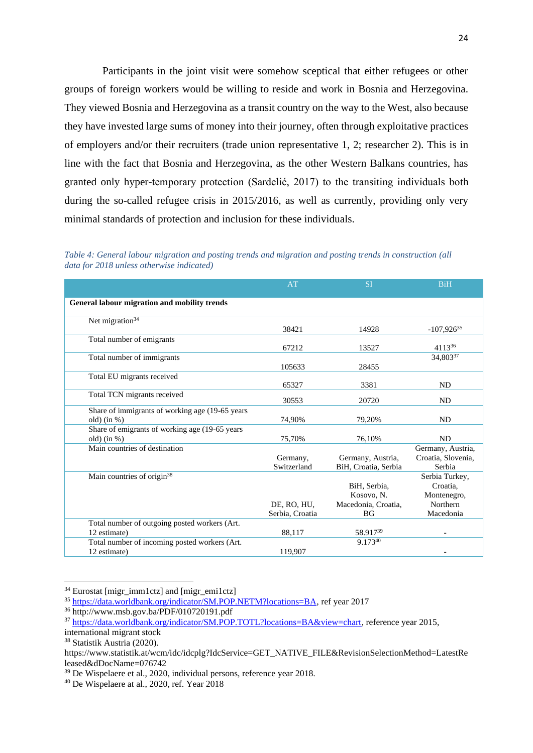Participants in the joint visit were somehow sceptical that either refugees or other groups of foreign workers would be willing to reside and work in Bosnia and Herzegovina. They viewed Bosnia and Herzegovina as a transit country on the way to the West, also because they have invested large sums of money into their journey, often through exploitative practices of employers and/or their recruiters (trade union representative 1, 2; researcher 2). This is in line with the fact that Bosnia and Herzegovina, as the other Western Balkans countries, has granted only hyper-temporary protection (Sardelić, 2017) to the transiting individuals both during the so-called refugee crisis in 2015/2016, as well as currently, providing only very minimal standards of protection and inclusion for these individuals.

*Table 4: General labour migration and posting trends and migration and posting trends in construction (all data for 2018 unless otherwise indicated)* 

|                                                                  | AT                             | <b>SI</b>                                                      | <b>BiH</b>                                                         |
|------------------------------------------------------------------|--------------------------------|----------------------------------------------------------------|--------------------------------------------------------------------|
| General labour migration and mobility trends                     |                                |                                                                |                                                                    |
| Net migration <sup>34</sup>                                      | 38421                          | 14928                                                          | $-107,926^{35}$                                                    |
| Total number of emigrants                                        | 67212                          | 13527                                                          | 411336                                                             |
| Total number of immigrants                                       | 105633                         | 28455                                                          | 34,80337                                                           |
| Total EU migrants received                                       | 65327                          | 3381                                                           | <b>ND</b>                                                          |
| Total TCN migrants received                                      | 30553                          | 20720                                                          | <b>ND</b>                                                          |
| Share of immigrants of working age (19-65 years<br>old) $(in %)$ | 74,90%                         | 79,20%                                                         | <b>ND</b>                                                          |
| Share of emigrants of working age (19-65 years<br>old) $(in %)$  | 75,70%                         | 76.10%                                                         | <b>ND</b>                                                          |
| Main countries of destination                                    | Germany,<br>Switzerland        | Germany, Austria,<br>BiH, Croatia, Serbia                      | Germany, Austria,<br>Croatia, Slovenia,<br>Serbia                  |
| Main countries of origin <sup>38</sup>                           | DE, RO, HU,<br>Serbia, Croatia | BiH, Serbia,<br>Kosovo, N.<br>Macedonia, Croatia,<br><b>BG</b> | Serbia Turkey,<br>Croatia.<br>Montenegro,<br>Northern<br>Macedonia |
| Total number of outgoing posted workers (Art.<br>12 estimate)    | 88,117                         | 58.91739                                                       |                                                                    |
| Total number of incoming posted workers (Art.<br>12 estimate)    | 119,907                        | 9.17340                                                        |                                                                    |

<sup>34</sup> Eurostat [migr\_imm1ctz] and [migr\_emi1ctz]

<sup>35</sup> [https://data.worldbank.org/indicator/SM.POP.NETM?locations=BA,](https://data.worldbank.org/indicator/SM.POP.NETM?locations=BA) ref year 2017

<sup>36</sup> http://www.msb.gov.ba/PDF/010720191.pdf

<sup>37</sup> [https://data.worldbank.org/indicator/SM.POP.TOTL?locations=BA&view=chart,](https://data.worldbank.org/indicator/SM.POP.TOTL?locations=BA&view=chart) reference year 2015,

international migrant stock

<sup>38</sup> Statistik Austria (2020).

https://www.statistik.at/wcm/idc/idcplg?IdcService=GET\_NATIVE\_FILE&RevisionSelectionMethod=LatestRe leased&dDocName=076742

<sup>39</sup> De Wispelaere et al., 2020, individual persons, reference year 2018.

<sup>40</sup> De Wispelaere at al., 2020, ref. Year 2018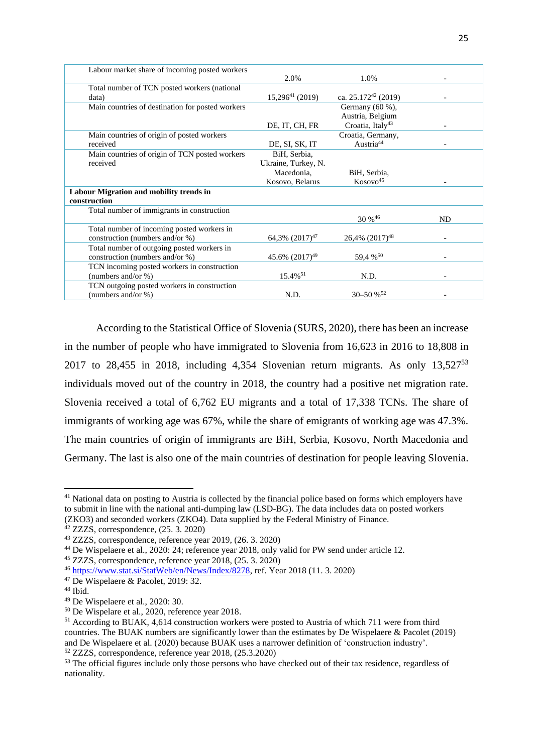| Labour market share of incoming posted workers   |                        |                              |           |
|--------------------------------------------------|------------------------|------------------------------|-----------|
|                                                  | 2.0%                   | 1.0%                         |           |
| Total number of TCN posted workers (national     |                        |                              |           |
| data)                                            | $15,296^{41} (2019)$   | ca. $25.172^{42}$ (2019)     |           |
| Main countries of destination for posted workers |                        | Germany $(60\%)$ ,           |           |
|                                                  |                        | Austria, Belgium             |           |
|                                                  | DE, IT, CH, FR         | Croatia, Italy <sup>43</sup> |           |
| Main countries of origin of posted workers       |                        | Croatia, Germany,            |           |
| received                                         | DE, SI, SK, IT         | Austria <sup>44</sup>        |           |
| Main countries of origin of TCN posted workers   | BiH, Serbia,           |                              |           |
| received                                         | Ukraine, Turkey, N.    |                              |           |
|                                                  | Macedonia,             | BiH, Serbia,                 |           |
|                                                  | Kosovo, Belarus        | Kosovo <sup>45</sup>         |           |
| Labour Migration and mobility trends in          |                        |                              |           |
| construction                                     |                        |                              |           |
| Total number of immigrants in construction       |                        |                              |           |
|                                                  |                        | $30\%^{46}$                  | <b>ND</b> |
| Total number of incoming posted workers in       |                        |                              |           |
| construction (numbers and/or %)                  | $64,3\%$ $(2017)^{47}$ | 26,4% (2017) <sup>48</sup>   |           |
| Total number of outgoing posted workers in       |                        |                              |           |
| construction (numbers and/or %)                  | 45.6% $(2017)^{49}$    | 59,4 % <sup>50</sup>         |           |
| TCN incoming posted workers in construction      |                        |                              |           |
| (numbers and/or %)                               | $15.4\%$ <sup>51</sup> | N.D.                         |           |
| TCN outgoing posted workers in construction      |                        |                              |           |
| (numbers and/or %)                               | N.D.                   | $30 - 50 \%$ <sup>52</sup>   |           |
|                                                  |                        |                              |           |

According to the Statistical Office of Slovenia (SURS, 2020), there has been an increase in the number of people who have immigrated to Slovenia from 16,623 in 2016 to 18,808 in 2017 to 28,455 in 2018, including 4,354 Slovenian return migrants. As only  $13,527^{53}$ individuals moved out of the country in 2018, the country had a positive net migration rate. Slovenia received a total of 6,762 EU migrants and a total of 17,338 TCNs. The share of immigrants of working age was 67%, while the share of emigrants of working age was 47.3%. The main countries of origin of immigrants are BiH, Serbia, Kosovo, North Macedonia and Germany. The last is also one of the main countries of destination for people leaving Slovenia.

<sup>&</sup>lt;sup>41</sup> National data on posting to Austria is collected by the financial police based on forms which employers have to submit in line with the national anti-dumping law (LSD-BG). The data includes data on posted workers (ZKO3) and seconded workers (ZKO4). Data supplied by the Federal Ministry of Finance.

 $42$  ZZZS, correspondence,  $(25.3, 2020)$ 

<sup>43</sup> ZZZS, correspondence, reference year 2019, (26. 3. 2020)

<sup>44</sup> De Wispelaere et al., 2020: 24; reference year 2018, only valid for PW send under article 12.

<sup>45</sup> ZZZS, correspondence, reference year 2018, (25. 3. 2020)

<sup>46</sup> [https://www.stat.si/StatWeb/en/News/Index/8278,](https://www.stat.si/StatWeb/en/News/Index/8278) ref. Year 2018 (11. 3. 2020)

<sup>47</sup> De Wispelaere & Pacolet, 2019: 32.

<sup>48</sup> Ibid.

<sup>49</sup> De Wispelaere et al., 2020: 30.

<sup>50</sup> De Wispelare et al., 2020, reference year 2018.

<sup>&</sup>lt;sup>51</sup> According to BUAK, 4,614 construction workers were posted to Austria of which 711 were from third countries. The BUAK numbers are significantly lower than the estimates by De Wispelaere & Pacolet (2019) and De Wispelaere et al. (2020) because BUAK uses a narrower definition of 'construction industry'. <sup>52</sup> ZZZS, correspondence, reference year 2018, (25.3.2020)

<sup>&</sup>lt;sup>53</sup> The official figures include only those persons who have checked out of their tax residence, regardless of nationality.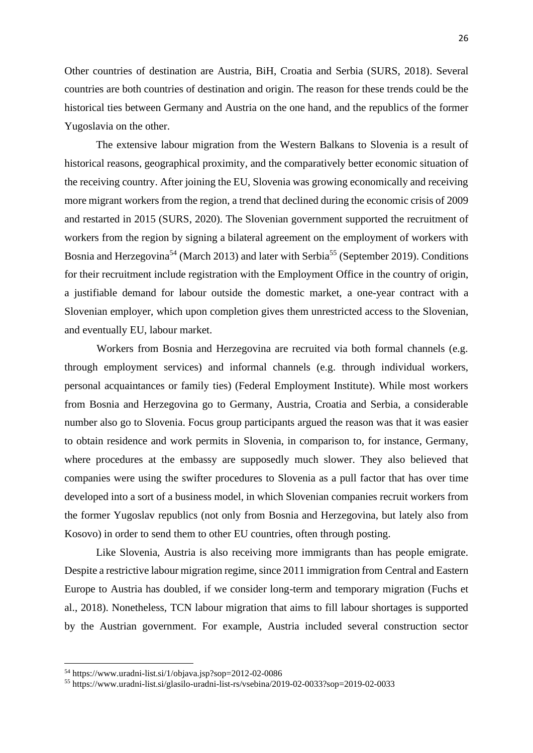Other countries of destination are Austria, BiH, Croatia and Serbia (SURS, 2018). Several countries are both countries of destination and origin. The reason for these trends could be the historical ties between Germany and Austria on the one hand, and the republics of the former Yugoslavia on the other.

The extensive labour migration from the Western Balkans to Slovenia is a result of historical reasons, geographical proximity, and the comparatively better economic situation of the receiving country. After joining the EU, Slovenia was growing economically and receiving more migrant workers from the region, a trend that declined during the economic crisis of 2009 and restarted in 2015 (SURS, 2020). The Slovenian government supported the recruitment of workers from the region by signing a bilateral agreement on the employment of workers with Bosnia and Herzegovina<sup>54</sup> (March 2013) and later with Serbia<sup>55</sup> (September 2019). Conditions for their recruitment include registration with the Employment Office in the country of origin, a justifiable demand for labour outside the domestic market, a one-year contract with a Slovenian employer, which upon completion gives them unrestricted access to the Slovenian, and eventually EU, labour market.

Workers from Bosnia and Herzegovina are recruited via both formal channels (e.g. through employment services) and informal channels (e.g. through individual workers, personal acquaintances or family ties) (Federal Employment Institute). While most workers from Bosnia and Herzegovina go to Germany, Austria, Croatia and Serbia, a considerable number also go to Slovenia. Focus group participants argued the reason was that it was easier to obtain residence and work permits in Slovenia, in comparison to, for instance, Germany, where procedures at the embassy are supposedly much slower. They also believed that companies were using the swifter procedures to Slovenia as a pull factor that has over time developed into a sort of a business model, in which Slovenian companies recruit workers from the former Yugoslav republics (not only from Bosnia and Herzegovina, but lately also from Kosovo) in order to send them to other EU countries, often through posting.

Like Slovenia, Austria is also receiving more immigrants than has people emigrate. Despite a restrictive labour migration regime, since 2011 immigration from Central and Eastern Europe to Austria has doubled, if we consider long-term and temporary migration (Fuchs et al., 2018). Nonetheless, TCN labour migration that aims to fill labour shortages is supported by the Austrian government. For example, Austria included several construction sector

 $54 \text{ https://www.uradni-list.si/1/obiava.jsp?sop=2012-02-0086}$ 

<sup>55</sup> https://www.uradni-list.si/glasilo-uradni-list-rs/vsebina/2019-02-0033?sop=2019-02-0033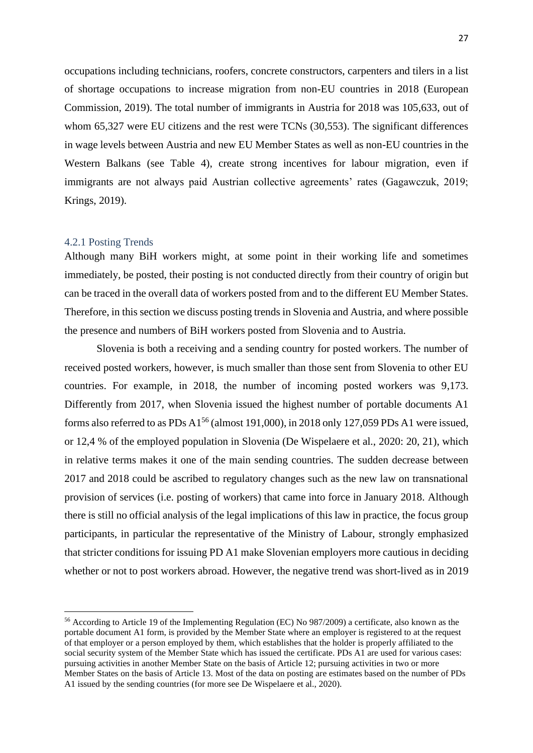occupations including technicians, roofers, concrete constructors, carpenters and tilers in a list of shortage occupations to increase migration from non-EU countries in 2018 (European Commission, 2019). The total number of immigrants in Austria for 2018 was 105,633, out of whom 65,327 were EU citizens and the rest were TCNs (30,553). The significant differences in wage levels between Austria and new EU Member States as well as non-EU countries in the Western Balkans (see Table 4), create strong incentives for labour migration, even if immigrants are not always paid Austrian collective agreements' rates (Gagawczuk, 2019; Krings, 2019).

#### <span id="page-27-0"></span>4.2.1 Posting Trends

Although many BiH workers might, at some point in their working life and sometimes immediately, be posted, their posting is not conducted directly from their country of origin but can be traced in the overall data of workers posted from and to the different EU Member States. Therefore, in this section we discuss posting trends in Slovenia and Austria, and where possible the presence and numbers of BiH workers posted from Slovenia and to Austria.

Slovenia is both a receiving and a sending country for posted workers. The number of received posted workers, however, is much smaller than those sent from Slovenia to other EU countries. For example, in 2018, the number of incoming posted workers was 9,173. Differently from 2017, when Slovenia issued the highest number of portable documents A1 forms also referred to as PDs  $A1^{56}$  (almost 191,000), in 2018 only 127,059 PDs A1 were issued, or 12,4 % of the employed population in Slovenia (De Wispelaere et al., 2020: 20, 21), which in relative terms makes it one of the main sending countries. The sudden decrease between 2017 and 2018 could be ascribed to regulatory changes such as the new law on transnational provision of services (i.e. posting of workers) that came into force in January 2018. Although there is still no official analysis of the legal implications of this law in practice, the focus group participants, in particular the representative of the Ministry of Labour, strongly emphasized that stricter conditions for issuing PD A1 make Slovenian employers more cautious in deciding whether or not to post workers abroad. However, the negative trend was short-lived as in 2019

<sup>56</sup> According to Article 19 of the Implementing Regulation (EC) No 987/2009) a certificate, also known as the portable document A1 form, is provided by the Member State where an employer is registered to at the request of that employer or a person employed by them, which establishes that the holder is properly affiliated to the social security system of the Member State which has issued the certificate. PDs A1 are used for various cases: pursuing activities in another Member State on the basis of Article 12; pursuing activities in two or more Member States on the basis of Article 13. Most of the data on posting are estimates based on the number of PDs A1 issued by the sending countries (for more see De Wispelaere et al., 2020).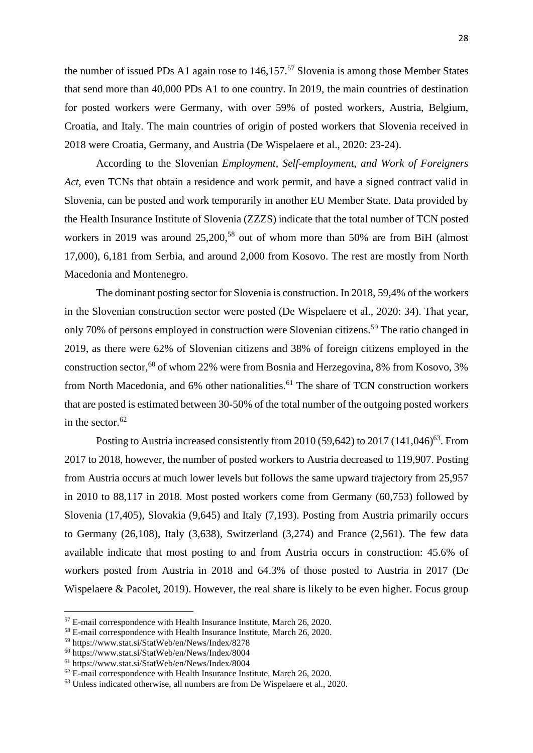the number of issued PDs A1 again rose to  $146,157$ <sup>57</sup> Slovenia is among those Member States that send more than 40,000 PDs A1 to one country. In 2019, the main countries of destination for posted workers were Germany, with over 59% of posted workers, Austria, Belgium, Croatia, and Italy. The main countries of origin of posted workers that Slovenia received in 2018 were Croatia, Germany, and Austria (De Wispelaere et al., 2020: 23-24).

According to the Slovenian *Employment, Self-employment, and Work of Foreigners Act,* even TCNs that obtain a residence and work permit, and have a signed contract valid in Slovenia, can be posted and work temporarily in another EU Member State. Data provided by the Health Insurance Institute of Slovenia (ZZZS) indicate that the total number of TCN posted workers in 2019 was around  $25,200$ ,<sup>58</sup> out of whom more than 50% are from BiH (almost 17,000), 6,181 from Serbia, and around 2,000 from Kosovo. The rest are mostly from North Macedonia and Montenegro.

The dominant posting sector for Slovenia is construction. In 2018, 59,4% of the workers in the Slovenian construction sector were posted (De Wispelaere et al., 2020: 34). That year, only 70% of persons employed in construction were Slovenian citizens.<sup>59</sup> The ratio changed in 2019, as there were 62% of Slovenian citizens and 38% of foreign citizens employed in the construction sector,<sup>60</sup> of whom 22% were from Bosnia and Herzegovina, 8% from Kosovo, 3% from North Macedonia, and  $6\%$  other nationalities.<sup>61</sup> The share of TCN construction workers that are posted is estimated between 30-50% of the total number of the outgoing posted workers in the sector. $62$ 

Posting to Austria increased consistently from  $2010(59,642)$  to  $2017(141,046)^{63}$ . From 2017 to 2018, however, the number of posted workers to Austria decreased to 119,907. Posting from Austria occurs at much lower levels but follows the same upward trajectory from 25,957 in 2010 to 88,117 in 2018. Most posted workers come from Germany (60,753) followed by Slovenia (17,405), Slovakia (9,645) and Italy (7,193). Posting from Austria primarily occurs to Germany (26,108), Italy (3,638), Switzerland (3,274) and France (2,561). The few data available indicate that most posting to and from Austria occurs in construction: 45.6% of workers posted from Austria in 2018 and 64.3% of those posted to Austria in 2017 (De Wispelaere & Pacolet, 2019). However, the real share is likely to be even higher. Focus group

<sup>57</sup> E-mail correspondence with Health Insurance Institute, March 26, 2020.

<sup>&</sup>lt;sup>58</sup> E-mail correspondence with Health Insurance Institute, March 26, 2020.

<sup>59</sup> https://www.stat.si/StatWeb/en/News/Index/8278

<sup>60</sup> https://www.stat.si/StatWeb/en/News/Index/8004

<sup>61</sup> https://www.stat.si/StatWeb/en/News/Index/8004

 $62$  E-mail correspondence with Health Insurance Institute, March 26, 2020.

<sup>63</sup> Unless indicated otherwise, all numbers are from De Wispelaere et al., 2020.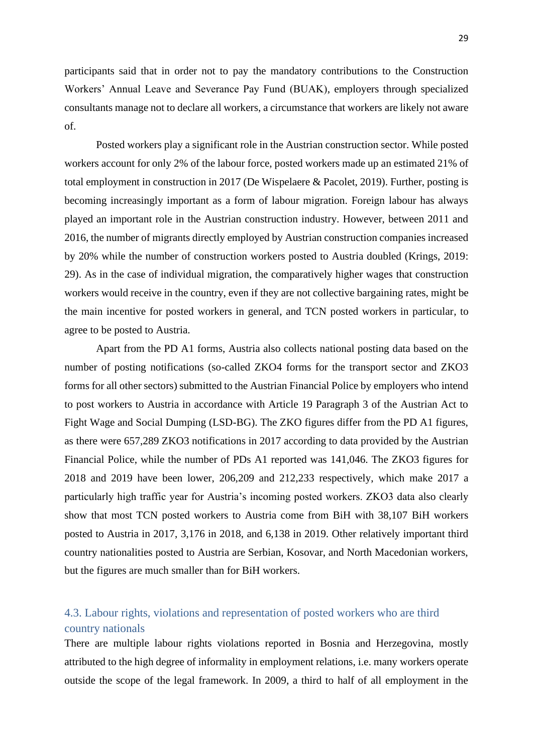participants said that in order not to pay the mandatory contributions to the Construction Workers' Annual Leave and Severance Pay Fund (BUAK), employers through specialized consultants manage not to declare all workers, a circumstance that workers are likely not aware of.

Posted workers play a significant role in the Austrian construction sector. While posted workers account for only 2% of the labour force, posted workers made up an estimated 21% of total employment in construction in 2017 (De Wispelaere & Pacolet, 2019). Further, posting is becoming increasingly important as a form of labour migration. Foreign labour has always played an important role in the Austrian construction industry. However, between 2011 and 2016, the number of migrants directly employed by Austrian construction companies increased by 20% while the number of construction workers posted to Austria doubled (Krings, 2019: 29). As in the case of individual migration, the comparatively higher wages that construction workers would receive in the country, even if they are not collective bargaining rates, might be the main incentive for posted workers in general, and TCN posted workers in particular, to agree to be posted to Austria.

Apart from the PD A1 forms, Austria also collects national posting data based on the number of posting notifications (so-called ZKO4 forms for the transport sector and ZKO3 forms for all other sectors) submitted to the Austrian Financial Police by employers who intend to post workers to Austria in accordance with Article 19 Paragraph 3 of the Austrian Act to Fight Wage and Social Dumping (LSD-BG). The ZKO figures differ from the PD A1 figures, as there were 657,289 ZKO3 notifications in 2017 according to data provided by the Austrian Financial Police, while the number of PDs A1 reported was 141,046. The ZKO3 figures for 2018 and 2019 have been lower, 206,209 and 212,233 respectively, which make 2017 a particularly high traffic year for Austria's incoming posted workers. ZKO3 data also clearly show that most TCN posted workers to Austria come from BiH with 38,107 BiH workers posted to Austria in 2017, 3,176 in 2018, and 6,138 in 2019. Other relatively important third country nationalities posted to Austria are Serbian, Kosovar, and North Macedonian workers, but the figures are much smaller than for BiH workers.

### <span id="page-29-0"></span>4.3. Labour rights, violations and representation of posted workers who are third country nationals

There are multiple labour rights violations reported in Bosnia and Herzegovina, mostly attributed to the high degree of informality in employment relations, i.e. many workers operate outside the scope of the legal framework. In 2009, a third to half of all employment in the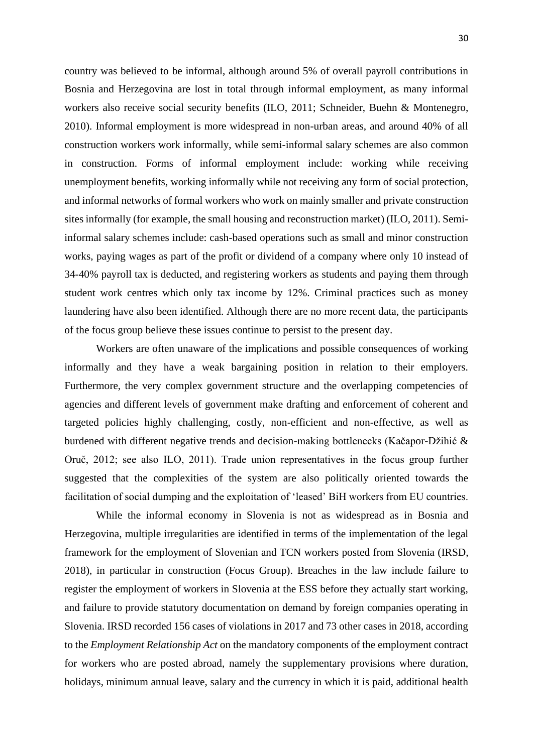country was believed to be informal, although around 5% of overall payroll contributions in Bosnia and Herzegovina are lost in total through informal employment, as many informal workers also receive social security benefits (ILO, 2011; Schneider, Buehn & Montenegro, 2010). Informal employment is more widespread in non-urban areas, and around 40% of all construction workers work informally, while semi-informal salary schemes are also common in construction. Forms of informal employment include: working while receiving unemployment benefits, working informally while not receiving any form of social protection, and informal networks of formal workers who work on mainly smaller and private construction sites informally (for example, the small housing and reconstruction market) (ILO, 2011). Semiinformal salary schemes include: cash-based operations such as small and minor construction works, paying wages as part of the profit or dividend of a company where only 10 instead of 34-40% payroll tax is deducted, and registering workers as students and paying them through student work centres which only tax income by 12%. Criminal practices such as money laundering have also been identified. Although there are no more recent data, the participants of the focus group believe these issues continue to persist to the present day.

Workers are often unaware of the implications and possible consequences of working informally and they have a weak bargaining position in relation to their employers. Furthermore, the very complex government structure and the overlapping competencies of agencies and different levels of government make drafting and enforcement of coherent and targeted policies highly challenging, costly, non-efficient and non-effective, as well as burdened with different negative trends and decision-making bottlenecks (Kačapor-Džihić & Oruč, 2012; see also ILO, 2011). Trade union representatives in the focus group further suggested that the complexities of the system are also politically oriented towards the facilitation of social dumping and the exploitation of 'leased' BiH workers from EU countries.

While the informal economy in Slovenia is not as widespread as in Bosnia and Herzegovina, multiple irregularities are identified in terms of the implementation of the legal framework for the employment of Slovenian and TCN workers posted from Slovenia (IRSD, 2018), in particular in construction (Focus Group). Breaches in the law include failure to register the employment of workers in Slovenia at the ESS before they actually start working, and failure to provide statutory documentation on demand by foreign companies operating in Slovenia. IRSD recorded 156 cases of violations in 2017 and 73 other cases in 2018, according to the *Employment Relationship Act* on the mandatory components of the employment contract for workers who are posted abroad, namely the supplementary provisions where duration, holidays, minimum annual leave, salary and the currency in which it is paid, additional health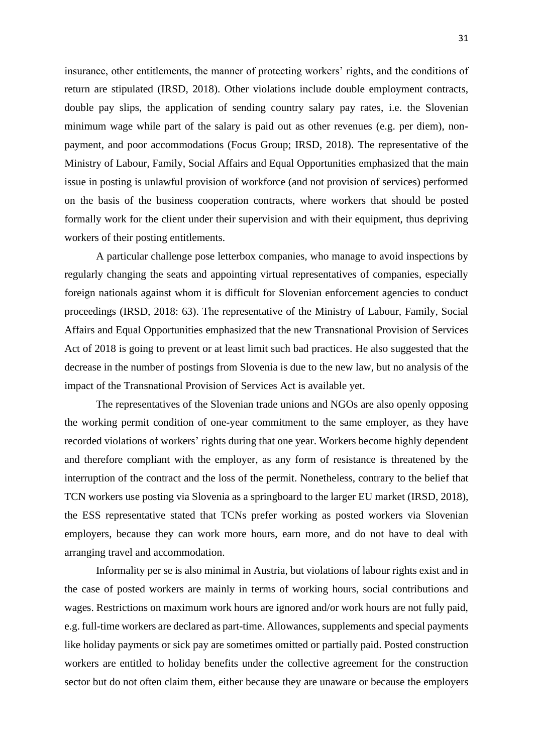insurance, other entitlements, the manner of protecting workers' rights, and the conditions of return are stipulated (IRSD, 2018). Other violations include double employment contracts, double pay slips, the application of sending country salary pay rates, i.e. the Slovenian minimum wage while part of the salary is paid out as other revenues (e.g. per diem), nonpayment, and poor accommodations (Focus Group; IRSD, 2018). The representative of the Ministry of Labour, Family, Social Affairs and Equal Opportunities emphasized that the main issue in posting is unlawful provision of workforce (and not provision of services) performed on the basis of the business cooperation contracts, where workers that should be posted formally work for the client under their supervision and with their equipment, thus depriving workers of their posting entitlements.

A particular challenge pose letterbox companies, who manage to avoid inspections by regularly changing the seats and appointing virtual representatives of companies, especially foreign nationals against whom it is difficult for Slovenian enforcement agencies to conduct proceedings (IRSD, 2018: 63). The representative of the Ministry of Labour, Family, Social Affairs and Equal Opportunities emphasized that the new Transnational Provision of Services Act of 2018 is going to prevent or at least limit such bad practices. He also suggested that the decrease in the number of postings from Slovenia is due to the new law, but no analysis of the impact of the Transnational Provision of Services Act is available yet.

The representatives of the Slovenian trade unions and NGOs are also openly opposing the working permit condition of one-year commitment to the same employer, as they have recorded violations of workers' rights during that one year. Workers become highly dependent and therefore compliant with the employer, as any form of resistance is threatened by the interruption of the contract and the loss of the permit. Nonetheless, contrary to the belief that TCN workers use posting via Slovenia as a springboard to the larger EU market (IRSD, 2018), the ESS representative stated that TCNs prefer working as posted workers via Slovenian employers, because they can work more hours, earn more, and do not have to deal with arranging travel and accommodation.

Informality per se is also minimal in Austria, but violations of labour rights exist and in the case of posted workers are mainly in terms of working hours, social contributions and wages. Restrictions on maximum work hours are ignored and/or work hours are not fully paid, e.g. full-time workers are declared as part-time. Allowances, supplements and special payments like holiday payments or sick pay are sometimes omitted or partially paid. Posted construction workers are entitled to holiday benefits under the collective agreement for the construction sector but do not often claim them, either because they are unaware or because the employers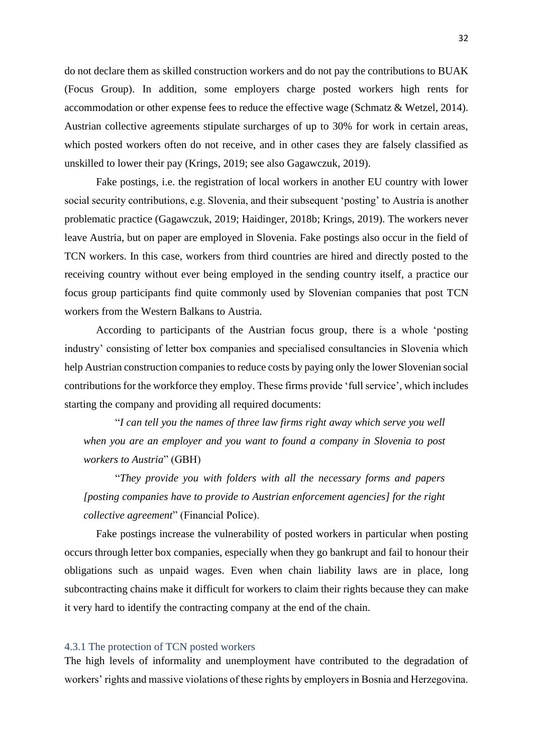do not declare them as skilled construction workers and do not pay the contributions to BUAK (Focus Group). In addition, some employers charge posted workers high rents for accommodation or other expense fees to reduce the effective wage (Schmatz & Wetzel, 2014). Austrian collective agreements stipulate surcharges of up to 30% for work in certain areas, which posted workers often do not receive, and in other cases they are falsely classified as unskilled to lower their pay (Krings, 2019; see also Gagawczuk, 2019).

Fake postings, i.e. the registration of local workers in another EU country with lower social security contributions, e.g. Slovenia, and their subsequent 'posting' to Austria is another problematic practice (Gagawczuk, 2019; Haidinger, 2018b; Krings, 2019). The workers never leave Austria, but on paper are employed in Slovenia. Fake postings also occur in the field of TCN workers. In this case, workers from third countries are hired and directly posted to the receiving country without ever being employed in the sending country itself, a practice our focus group participants find quite commonly used by Slovenian companies that post TCN workers from the Western Balkans to Austria.

According to participants of the Austrian focus group, there is a whole 'posting industry' consisting of letter box companies and specialised consultancies in Slovenia which help Austrian construction companies to reduce costs by paying only the lower Slovenian social contributions for the workforce they employ. These firms provide 'full service', which includes starting the company and providing all required documents:

"*I can tell you the names of three law firms right away which serve you well when you are an employer and you want to found a company in Slovenia to post workers to Austria*" (GBH)

"*They provide you with folders with all the necessary forms and papers [posting companies have to provide to Austrian enforcement agencies] for the right collective agreement*" (Financial Police).

Fake postings increase the vulnerability of posted workers in particular when posting occurs through letter box companies, especially when they go bankrupt and fail to honour their obligations such as unpaid wages. Even when chain liability laws are in place, long subcontracting chains make it difficult for workers to claim their rights because they can make it very hard to identify the contracting company at the end of the chain.

#### <span id="page-32-0"></span>4.3.1 The protection of TCN posted workers

The high levels of informality and unemployment have contributed to the degradation of workers' rights and massive violations of these rights by employers in Bosnia and Herzegovina.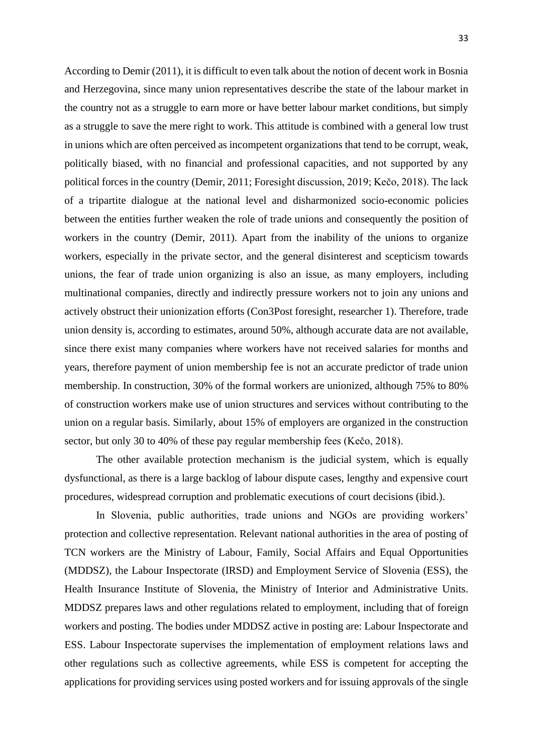According to Demir (2011), it is difficult to even talk about the notion of decent work in Bosnia and Herzegovina, since many union representatives describe the state of the labour market in the country not as a struggle to earn more or have better labour market conditions, but simply as a struggle to save the mere right to work. This attitude is combined with a general low trust in unions which are often perceived as incompetent organizations that tend to be corrupt, weak, politically biased, with no financial and professional capacities, and not supported by any political forces in the country (Demir, 2011; Foresight discussion, 2019; Kečo, 2018). The lack of a tripartite dialogue at the national level and disharmonized socio-economic policies between the entities further weaken the role of trade unions and consequently the position of workers in the country (Demir, 2011). Apart from the inability of the unions to organize workers, especially in the private sector, and the general disinterest and scepticism towards unions, the fear of trade union organizing is also an issue, as many employers, including multinational companies, directly and indirectly pressure workers not to join any unions and actively obstruct their unionization efforts (Con3Post foresight, researcher 1). Therefore, trade union density is, according to estimates, around 50%, although accurate data are not available, since there exist many companies where workers have not received salaries for months and years, therefore payment of union membership fee is not an accurate predictor of trade union membership. In construction, 30% of the formal workers are unionized, although 75% to 80% of construction workers make use of union structures and services without contributing to the union on a regular basis. Similarly, about 15% of employers are organized in the construction sector, but only 30 to 40% of these pay regular membership fees (Kečo, 2018).

The other available protection mechanism is the judicial system, which is equally dysfunctional, as there is a large backlog of labour dispute cases, lengthy and expensive court procedures, widespread corruption and problematic executions of court decisions (ibid.).

In Slovenia, public authorities, trade unions and NGOs are providing workers' protection and collective representation. Relevant national authorities in the area of posting of TCN workers are the Ministry of Labour, Family, Social Affairs and Equal Opportunities (MDDSZ), the Labour Inspectorate (IRSD) and Employment Service of Slovenia (ESS), the Health Insurance Institute of Slovenia, the Ministry of Interior and Administrative Units. MDDSZ prepares laws and other regulations related to employment, including that of foreign workers and posting. The bodies under MDDSZ active in posting are: Labour Inspectorate and ESS. Labour Inspectorate supervises the implementation of employment relations laws and other regulations such as collective agreements, while ESS is competent for accepting the applications for providing services using posted workers and for issuing approvals of the single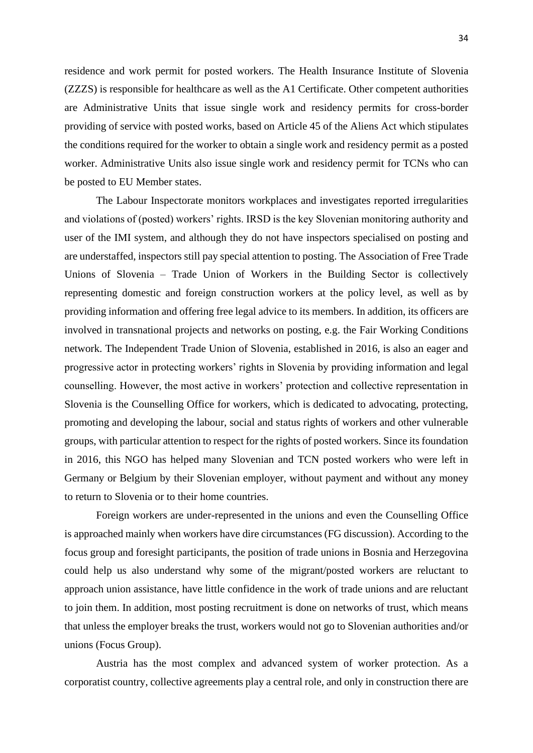residence and work permit for posted workers. The Health Insurance Institute of Slovenia (ZZZS) is responsible for healthcare as well as the A1 Certificate. Other competent authorities are Administrative Units that issue single work and residency permits for cross-border providing of service with posted works, based on Article 45 of the Aliens Act which stipulates the conditions required for the worker to obtain a single work and residency permit as a posted worker. Administrative Units also issue single work and residency permit for TCNs who can be posted to EU Member states.

The Labour Inspectorate monitors workplaces and investigates reported irregularities and violations of (posted) workers' rights. IRSD is the key Slovenian monitoring authority and user of the IMI system, and although they do not have inspectors specialised on posting and are understaffed, inspectors still pay special attention to posting. The Association of Free Trade Unions of Slovenia – Trade Union of Workers in the Building Sector is collectively representing domestic and foreign construction workers at the policy level, as well as by providing information and offering free legal advice to its members. In addition, its officers are involved in transnational projects and networks on posting, e.g. the Fair Working Conditions network. The Independent Trade Union of Slovenia, established in 2016, is also an eager and progressive actor in protecting workers' rights in Slovenia by providing information and legal counselling. However, the most active in workers' protection and collective representation in Slovenia is the Counselling Office for workers, which is dedicated to advocating, protecting, promoting and developing the labour, social and status rights of workers and other vulnerable groups, with particular attention to respect for the rights of posted workers. Since its foundation in 2016, this NGO has helped many Slovenian and TCN posted workers who were left in Germany or Belgium by their Slovenian employer, without payment and without any money to return to Slovenia or to their home countries.

Foreign workers are under-represented in the unions and even the Counselling Office is approached mainly when workers have dire circumstances (FG discussion). According to the focus group and foresight participants, the position of trade unions in Bosnia and Herzegovina could help us also understand why some of the migrant/posted workers are reluctant to approach union assistance, have little confidence in the work of trade unions and are reluctant to join them. In addition, most posting recruitment is done on networks of trust, which means that unless the employer breaks the trust, workers would not go to Slovenian authorities and/or unions (Focus Group).

Austria has the most complex and advanced system of worker protection. As a corporatist country, collective agreements play a central role, and only in construction there are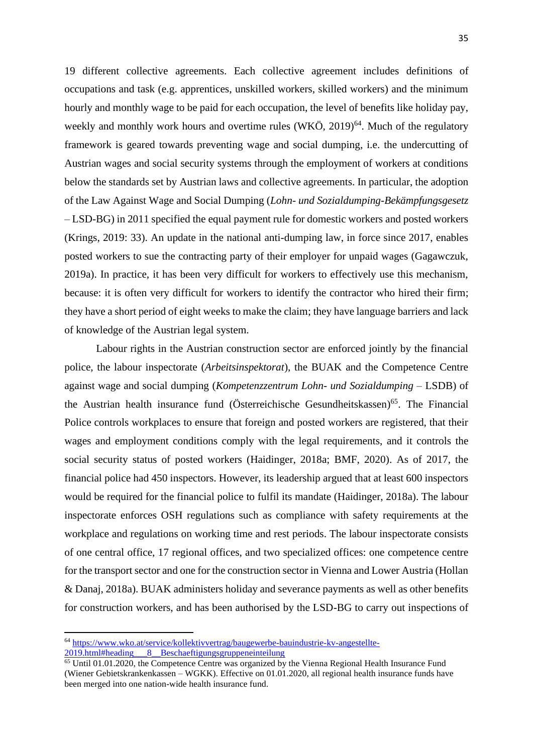19 different collective agreements. Each collective agreement includes definitions of occupations and task (e.g. apprentices, unskilled workers, skilled workers) and the minimum hourly and monthly wage to be paid for each occupation, the level of benefits like holiday pay, weekly and monthly work hours and overtime rules (WKÖ, 2019)<sup>64</sup>. Much of the regulatory framework is geared towards preventing wage and social dumping, i.e. the undercutting of Austrian wages and social security systems through the employment of workers at conditions below the standards set by Austrian laws and collective agreements. In particular, the adoption of the Law Against Wage and Social Dumping (*Lohn- und Sozialdumping-Bekämpfungsgesetz* – LSD-BG) in 2011 specified the equal payment rule for domestic workers and posted workers (Krings, 2019: 33). An update in the national anti-dumping law, in force since 2017, enables posted workers to sue the contracting party of their employer for unpaid wages (Gagawczuk, 2019a). In practice, it has been very difficult for workers to effectively use this mechanism, because: it is often very difficult for workers to identify the contractor who hired their firm; they have a short period of eight weeks to make the claim; they have language barriers and lack of knowledge of the Austrian legal system.

Labour rights in the Austrian construction sector are enforced jointly by the financial police, the labour inspectorate (*Arbeitsinspektorat*), the BUAK and the Competence Centre against wage and social dumping (*Kompetenzzentrum Lohn- und Sozialdumping* – LSDB) of the Austrian health insurance fund (Österreichische Gesundheitskassen)<sup>65</sup>. The Financial Police controls workplaces to ensure that foreign and posted workers are registered, that their wages and employment conditions comply with the legal requirements, and it controls the social security status of posted workers (Haidinger, 2018a; BMF, 2020). As of 2017, the financial police had 450 inspectors. However, its leadership argued that at least 600 inspectors would be required for the financial police to fulfil its mandate (Haidinger, 2018a). The labour inspectorate enforces OSH regulations such as compliance with safety requirements at the workplace and regulations on working time and rest periods. The labour inspectorate consists of one central office, 17 regional offices, and two specialized offices: one competence centre for the transport sector and one for the construction sector in Vienna and Lower Austria (Hollan & Danaj, 2018a). BUAK administers holiday and severance payments as well as other benefits for construction workers, and has been authorised by the LSD-BG to carry out inspections of

<sup>64</sup> [https://www.wko.at/service/kollektivvertrag/baugewerbe-bauindustrie-kv-angestellte-](https://www.wko.at/service/kollektivvertrag/baugewerbe-bauindustrie-kv-angestellte-2019.html#heading___8__Beschaeftigungsgruppeneinteilung) $2019.$ html#heading 8 Beschaeftigungsgruppeneinteilung

<sup>&</sup>lt;sup>65</sup> Until 01.01.2020, the Competence Centre was organized by the Vienna Regional Health Insurance Fund (Wiener Gebietskrankenkassen – WGKK). Effective on 01.01.2020, all regional health insurance funds have been merged into one nation-wide health insurance fund.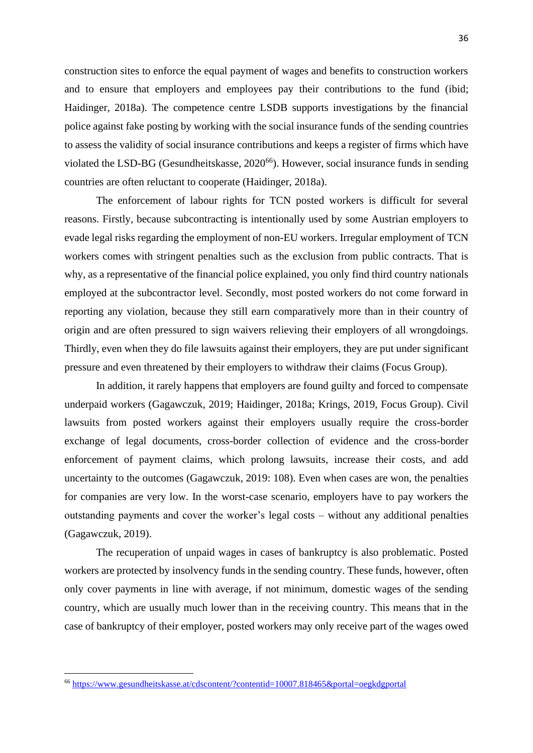construction sites to enforce the equal payment of wages and benefits to construction workers and to ensure that employers and employees pay their contributions to the fund (ibid; Haidinger, 2018a). The competence centre LSDB supports investigations by the financial police against fake posting by working with the social insurance funds of the sending countries to assess the validity of social insurance contributions and keeps a register of firms which have violated the LSD-BG (Gesundheitskasse, 2020<sup>66</sup>). However, social insurance funds in sending countries are often reluctant to cooperate (Haidinger, 2018a).

The enforcement of labour rights for TCN posted workers is difficult for several reasons. Firstly, because subcontracting is intentionally used by some Austrian employers to evade legal risks regarding the employment of non-EU workers. Irregular employment of TCN workers comes with stringent penalties such as the exclusion from public contracts. That is why, as a representative of the financial police explained, you only find third country nationals employed at the subcontractor level. Secondly, most posted workers do not come forward in reporting any violation, because they still earn comparatively more than in their country of origin and are often pressured to sign waivers relieving their employers of all wrongdoings. Thirdly, even when they do file lawsuits against their employers, they are put under significant pressure and even threatened by their employers to withdraw their claims (Focus Group).

In addition, it rarely happens that employers are found guilty and forced to compensate underpaid workers (Gagawczuk, 2019; Haidinger, 2018a; Krings, 2019, Focus Group). Civil lawsuits from posted workers against their employers usually require the cross-border exchange of legal documents, cross-border collection of evidence and the cross-border enforcement of payment claims, which prolong lawsuits, increase their costs, and add uncertainty to the outcomes (Gagawczuk, 2019: 108). Even when cases are won, the penalties for companies are very low. In the worst-case scenario, employers have to pay workers the outstanding payments and cover the worker's legal costs – without any additional penalties (Gagawczuk, 2019).

The recuperation of unpaid wages in cases of bankruptcy is also problematic. Posted workers are protected by insolvency funds in the sending country. These funds, however, often only cover payments in line with average, if not minimum, domestic wages of the sending country, which are usually much lower than in the receiving country. This means that in the case of bankruptcy of their employer, posted workers may only receive part of the wages owed

<sup>66</sup> <https://www.gesundheitskasse.at/cdscontent/?contentid=10007.818465&portal=oegkdgportal>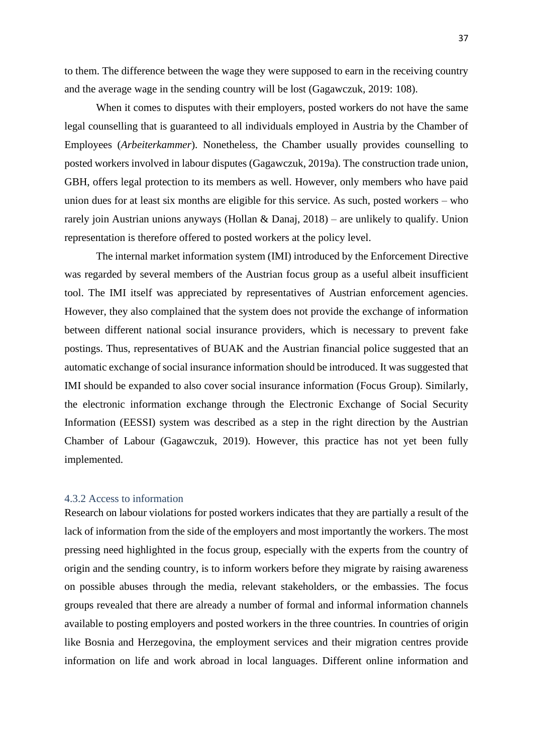to them. The difference between the wage they were supposed to earn in the receiving country and the average wage in the sending country will be lost (Gagawczuk, 2019: 108).

When it comes to disputes with their employers, posted workers do not have the same legal counselling that is guaranteed to all individuals employed in Austria by the Chamber of Employees (*Arbeiterkammer*). Nonetheless, the Chamber usually provides counselling to posted workers involved in labour disputes (Gagawczuk, 2019a). The construction trade union, GBH, offers legal protection to its members as well. However, only members who have paid union dues for at least six months are eligible for this service. As such, posted workers – who rarely join Austrian unions anyways (Hollan & Danaj, 2018) – are unlikely to qualify. Union representation is therefore offered to posted workers at the policy level.

The internal market information system (IMI) introduced by the Enforcement Directive was regarded by several members of the Austrian focus group as a useful albeit insufficient tool. The IMI itself was appreciated by representatives of Austrian enforcement agencies. However, they also complained that the system does not provide the exchange of information between different national social insurance providers, which is necessary to prevent fake postings. Thus, representatives of BUAK and the Austrian financial police suggested that an automatic exchange of social insurance information should be introduced. It was suggested that IMI should be expanded to also cover social insurance information (Focus Group). Similarly, the electronic information exchange through the Electronic Exchange of Social Security Information (EESSI) system was described as a step in the right direction by the Austrian Chamber of Labour (Gagawczuk, 2019). However, this practice has not yet been fully implemented.

#### <span id="page-37-0"></span>4.3.2 Access to information

Research on labour violations for posted workers indicates that they are partially a result of the lack of information from the side of the employers and most importantly the workers. The most pressing need highlighted in the focus group, especially with the experts from the country of origin and the sending country, is to inform workers before they migrate by raising awareness on possible abuses through the media, relevant stakeholders, or the embassies. The focus groups revealed that there are already a number of formal and informal information channels available to posting employers and posted workers in the three countries. In countries of origin like Bosnia and Herzegovina, the employment services and their migration centres provide information on life and work abroad in local languages. Different online information and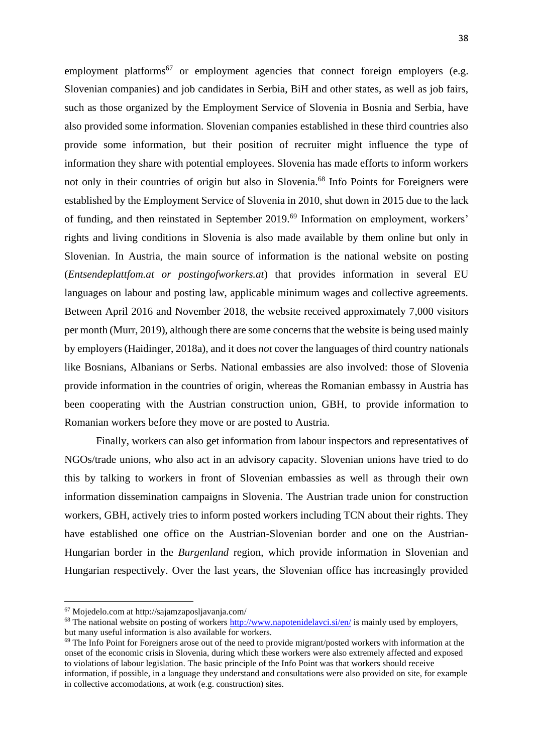employment platforms<sup>67</sup> or employment agencies that connect foreign employers (e.g. Slovenian companies) and job candidates in Serbia, BiH and other states, as well as job fairs, such as those organized by the Employment Service of Slovenia in Bosnia and Serbia, have also provided some information. Slovenian companies established in these third countries also provide some information, but their position of recruiter might influence the type of information they share with potential employees. Slovenia has made efforts to inform workers not only in their countries of origin but also in Slovenia.<sup>68</sup> Info Points for Foreigners were established by the Employment Service of Slovenia in 2010, shut down in 2015 due to the lack of funding, and then reinstated in September 2019.<sup>69</sup> Information on employment, workers' rights and living conditions in Slovenia is also made available by them online but only in Slovenian. In Austria, the main source of information is the national website on posting (*Entsendeplattfom.at or postingofworkers.at*) that provides information in several EU languages on labour and posting law, applicable minimum wages and collective agreements. Between April 2016 and November 2018, the website received approximately 7,000 visitors per month (Murr, 2019), although there are some concerns that the website is being used mainly by employers (Haidinger, 2018a), and it does *not* cover the languages of third country nationals like Bosnians, Albanians or Serbs. National embassies are also involved: those of Slovenia provide information in the countries of origin, whereas the Romanian embassy in Austria has been cooperating with the Austrian construction union, GBH, to provide information to Romanian workers before they move or are posted to Austria.

Finally, workers can also get information from labour inspectors and representatives of NGOs/trade unions, who also act in an advisory capacity. Slovenian unions have tried to do this by talking to workers in front of Slovenian embassies as well as through their own information dissemination campaigns in Slovenia. The Austrian trade union for construction workers, GBH, actively tries to inform posted workers including TCN about their rights. They have established one office on the Austrian-Slovenian border and one on the Austrian-Hungarian border in the *Burgenland* region, which provide information in Slovenian and Hungarian respectively. Over the last years, the Slovenian office has increasingly provided

<sup>67</sup> Mojedelo.com at http://sajamzaposljavanja.com/

<sup>&</sup>lt;sup>68</sup> The national website on posting of workers<http://www.napotenidelavci.si/en/> is mainly used by employers, but many useful information is also available for workers.

 $69$  The Info Point for Foreigners arose out of the need to provide migrant/posted workers with information at the onset of the economic crisis in Slovenia, during which these workers were also extremely affected and exposed to violations of labour legislation. The basic principle of the Info Point was that workers should receive information, if possible, in a language they understand and consultations were also provided on site, for example in collective accomodations, at work (e.g. construction) sites.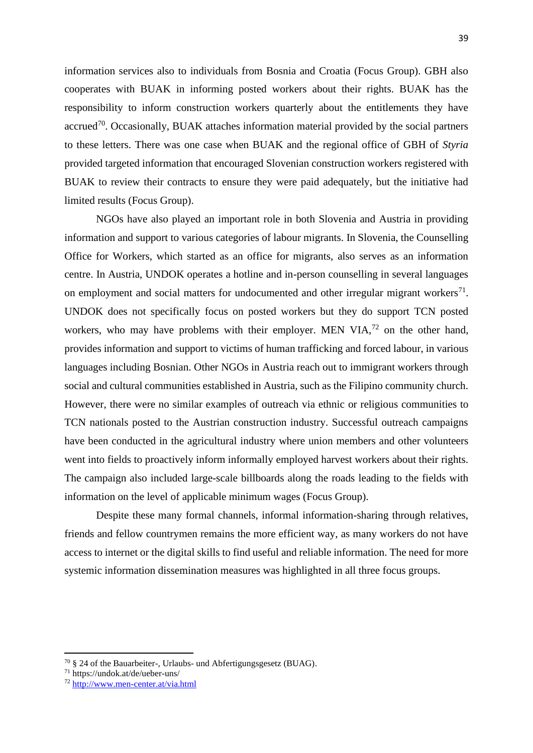information services also to individuals from Bosnia and Croatia (Focus Group). GBH also cooperates with BUAK in informing posted workers about their rights. BUAK has the responsibility to inform construction workers quarterly about the entitlements they have accrued<sup>70</sup>. Occasionally, BUAK attaches information material provided by the social partners to these letters. There was one case when BUAK and the regional office of GBH of *Styria* provided targeted information that encouraged Slovenian construction workers registered with BUAK to review their contracts to ensure they were paid adequately, but the initiative had limited results (Focus Group).

NGOs have also played an important role in both Slovenia and Austria in providing information and support to various categories of labour migrants. In Slovenia, the Counselling Office for Workers, which started as an office for migrants, also serves as an information centre. In Austria, UNDOK operates a hotline and in-person counselling in several languages on employment and social matters for undocumented and other irregular migrant workers $^{71}$ . UNDOK does not specifically focus on posted workers but they do support TCN posted workers, who may have problems with their employer. MEN VIA,<sup>72</sup> on the other hand, provides information and support to victims of human trafficking and forced labour, in various languages including Bosnian. Other NGOs in Austria reach out to immigrant workers through social and cultural communities established in Austria, such as the Filipino community church. However, there were no similar examples of outreach via ethnic or religious communities to TCN nationals posted to the Austrian construction industry. Successful outreach campaigns have been conducted in the agricultural industry where union members and other volunteers went into fields to proactively inform informally employed harvest workers about their rights. The campaign also included large-scale billboards along the roads leading to the fields with information on the level of applicable minimum wages (Focus Group).

Despite these many formal channels, informal information-sharing through relatives, friends and fellow countrymen remains the more efficient way, as many workers do not have access to internet or the digital skills to find useful and reliable information. The need for more systemic information dissemination measures was highlighted in all three focus groups.

 $70 \text{ }\frac{6}{5}$  24 of the Bauarbeiter-, Urlaubs- und Abfertigungsgesetz (BUAG).

<sup>71</sup> https://undok.at/de/ueber-uns/

<sup>72</sup> <http://www.men-center.at/via.html>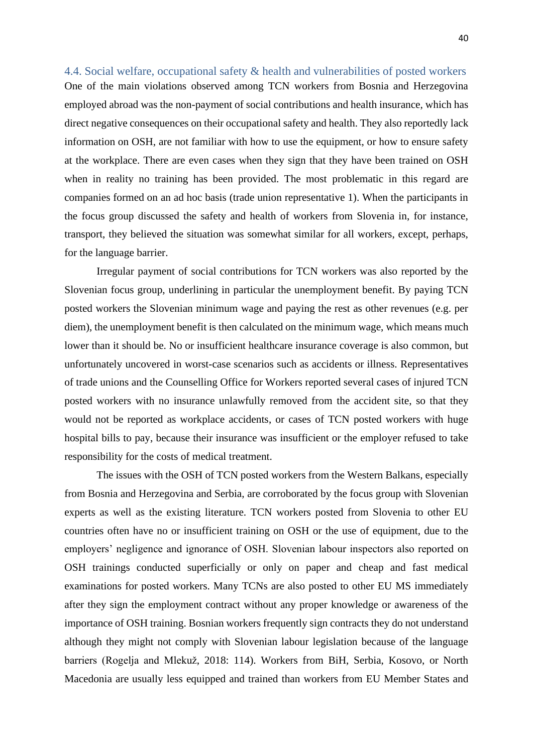<span id="page-40-0"></span>4.4. Social welfare, occupational safety & health and vulnerabilities of posted workers One of the main violations observed among TCN workers from Bosnia and Herzegovina employed abroad was the non-payment of social contributions and health insurance, which has direct negative consequences on their occupational safety and health. They also reportedly lack information on OSH, are not familiar with how to use the equipment, or how to ensure safety at the workplace. There are even cases when they sign that they have been trained on OSH when in reality no training has been provided. The most problematic in this regard are companies formed on an ad hoc basis (trade union representative 1). When the participants in the focus group discussed the safety and health of workers from Slovenia in, for instance, transport, they believed the situation was somewhat similar for all workers, except, perhaps, for the language barrier.

Irregular payment of social contributions for TCN workers was also reported by the Slovenian focus group, underlining in particular the unemployment benefit. By paying TCN posted workers the Slovenian minimum wage and paying the rest as other revenues (e.g. per diem), the unemployment benefit is then calculated on the minimum wage, which means much lower than it should be. No or insufficient healthcare insurance coverage is also common, but unfortunately uncovered in worst-case scenarios such as accidents or illness. Representatives of trade unions and the Counselling Office for Workers reported several cases of injured TCN posted workers with no insurance unlawfully removed from the accident site, so that they would not be reported as workplace accidents, or cases of TCN posted workers with huge hospital bills to pay, because their insurance was insufficient or the employer refused to take responsibility for the costs of medical treatment.

The issues with the OSH of TCN posted workers from the Western Balkans, especially from Bosnia and Herzegovina and Serbia, are corroborated by the focus group with Slovenian experts as well as the existing literature. TCN workers posted from Slovenia to other EU countries often have no or insufficient training on OSH or the use of equipment, due to the employers' negligence and ignorance of OSH. Slovenian labour inspectors also reported on OSH trainings conducted superficially or only on paper and cheap and fast medical examinations for posted workers. Many TCNs are also posted to other EU MS immediately after they sign the employment contract without any proper knowledge or awareness of the importance of OSH training. Bosnian workers frequently sign contracts they do not understand although they might not comply with Slovenian labour legislation because of the language barriers (Rogelja and Mlekuž, 2018: 114). Workers from BiH, Serbia, Kosovo, or North Macedonia are usually less equipped and trained than workers from EU Member States and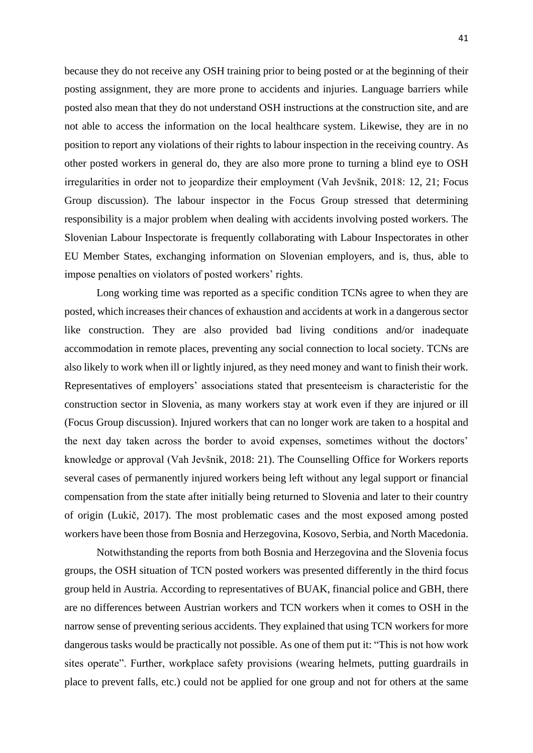because they do not receive any OSH training prior to being posted or at the beginning of their posting assignment, they are more prone to accidents and injuries. Language barriers while posted also mean that they do not understand OSH instructions at the construction site, and are not able to access the information on the local healthcare system. Likewise, they are in no position to report any violations of their rights to labour inspection in the receiving country. As other posted workers in general do, they are also more prone to turning a blind eye to OSH irregularities in order not to jeopardize their employment (Vah Jevšnik, 2018: 12, 21; Focus Group discussion). The labour inspector in the Focus Group stressed that determining responsibility is a major problem when dealing with accidents involving posted workers. The Slovenian Labour Inspectorate is frequently collaborating with Labour Inspectorates in other EU Member States, exchanging information on Slovenian employers, and is, thus, able to impose penalties on violators of posted workers' rights.

Long working time was reported as a specific condition TCNs agree to when they are posted, which increases their chances of exhaustion and accidents at work in a dangerous sector like construction. They are also provided bad living conditions and/or inadequate accommodation in remote places, preventing any social connection to local society. TCNs are also likely to work when ill or lightly injured, as they need money and want to finish their work. Representatives of employers' associations stated that presenteeism is characteristic for the construction sector in Slovenia, as many workers stay at work even if they are injured or ill (Focus Group discussion). Injured workers that can no longer work are taken to a hospital and the next day taken across the border to avoid expenses, sometimes without the doctors' knowledge or approval (Vah Jevšnik, 2018: 21). The Counselling Office for Workers reports several cases of permanently injured workers being left without any legal support or financial compensation from the state after initially being returned to Slovenia and later to their country of origin (Lukič, 2017). The most problematic cases and the most exposed among posted workers have been those from Bosnia and Herzegovina, Kosovo, Serbia, and North Macedonia.

Notwithstanding the reports from both Bosnia and Herzegovina and the Slovenia focus groups, the OSH situation of TCN posted workers was presented differently in the third focus group held in Austria. According to representatives of BUAK, financial police and GBH, there are no differences between Austrian workers and TCN workers when it comes to OSH in the narrow sense of preventing serious accidents. They explained that using TCN workers for more dangerous tasks would be practically not possible. As one of them put it: "This is not how work sites operate". Further, workplace safety provisions (wearing helmets, putting guardrails in place to prevent falls, etc.) could not be applied for one group and not for others at the same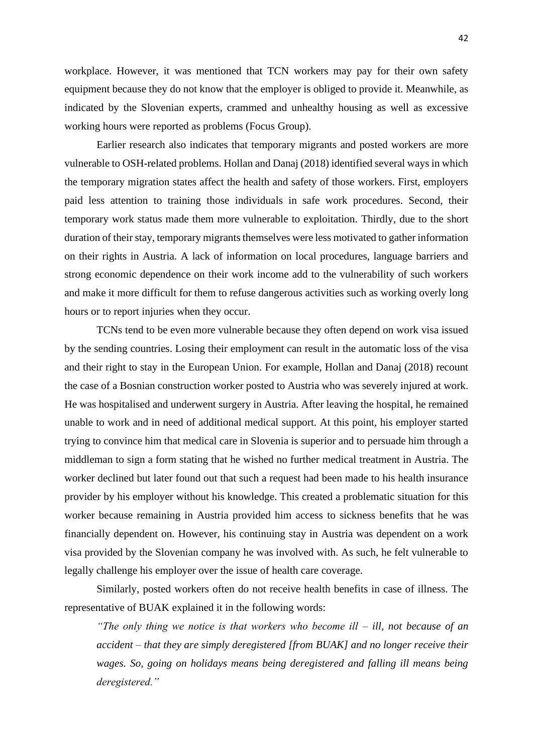workplace. However, it was mentioned that TCN workers may pay for their own safety equipment because they do not know that the employer is obliged to provide it. Meanwhile, as indicated by the Slovenian experts, crammed and unhealthy housing as well as excessive working hours were reported as problems (Focus Group).

Earlier research also indicates that temporary migrants and posted workers are more vulnerable to OSH-related problems. Hollan and Danaj (2018) identified several ways in which the temporary migration states affect the health and safety of those workers. First, employers paid less attention to training those individuals in safe work procedures. Second, their temporary work status made them more vulnerable to exploitation. Thirdly, due to the short duration of their stay, temporary migrants themselves were less motivated to gather information on their rights in Austria. A lack of information on local procedures, language barriers and strong economic dependence on their work income add to the vulnerability of such workers and make it more difficult for them to refuse dangerous activities such as working overly long hours or to report injuries when they occur.

TCNs tend to be even more vulnerable because they often depend on work visa issued by the sending countries. Losing their employment can result in the automatic loss of the visa and their right to stay in the European Union. For example, Hollan and Danaj (2018) recount the case of a Bosnian construction worker posted to Austria who was severely injured at work. He was hospitalised and underwent surgery in Austria. After leaving the hospital, he remained unable to work and in need of additional medical support. At this point, his employer started trying to convince him that medical care in Slovenia is superior and to persuade him through a middleman to sign a form stating that he wished no further medical treatment in Austria. The worker declined but later found out that such a request had been made to his health insurance provider by his employer without his knowledge. This created a problematic situation for this worker because remaining in Austria provided him access to sickness benefits that he was financially dependent on. However, his continuing stay in Austria was dependent on a work visa provided by the Slovenian company he was involved with. As such, he felt vulnerable to legally challenge his employer over the issue of health care coverage.

Similarly, posted workers often do not receive health benefits in case of illness. The representative of BUAK explained it in the following words:

*"The only thing we notice is that workers who become ill – ill, not because of an accident – that they are simply deregistered [from BUAK] and no longer receive their wages. So, going on holidays means being deregistered and falling ill means being deregistered."*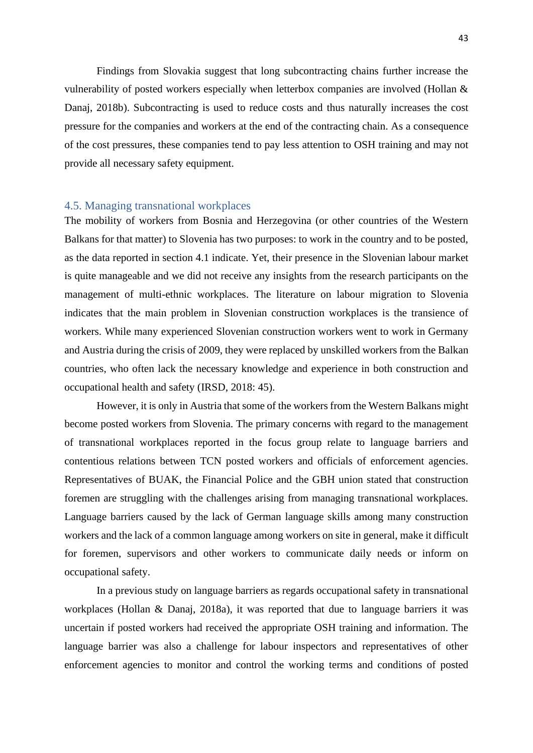Findings from Slovakia suggest that long subcontracting chains further increase the vulnerability of posted workers especially when letterbox companies are involved (Hollan & Danaj, 2018b). Subcontracting is used to reduce costs and thus naturally increases the cost pressure for the companies and workers at the end of the contracting chain. As a consequence of the cost pressures, these companies tend to pay less attention to OSH training and may not provide all necessary safety equipment.

#### <span id="page-43-0"></span>4.5. Managing transnational workplaces

The mobility of workers from Bosnia and Herzegovina (or other countries of the Western Balkans for that matter) to Slovenia has two purposes: to work in the country and to be posted, as the data reported in section 4.1 indicate. Yet, their presence in the Slovenian labour market is quite manageable and we did not receive any insights from the research participants on the management of multi-ethnic workplaces. The literature on labour migration to Slovenia indicates that the main problem in Slovenian construction workplaces is the transience of workers. While many experienced Slovenian construction workers went to work in Germany and Austria during the crisis of 2009, they were replaced by unskilled workers from the Balkan countries, who often lack the necessary knowledge and experience in both construction and occupational health and safety (IRSD, 2018: 45).

However, it is only in Austria that some of the workers from the Western Balkans might become posted workers from Slovenia. The primary concerns with regard to the management of transnational workplaces reported in the focus group relate to language barriers and contentious relations between TCN posted workers and officials of enforcement agencies. Representatives of BUAK, the Financial Police and the GBH union stated that construction foremen are struggling with the challenges arising from managing transnational workplaces. Language barriers caused by the lack of German language skills among many construction workers and the lack of a common language among workers on site in general, make it difficult for foremen, supervisors and other workers to communicate daily needs or inform on occupational safety.

In a previous study on language barriers as regards occupational safety in transnational workplaces (Hollan & Danaj, 2018a), it was reported that due to language barriers it was uncertain if posted workers had received the appropriate OSH training and information. The language barrier was also a challenge for labour inspectors and representatives of other enforcement agencies to monitor and control the working terms and conditions of posted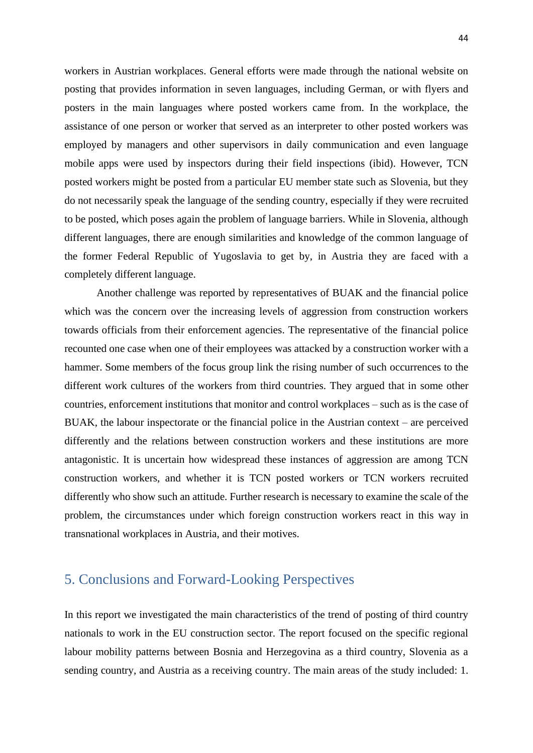workers in Austrian workplaces. General efforts were made through the national website on posting that provides information in seven languages, including German, or with flyers and posters in the main languages where posted workers came from. In the workplace, the assistance of one person or worker that served as an interpreter to other posted workers was employed by managers and other supervisors in daily communication and even language mobile apps were used by inspectors during their field inspections (ibid). However, TCN posted workers might be posted from a particular EU member state such as Slovenia, but they do not necessarily speak the language of the sending country, especially if they were recruited to be posted, which poses again the problem of language barriers. While in Slovenia, although different languages, there are enough similarities and knowledge of the common language of the former Federal Republic of Yugoslavia to get by, in Austria they are faced with a completely different language.

Another challenge was reported by representatives of BUAK and the financial police which was the concern over the increasing levels of aggression from construction workers towards officials from their enforcement agencies. The representative of the financial police recounted one case when one of their employees was attacked by a construction worker with a hammer. Some members of the focus group link the rising number of such occurrences to the different work cultures of the workers from third countries. They argued that in some other countries, enforcement institutions that monitor and control workplaces – such as is the case of BUAK, the labour inspectorate or the financial police in the Austrian context – are perceived differently and the relations between construction workers and these institutions are more antagonistic. It is uncertain how widespread these instances of aggression are among TCN construction workers, and whether it is TCN posted workers or TCN workers recruited differently who show such an attitude. Further research is necessary to examine the scale of the problem, the circumstances under which foreign construction workers react in this way in transnational workplaces in Austria, and their motives.

### <span id="page-44-0"></span>5. Conclusions and Forward-Looking Perspectives

In this report we investigated the main characteristics of the trend of posting of third country nationals to work in the EU construction sector. The report focused on the specific regional labour mobility patterns between Bosnia and Herzegovina as a third country, Slovenia as a sending country, and Austria as a receiving country. The main areas of the study included: 1.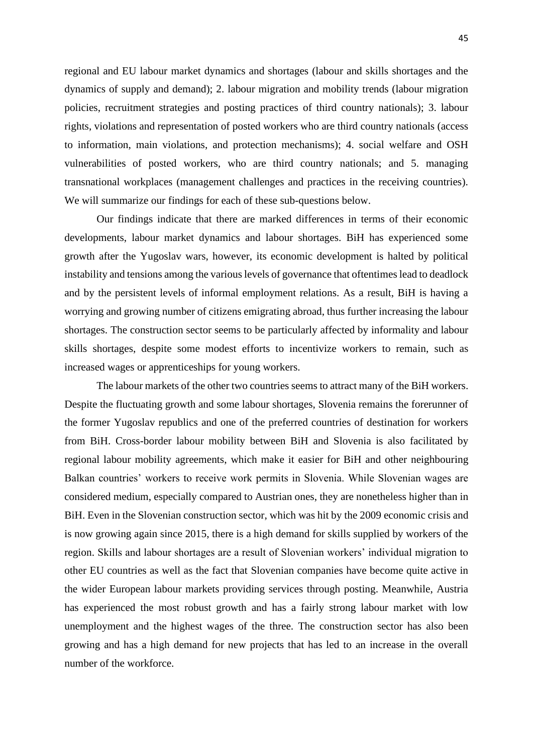regional and EU labour market dynamics and shortages (labour and skills shortages and the dynamics of supply and demand); 2. labour migration and mobility trends (labour migration policies, recruitment strategies and posting practices of third country nationals); 3. labour rights, violations and representation of posted workers who are third country nationals (access to information, main violations, and protection mechanisms); 4. social welfare and OSH vulnerabilities of posted workers, who are third country nationals; and 5. managing transnational workplaces (management challenges and practices in the receiving countries). We will summarize our findings for each of these sub-questions below.

Our findings indicate that there are marked differences in terms of their economic developments, labour market dynamics and labour shortages. BiH has experienced some growth after the Yugoslav wars, however, its economic development is halted by political instability and tensions among the various levels of governance that oftentimes lead to deadlock and by the persistent levels of informal employment relations. As a result, BiH is having a worrying and growing number of citizens emigrating abroad, thus further increasing the labour shortages. The construction sector seems to be particularly affected by informality and labour skills shortages, despite some modest efforts to incentivize workers to remain, such as increased wages or apprenticeships for young workers.

The labour markets of the other two countries seems to attract many of the BiH workers. Despite the fluctuating growth and some labour shortages, Slovenia remains the forerunner of the former Yugoslav republics and one of the preferred countries of destination for workers from BiH. Cross-border labour mobility between BiH and Slovenia is also facilitated by regional labour mobility agreements, which make it easier for BiH and other neighbouring Balkan countries' workers to receive work permits in Slovenia. While Slovenian wages are considered medium, especially compared to Austrian ones, they are nonetheless higher than in BiH. Even in the Slovenian construction sector, which was hit by the 2009 economic crisis and is now growing again since 2015, there is a high demand for skills supplied by workers of the region. Skills and labour shortages are a result of Slovenian workers' individual migration to other EU countries as well as the fact that Slovenian companies have become quite active in the wider European labour markets providing services through posting. Meanwhile, Austria has experienced the most robust growth and has a fairly strong labour market with low unemployment and the highest wages of the three. The construction sector has also been growing and has a high demand for new projects that has led to an increase in the overall number of the workforce.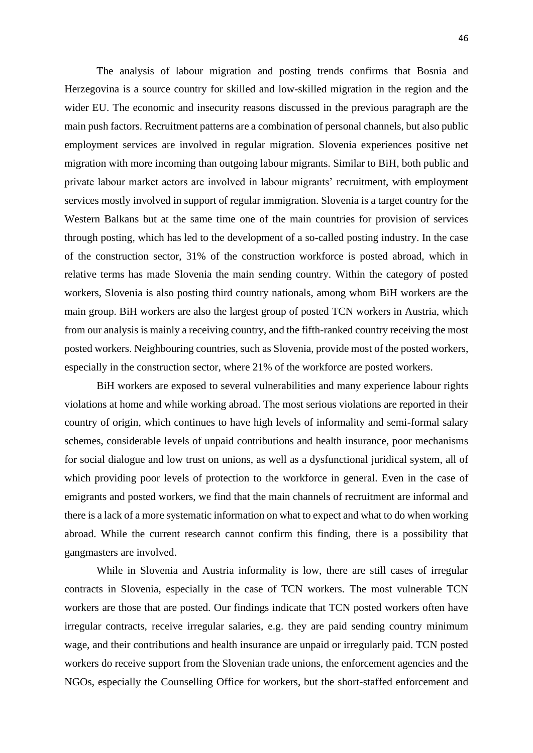The analysis of labour migration and posting trends confirms that Bosnia and Herzegovina is a source country for skilled and low-skilled migration in the region and the wider EU. The economic and insecurity reasons discussed in the previous paragraph are the main push factors. Recruitment patterns are a combination of personal channels, but also public employment services are involved in regular migration. Slovenia experiences positive net migration with more incoming than outgoing labour migrants. Similar to BiH, both public and private labour market actors are involved in labour migrants' recruitment, with employment services mostly involved in support of regular immigration. Slovenia is a target country for the Western Balkans but at the same time one of the main countries for provision of services through posting, which has led to the development of a so-called posting industry. In the case of the construction sector, 31% of the construction workforce is posted abroad, which in relative terms has made Slovenia the main sending country. Within the category of posted workers, Slovenia is also posting third country nationals, among whom BiH workers are the main group. BiH workers are also the largest group of posted TCN workers in Austria, which from our analysis is mainly a receiving country, and the fifth-ranked country receiving the most posted workers. Neighbouring countries, such as Slovenia, provide most of the posted workers, especially in the construction sector, where 21% of the workforce are posted workers.

BiH workers are exposed to several vulnerabilities and many experience labour rights violations at home and while working abroad. The most serious violations are reported in their country of origin, which continues to have high levels of informality and semi-formal salary schemes, considerable levels of unpaid contributions and health insurance, poor mechanisms for social dialogue and low trust on unions, as well as a dysfunctional juridical system, all of which providing poor levels of protection to the workforce in general. Even in the case of emigrants and posted workers, we find that the main channels of recruitment are informal and there is a lack of a more systematic information on what to expect and what to do when working abroad. While the current research cannot confirm this finding, there is a possibility that gangmasters are involved.

While in Slovenia and Austria informality is low, there are still cases of irregular contracts in Slovenia, especially in the case of TCN workers. The most vulnerable TCN workers are those that are posted. Our findings indicate that TCN posted workers often have irregular contracts, receive irregular salaries, e.g. they are paid sending country minimum wage, and their contributions and health insurance are unpaid or irregularly paid. TCN posted workers do receive support from the Slovenian trade unions, the enforcement agencies and the NGOs, especially the Counselling Office for workers, but the short-staffed enforcement and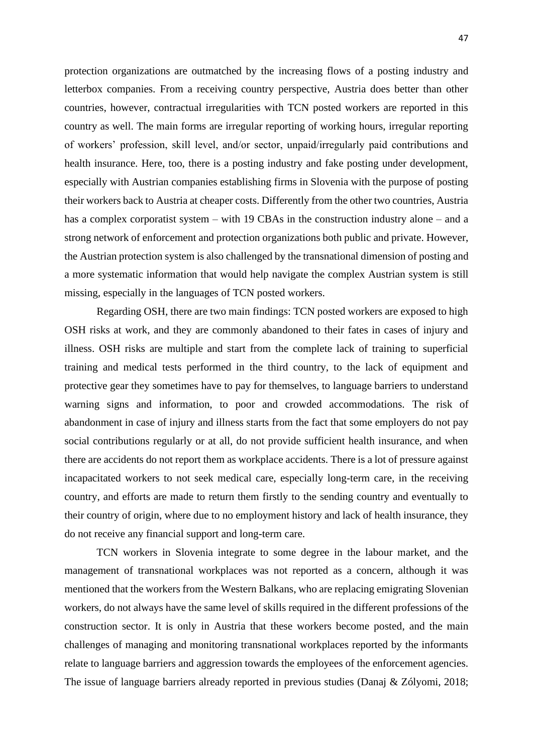protection organizations are outmatched by the increasing flows of a posting industry and letterbox companies. From a receiving country perspective, Austria does better than other countries, however, contractual irregularities with TCN posted workers are reported in this country as well. The main forms are irregular reporting of working hours, irregular reporting of workers' profession, skill level, and/or sector, unpaid/irregularly paid contributions and health insurance. Here, too, there is a posting industry and fake posting under development, especially with Austrian companies establishing firms in Slovenia with the purpose of posting their workers back to Austria at cheaper costs. Differently from the other two countries, Austria has a complex corporatist system – with 19 CBAs in the construction industry alone – and a strong network of enforcement and protection organizations both public and private. However, the Austrian protection system is also challenged by the transnational dimension of posting and a more systematic information that would help navigate the complex Austrian system is still missing, especially in the languages of TCN posted workers.

Regarding OSH, there are two main findings: TCN posted workers are exposed to high OSH risks at work, and they are commonly abandoned to their fates in cases of injury and illness. OSH risks are multiple and start from the complete lack of training to superficial training and medical tests performed in the third country, to the lack of equipment and protective gear they sometimes have to pay for themselves, to language barriers to understand warning signs and information, to poor and crowded accommodations. The risk of abandonment in case of injury and illness starts from the fact that some employers do not pay social contributions regularly or at all, do not provide sufficient health insurance, and when there are accidents do not report them as workplace accidents. There is a lot of pressure against incapacitated workers to not seek medical care, especially long-term care, in the receiving country, and efforts are made to return them firstly to the sending country and eventually to their country of origin, where due to no employment history and lack of health insurance, they do not receive any financial support and long-term care.

TCN workers in Slovenia integrate to some degree in the labour market, and the management of transnational workplaces was not reported as a concern, although it was mentioned that the workers from the Western Balkans, who are replacing emigrating Slovenian workers, do not always have the same level of skills required in the different professions of the construction sector. It is only in Austria that these workers become posted, and the main challenges of managing and monitoring transnational workplaces reported by the informants relate to language barriers and aggression towards the employees of the enforcement agencies. The issue of language barriers already reported in previous studies (Danaj & Zólyomi, 2018;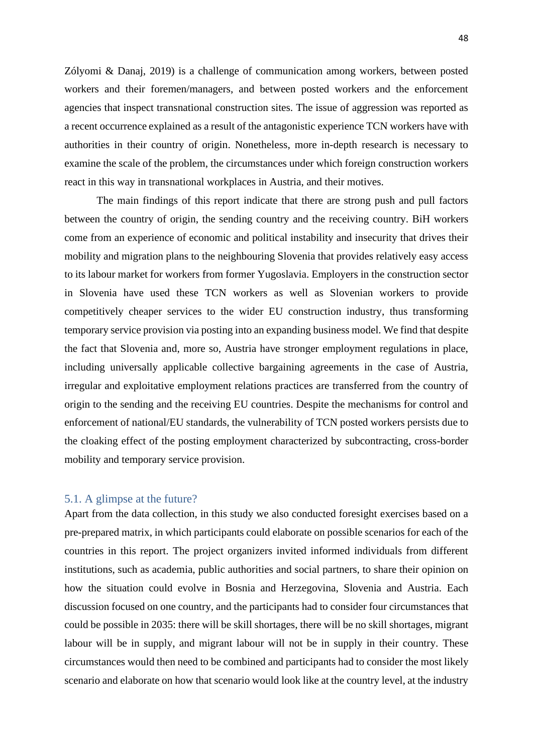Zólyomi & Danaj, 2019) is a challenge of communication among workers, between posted workers and their foremen/managers, and between posted workers and the enforcement agencies that inspect transnational construction sites. The issue of aggression was reported as a recent occurrence explained as a result of the antagonistic experience TCN workers have with authorities in their country of origin. Nonetheless, more in-depth research is necessary to examine the scale of the problem, the circumstances under which foreign construction workers react in this way in transnational workplaces in Austria, and their motives.

The main findings of this report indicate that there are strong push and pull factors between the country of origin, the sending country and the receiving country. BiH workers come from an experience of economic and political instability and insecurity that drives their mobility and migration plans to the neighbouring Slovenia that provides relatively easy access to its labour market for workers from former Yugoslavia. Employers in the construction sector in Slovenia have used these TCN workers as well as Slovenian workers to provide competitively cheaper services to the wider EU construction industry, thus transforming temporary service provision via posting into an expanding business model. We find that despite the fact that Slovenia and, more so, Austria have stronger employment regulations in place, including universally applicable collective bargaining agreements in the case of Austria, irregular and exploitative employment relations practices are transferred from the country of origin to the sending and the receiving EU countries. Despite the mechanisms for control and enforcement of national/EU standards, the vulnerability of TCN posted workers persists due to the cloaking effect of the posting employment characterized by subcontracting, cross-border mobility and temporary service provision.

#### <span id="page-48-0"></span>5.1. A glimpse at the future?

Apart from the data collection, in this study we also conducted foresight exercises based on a pre-prepared matrix, in which participants could elaborate on possible scenarios for each of the countries in this report. The project organizers invited informed individuals from different institutions, such as academia, public authorities and social partners, to share their opinion on how the situation could evolve in Bosnia and Herzegovina, Slovenia and Austria. Each discussion focused on one country, and the participants had to consider four circumstances that could be possible in 2035: there will be skill shortages, there will be no skill shortages, migrant labour will be in supply, and migrant labour will not be in supply in their country. These circumstances would then need to be combined and participants had to consider the most likely scenario and elaborate on how that scenario would look like at the country level, at the industry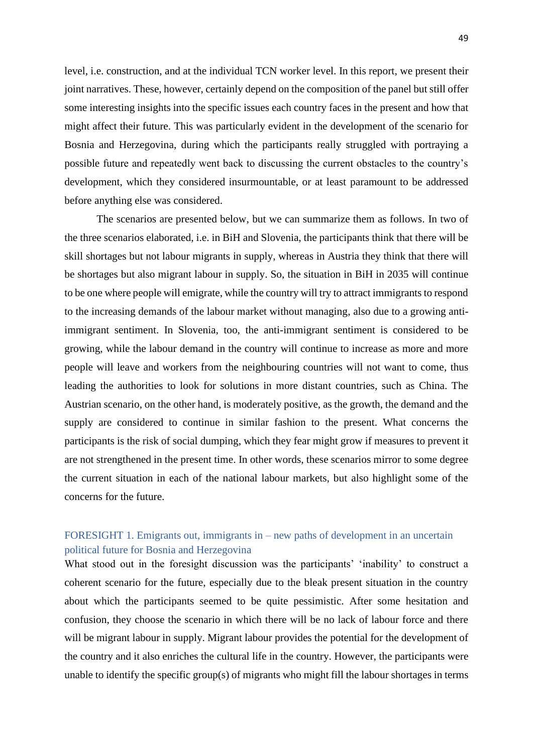level, i.e. construction, and at the individual TCN worker level. In this report, we present their joint narratives. These, however, certainly depend on the composition of the panel but still offer some interesting insights into the specific issues each country faces in the present and how that might affect their future. This was particularly evident in the development of the scenario for Bosnia and Herzegovina, during which the participants really struggled with portraying a possible future and repeatedly went back to discussing the current obstacles to the country's development, which they considered insurmountable, or at least paramount to be addressed before anything else was considered.

The scenarios are presented below, but we can summarize them as follows. In two of the three scenarios elaborated, i.e. in BiH and Slovenia, the participants think that there will be skill shortages but not labour migrants in supply, whereas in Austria they think that there will be shortages but also migrant labour in supply. So, the situation in BiH in 2035 will continue to be one where people will emigrate, while the country will try to attract immigrants to respond to the increasing demands of the labour market without managing, also due to a growing antiimmigrant sentiment. In Slovenia, too, the anti-immigrant sentiment is considered to be growing, while the labour demand in the country will continue to increase as more and more people will leave and workers from the neighbouring countries will not want to come, thus leading the authorities to look for solutions in more distant countries, such as China. The Austrian scenario, on the other hand, is moderately positive, as the growth, the demand and the supply are considered to continue in similar fashion to the present. What concerns the participants is the risk of social dumping, which they fear might grow if measures to prevent it are not strengthened in the present time. In other words, these scenarios mirror to some degree the current situation in each of the national labour markets, but also highlight some of the concerns for the future.

### <span id="page-49-0"></span>FORESIGHT 1. Emigrants out, immigrants in – new paths of development in an uncertain political future for Bosnia and Herzegovina

What stood out in the foresight discussion was the participants' 'inability' to construct a coherent scenario for the future, especially due to the bleak present situation in the country about which the participants seemed to be quite pessimistic. After some hesitation and confusion, they choose the scenario in which there will be no lack of labour force and there will be migrant labour in supply. Migrant labour provides the potential for the development of the country and it also enriches the cultural life in the country. However, the participants were unable to identify the specific group(s) of migrants who might fill the labour shortages in terms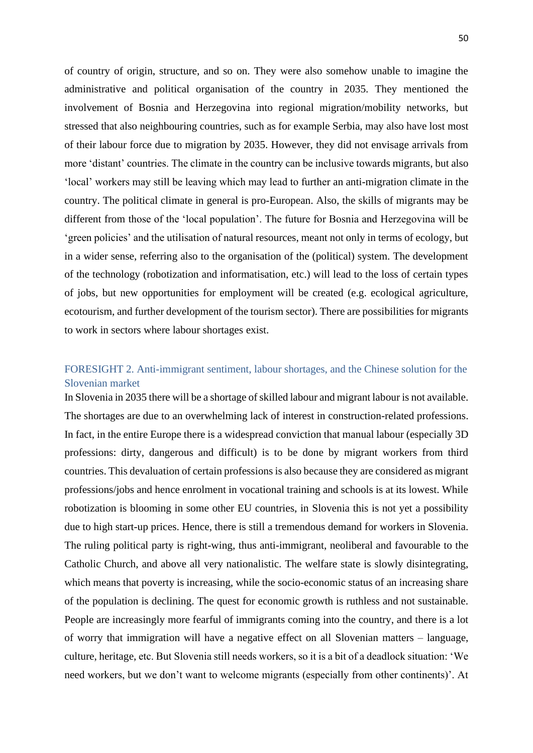of country of origin, structure, and so on. They were also somehow unable to imagine the administrative and political organisation of the country in 2035. They mentioned the involvement of Bosnia and Herzegovina into regional migration/mobility networks, but stressed that also neighbouring countries, such as for example Serbia, may also have lost most of their labour force due to migration by 2035. However, they did not envisage arrivals from more 'distant' countries. The climate in the country can be inclusive towards migrants, but also 'local' workers may still be leaving which may lead to further an anti-migration climate in the country. The political climate in general is pro-European. Also, the skills of migrants may be different from those of the 'local population'. The future for Bosnia and Herzegovina will be 'green policies' and the utilisation of natural resources, meant not only in terms of ecology, but in a wider sense, referring also to the organisation of the (political) system. The development of the technology (robotization and informatisation, etc.) will lead to the loss of certain types of jobs, but new opportunities for employment will be created (e.g. ecological agriculture, ecotourism, and further development of the tourism sector). There are possibilities for migrants to work in sectors where labour shortages exist.

### <span id="page-50-0"></span>FORESIGHT 2. Anti-immigrant sentiment, labour shortages, and the Chinese solution for the Slovenian market

In Slovenia in 2035 there will be a shortage of skilled labour and migrant labour is not available. The shortages are due to an overwhelming lack of interest in construction-related professions. In fact, in the entire Europe there is a widespread conviction that manual labour (especially 3D professions: dirty, dangerous and difficult) is to be done by migrant workers from third countries. This devaluation of certain professions is also because they are considered as migrant professions/jobs and hence enrolment in vocational training and schools is at its lowest. While robotization is blooming in some other EU countries, in Slovenia this is not yet a possibility due to high start-up prices. Hence, there is still a tremendous demand for workers in Slovenia. The ruling political party is right-wing, thus anti-immigrant, neoliberal and favourable to the Catholic Church, and above all very nationalistic. The welfare state is slowly disintegrating, which means that poverty is increasing, while the socio-economic status of an increasing share of the population is declining. The quest for economic growth is ruthless and not sustainable. People are increasingly more fearful of immigrants coming into the country, and there is a lot of worry that immigration will have a negative effect on all Slovenian matters – language, culture, heritage, etc. But Slovenia still needs workers, so it is a bit of a deadlock situation: 'We need workers, but we don't want to welcome migrants (especially from other continents)'. At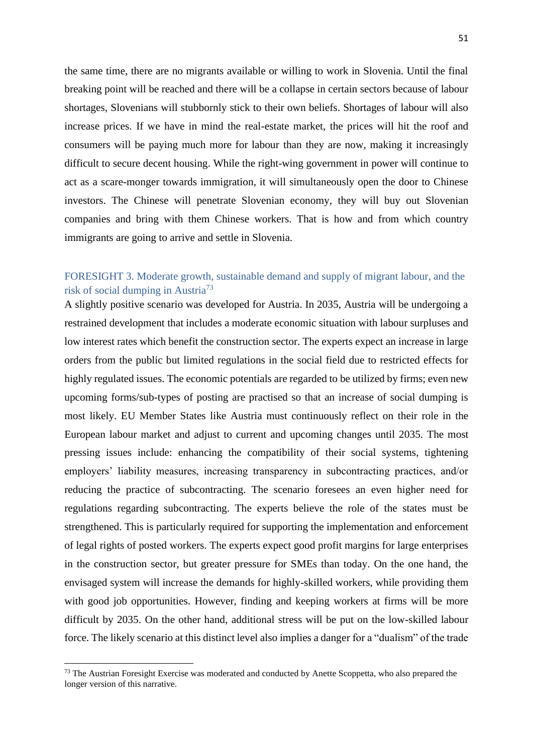the same time, there are no migrants available or willing to work in Slovenia. Until the final breaking point will be reached and there will be a collapse in certain sectors because of labour shortages, Slovenians will stubbornly stick to their own beliefs. Shortages of labour will also increase prices. If we have in mind the real-estate market, the prices will hit the roof and consumers will be paying much more for labour than they are now, making it increasingly difficult to secure decent housing. While the right-wing government in power will continue to act as a scare-monger towards immigration, it will simultaneously open the door to Chinese investors. The Chinese will penetrate Slovenian economy, they will buy out Slovenian companies and bring with them Chinese workers. That is how and from which country immigrants are going to arrive and settle in Slovenia.

### <span id="page-51-0"></span>FORESIGHT 3. Moderate growth, sustainable demand and supply of migrant labour, and the risk of social dumping in Austria<sup>73</sup>

A slightly positive scenario was developed for Austria. In 2035, Austria will be undergoing a restrained development that includes a moderate economic situation with labour surpluses and low interest rates which benefit the construction sector. The experts expect an increase in large orders from the public but limited regulations in the social field due to restricted effects for highly regulated issues. The economic potentials are regarded to be utilized by firms; even new upcoming forms/sub-types of posting are practised so that an increase of social dumping is most likely. EU Member States like Austria must continuously reflect on their role in the European labour market and adjust to current and upcoming changes until 2035. The most pressing issues include: enhancing the compatibility of their social systems, tightening employers' liability measures, increasing transparency in subcontracting practices, and/or reducing the practice of subcontracting. The scenario foresees an even higher need for regulations regarding subcontracting. The experts believe the role of the states must be strengthened. This is particularly required for supporting the implementation and enforcement of legal rights of posted workers. The experts expect good profit margins for large enterprises in the construction sector, but greater pressure for SMEs than today. On the one hand, the envisaged system will increase the demands for highly-skilled workers, while providing them with good job opportunities. However, finding and keeping workers at firms will be more difficult by 2035. On the other hand, additional stress will be put on the low-skilled labour force. The likely scenario at this distinct level also implies a danger for a "dualism" of the trade

<sup>&</sup>lt;sup>73</sup> The Austrian Foresight Exercise was moderated and conducted by Anette Scoppetta, who also prepared the longer version of this narrative.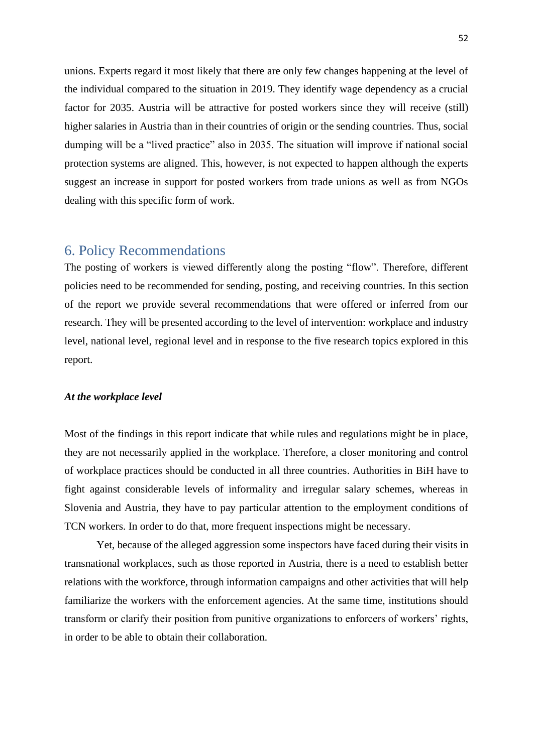unions. Experts regard it most likely that there are only few changes happening at the level of the individual compared to the situation in 2019. They identify wage dependency as a crucial factor for 2035. Austria will be attractive for posted workers since they will receive (still) higher salaries in Austria than in their countries of origin or the sending countries. Thus, social dumping will be a "lived practice" also in 2035. The situation will improve if national social protection systems are aligned. This, however, is not expected to happen although the experts suggest an increase in support for posted workers from trade unions as well as from NGOs dealing with this specific form of work.

### <span id="page-52-0"></span>6. Policy Recommendations

The posting of workers is viewed differently along the posting "flow". Therefore, different policies need to be recommended for sending, posting, and receiving countries. In this section of the report we provide several recommendations that were offered or inferred from our research. They will be presented according to the level of intervention: workplace and industry level, national level, regional level and in response to the five research topics explored in this report.

#### *At the workplace level*

Most of the findings in this report indicate that while rules and regulations might be in place, they are not necessarily applied in the workplace. Therefore, a closer monitoring and control of workplace practices should be conducted in all three countries. Authorities in BiH have to fight against considerable levels of informality and irregular salary schemes, whereas in Slovenia and Austria, they have to pay particular attention to the employment conditions of TCN workers. In order to do that, more frequent inspections might be necessary.

Yet, because of the alleged aggression some inspectors have faced during their visits in transnational workplaces, such as those reported in Austria, there is a need to establish better relations with the workforce, through information campaigns and other activities that will help familiarize the workers with the enforcement agencies. At the same time, institutions should transform or clarify their position from punitive organizations to enforcers of workers' rights, in order to be able to obtain their collaboration.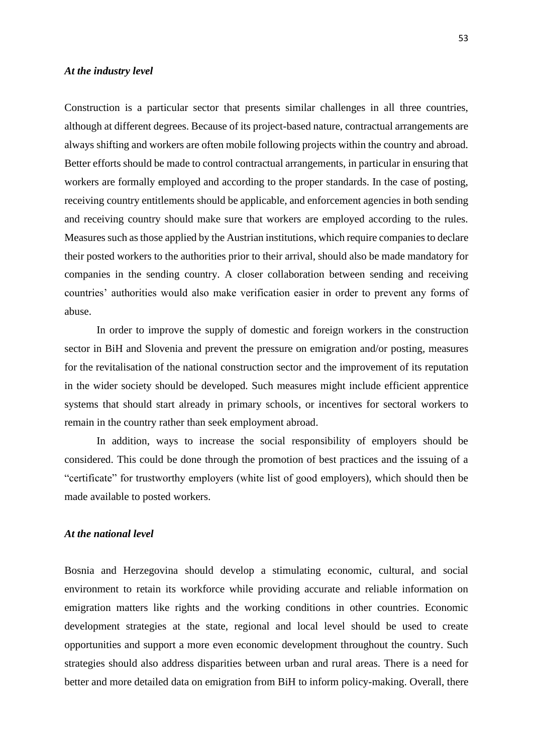#### *At the industry level*

Construction is a particular sector that presents similar challenges in all three countries, although at different degrees. Because of its project-based nature, contractual arrangements are always shifting and workers are often mobile following projects within the country and abroad. Better efforts should be made to control contractual arrangements, in particular in ensuring that workers are formally employed and according to the proper standards. In the case of posting, receiving country entitlements should be applicable, and enforcement agencies in both sending and receiving country should make sure that workers are employed according to the rules. Measures such as those applied by the Austrian institutions, which require companies to declare their posted workers to the authorities prior to their arrival, should also be made mandatory for companies in the sending country. A closer collaboration between sending and receiving countries' authorities would also make verification easier in order to prevent any forms of abuse.

In order to improve the supply of domestic and foreign workers in the construction sector in BiH and Slovenia and prevent the pressure on emigration and/or posting, measures for the revitalisation of the national construction sector and the improvement of its reputation in the wider society should be developed. Such measures might include efficient apprentice systems that should start already in primary schools, or incentives for sectoral workers to remain in the country rather than seek employment abroad.

In addition, ways to increase the social responsibility of employers should be considered. This could be done through the promotion of best practices and the issuing of a "certificate" for trustworthy employers (white list of good employers), which should then be made available to posted workers.

### *At the national level*

Bosnia and Herzegovina should develop a stimulating economic, cultural, and social environment to retain its workforce while providing accurate and reliable information on emigration matters like rights and the working conditions in other countries. Economic development strategies at the state, regional and local level should be used to create opportunities and support a more even economic development throughout the country. Such strategies should also address disparities between urban and rural areas. There is a need for better and more detailed data on emigration from BiH to inform policy-making. Overall, there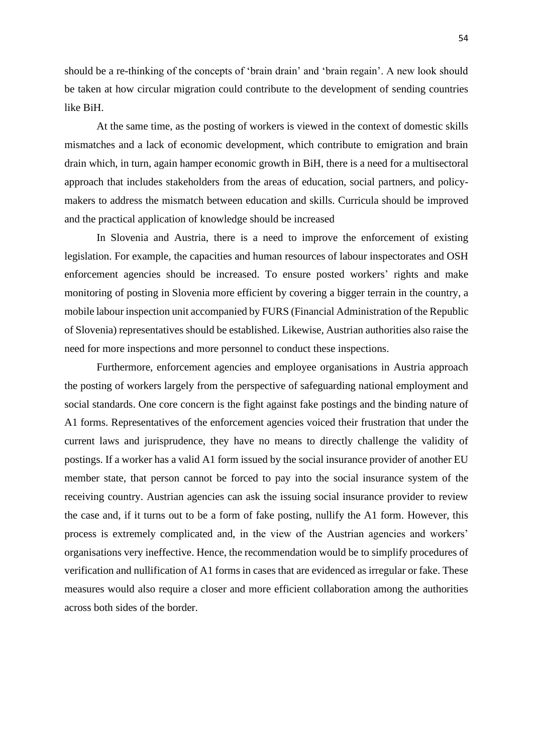should be a re-thinking of the concepts of 'brain drain' and 'brain regain'. A new look should be taken at how circular migration could contribute to the development of sending countries like BiH.

At the same time, as the posting of workers is viewed in the context of domestic skills mismatches and a lack of economic development, which contribute to emigration and brain drain which, in turn, again hamper economic growth in BiH, there is a need for a multisectoral approach that includes stakeholders from the areas of education, social partners, and policymakers to address the mismatch between education and skills. Curricula should be improved and the practical application of knowledge should be increased

In Slovenia and Austria, there is a need to improve the enforcement of existing legislation. For example, the capacities and human resources of labour inspectorates and OSH enforcement agencies should be increased. To ensure posted workers' rights and make monitoring of posting in Slovenia more efficient by covering a bigger terrain in the country, a mobile labour inspection unit accompanied by FURS (Financial Administration of the Republic of Slovenia) representatives should be established. Likewise, Austrian authorities also raise the need for more inspections and more personnel to conduct these inspections.

Furthermore, enforcement agencies and employee organisations in Austria approach the posting of workers largely from the perspective of safeguarding national employment and social standards. One core concern is the fight against fake postings and the binding nature of A1 forms. Representatives of the enforcement agencies voiced their frustration that under the current laws and jurisprudence, they have no means to directly challenge the validity of postings. If a worker has a valid A1 form issued by the social insurance provider of another EU member state, that person cannot be forced to pay into the social insurance system of the receiving country. Austrian agencies can ask the issuing social insurance provider to review the case and, if it turns out to be a form of fake posting, nullify the A1 form. However, this process is extremely complicated and, in the view of the Austrian agencies and workers' organisations very ineffective. Hence, the recommendation would be to simplify procedures of verification and nullification of A1 forms in cases that are evidenced as irregular or fake. These measures would also require a closer and more efficient collaboration among the authorities across both sides of the border.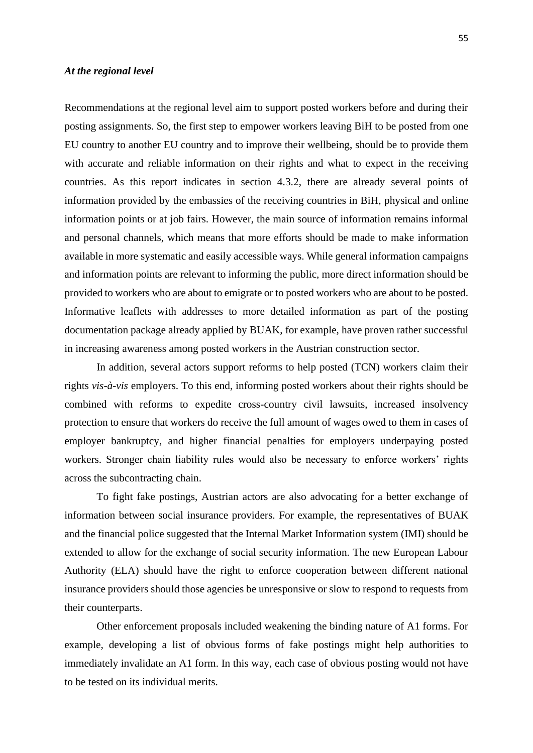#### *At the regional level*

Recommendations at the regional level aim to support posted workers before and during their posting assignments. So, the first step to empower workers leaving BiH to be posted from one EU country to another EU country and to improve their wellbeing, should be to provide them with accurate and reliable information on their rights and what to expect in the receiving countries. As this report indicates in section 4.3.2, there are already several points of information provided by the embassies of the receiving countries in BiH, physical and online information points or at job fairs. However, the main source of information remains informal and personal channels, which means that more efforts should be made to make information available in more systematic and easily accessible ways. While general information campaigns and information points are relevant to informing the public, more direct information should be provided to workers who are about to emigrate or to posted workers who are about to be posted. Informative leaflets with addresses to more detailed information as part of the posting documentation package already applied by BUAK, for example, have proven rather successful in increasing awareness among posted workers in the Austrian construction sector.

In addition, several actors support reforms to help posted (TCN) workers claim their rights *vis-à-vis* employers. To this end, informing posted workers about their rights should be combined with reforms to expedite cross-country civil lawsuits, increased insolvency protection to ensure that workers do receive the full amount of wages owed to them in cases of employer bankruptcy, and higher financial penalties for employers underpaying posted workers. Stronger chain liability rules would also be necessary to enforce workers' rights across the subcontracting chain.

To fight fake postings, Austrian actors are also advocating for a better exchange of information between social insurance providers. For example, the representatives of BUAK and the financial police suggested that the Internal Market Information system (IMI) should be extended to allow for the exchange of social security information. The new European Labour Authority (ELA) should have the right to enforce cooperation between different national insurance providers should those agencies be unresponsive or slow to respond to requests from their counterparts.

Other enforcement proposals included weakening the binding nature of A1 forms. For example, developing a list of obvious forms of fake postings might help authorities to immediately invalidate an A1 form. In this way, each case of obvious posting would not have to be tested on its individual merits.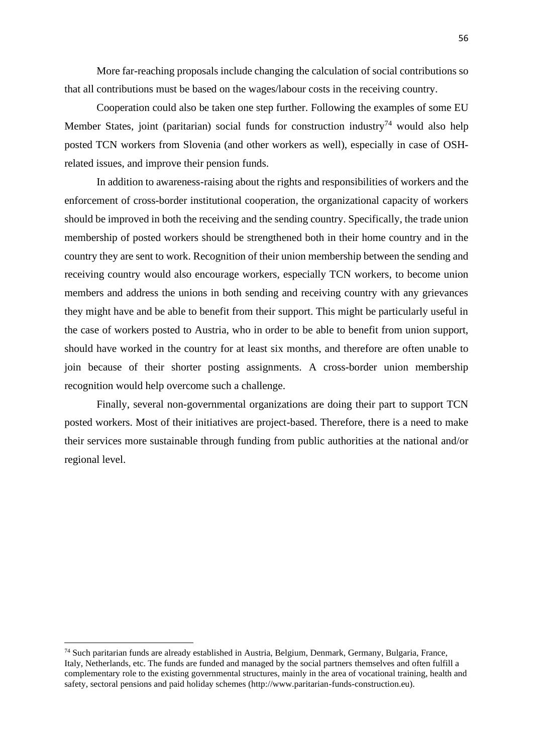More far-reaching proposals include changing the calculation of social contributions so that all contributions must be based on the wages/labour costs in the receiving country.

Cooperation could also be taken one step further. Following the examples of some EU Member States, joint (paritarian) social funds for construction industry<sup>74</sup> would also help posted TCN workers from Slovenia (and other workers as well), especially in case of OSHrelated issues, and improve their pension funds.

In addition to awareness-raising about the rights and responsibilities of workers and the enforcement of cross-border institutional cooperation, the organizational capacity of workers should be improved in both the receiving and the sending country. Specifically, the trade union membership of posted workers should be strengthened both in their home country and in the country they are sent to work. Recognition of their union membership between the sending and receiving country would also encourage workers, especially TCN workers, to become union members and address the unions in both sending and receiving country with any grievances they might have and be able to benefit from their support. This might be particularly useful in the case of workers posted to Austria, who in order to be able to benefit from union support, should have worked in the country for at least six months, and therefore are often unable to join because of their shorter posting assignments. A cross-border union membership recognition would help overcome such a challenge.

Finally, several non-governmental organizations are doing their part to support TCN posted workers. Most of their initiatives are project-based. Therefore, there is a need to make their services more sustainable through funding from public authorities at the national and/or regional level.

<sup>74</sup> Such paritarian funds are already established in Austria, Belgium, Denmark, Germany, Bulgaria, France, Italy, Netherlands, etc. The funds are funded and managed by the social partners themselves and often fulfill a complementary role to the existing governmental structures, mainly in the area of vocational training, health and safety, sectoral pensions and paid holiday schemes (http://www.paritarian-funds-construction.eu).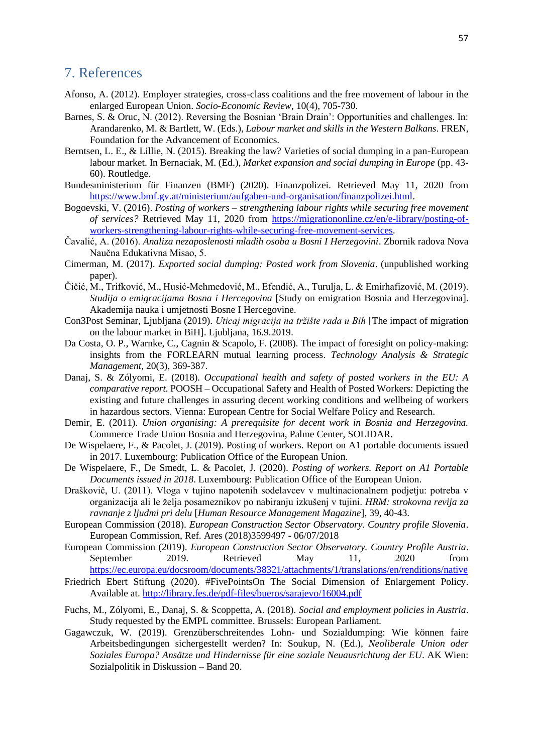### <span id="page-57-0"></span>7. References

- Afonso, A. (2012). Employer strategies, cross-class coalitions and the free movement of labour in the enlarged European Union. *Socio-Economic Review*, 10(4), 705-730.
- Barnes, S. & Oruc, N. (2012). Reversing the Bosnian 'Brain Drain': Opportunities and challenges. In: Arandarenko, M. & Bartlett, W. (Eds.), *Labour market and skills in the Western Balkans*. FREN, Foundation for the Advancement of Economics.
- Berntsen, L. E., & Lillie, N. (2015). Breaking the law? Varieties of social dumping in a pan-European labour market. In Bernaciak, M. (Ed.), *Market expansion and social dumping in Europe* (pp. 43- 60). Routledge.
- Bundesministerium für Finanzen (BMF) (2020). Finanzpolizei. Retrieved May 11, 2020 from [https://www.bmf.gv.at/ministerium/aufgaben-und-organisation/finanzpolizei.html.](https://www.bmf.gv.at/ministerium/aufgaben-und-organisation/finanzpolizei.html)
- Bogoevski, V. (2016). *Posting of workers – strengthening labour rights while securing free movement of services?* Retrieved May 11, 2020 from [https://migrationonline.cz/en/e-library/posting-of](https://migrationonline.cz/en/e-library/posting-of-workers-strengthening-labour-rights-while-securing-free-movement-services)[workers-strengthening-labour-rights-while-securing-free-movement-services.](https://migrationonline.cz/en/e-library/posting-of-workers-strengthening-labour-rights-while-securing-free-movement-services)
- Čavalić, A. (2016). *Analiza nezaposlenosti mladih osoba u Bosni I Herzegovini*. Zbornik radova Nova Naučna Edukativna Misao, 5.
- Cimerman, M. (2017). *Exported social dumping: Posted work from Slovenia*. (unpublished working paper).
- Čičić, M., Trifković, M., Husić-Mehmedović, M., Efendić, A., Turulja, L. & Emirhafizović, M. (2019). *Studija o emigracijama Bosna i Hercegovina* [Study on emigration Bosnia and Herzegovina]. Akademija nauka i umjetnosti Bosne I Hercegovine.
- Con3Post Seminar, Ljubljana (2019). *Uticaj migracija na tržište rada u Bih* [The impact of migration on the labour market in BiH]. Ljubljana, 16.9.2019.
- Da Costa, O. P., Warnke, C., Cagnin & Scapolo, F. (2008). The impact of foresight on policy-making: insights from the FORLEARN mutual learning process. *Technology Analysis & Strategic Management,* 20(3), 369-387.
- Danaj, S. & Zólyomi, E. (2018)*. Occupational health and safety of posted workers in the EU: A comparative report.* POOSH – Occupational Safety and Health of Posted Workers: Depicting the existing and future challenges in assuring decent working conditions and wellbeing of workers in hazardous sectors. Vienna: European Centre for Social Welfare Policy and Research.
- Demir, E. (2011). *Union organising: A prerequisite for decent work in Bosnia and Herzegovina.*  Commerce Trade Union Bosnia and Herzegovina, Palme Center, SOLIDAR.
- De Wispelaere, F., & Pacolet, J. (2019). Posting of workers. Report on A1 portable documents issued in 2017. Luxembourg: Publication Office of the European Union.
- De Wispelaere, F., De Smedt, L. & Pacolet, J. (2020). *Posting of workers. Report on A1 Portable Documents issued in 2018*. Luxembourg: Publication Office of the European Union.
- Draškovič, U. (2011). Vloga v tujino napotenih sodelavcev v multinacionalnem podjetju: potreba v organizacija ali le želja posameznikov po nabiranju izkušenj v tujini. *HRM: strokovna revija za ravnanje z ljudmi pri delu* [*Human Resource Management Magazine*], 39, 40-43.
- European Commission (2018). *European Construction Sector Observatory. Country profile Slovenia*. European Commission, Ref. Ares (2018)3599497 - 06/07/2018
- European Commission (2019). *European Construction Sector Observatory. Country Profile Austria*. September 2019. Retrieved May 11, 2020 from <https://ec.europa.eu/docsroom/documents/38321/attachments/1/translations/en/renditions/native>
- Friedrich Ebert Stiftung (2020). #FivePointsOn The Social Dimension of Enlargement Policy. Available at. <http://library.fes.de/pdf-files/bueros/sarajevo/16004.pdf>
- Fuchs, M., Zólyomi, E., Danaj, S. & Scoppetta, A. (2018). *Social and employment policies in Austria*. Study requested by the EMPL committee. Brussels: European Parliament.
- Gagawczuk, W. (2019). Grenzüberschreitendes Lohn- und Sozialdumping: Wie können faire Arbeitsbedingungen sichergestellt werden? In: Soukup, N. (Ed.), *Neoliberale Union oder Soziales Europa? Ansätze und Hindernisse für eine soziale Neuausrichtung der EU*. AK Wien: Sozialpolitik in Diskussion – Band 20.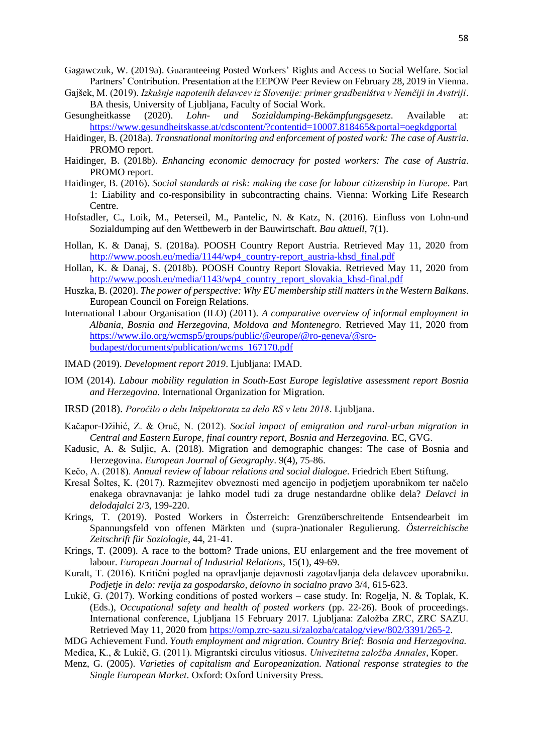- Gagawczuk, W. (2019a). Guaranteeing Posted Workers' Rights and Access to Social Welfare. Social Partners' Contribution. Presentation at the EEPOW Peer Review on February 28, 2019 in Vienna.
- Gajšek, M. (2019). *Izkušnje napotenih delavcev iz Slovenije: primer gradbeništva v Nemčiji in Avstriji*. BA thesis, University of Ljubljana, Faculty of Social Work.
- Gesungheitkasse (2020). *Lohn- und Sozialdumping-Bekämpfungsgesetz*. Available at: <https://www.gesundheitskasse.at/cdscontent/?contentid=10007.818465&portal=oegkdgportal>
- Haidinger, B. (2018a). *Transnational monitoring and enforcement of posted work: The case of Austria*. PROMO report.
- Haidinger, B. (2018b). *Enhancing economic democracy for posted workers: The case of Austria*. PROMO report.
- Haidinger, B. (2016). *Social standards at risk: making the case for labour citizenship in Europe*. Part 1: Liability and co-responsibility in subcontracting chains. Vienna: Working Life Research Centre.
- Hofstadler, C., Loik, M., Peterseil, M., Pantelic, N. & Katz, N. (2016). Einfluss von Lohn-und Sozialdumping auf den Wettbewerb in der Bauwirtschaft. *Bau aktuell*, 7(1).
- Hollan, K. & Danaj, S. (2018a). POOSH Country Report Austria. Retrieved May 11, 2020 from [http://www.poosh.eu/media/1144/wp4\\_country-report\\_austria-khsd\\_final.pdf](http://www.poosh.eu/media/1144/wp4_country-report_austria-khsd_final.pdf)
- Hollan, K. & Danaj, S. (2018b). POOSH Country Report Slovakia. Retrieved May 11, 2020 from [http://www.poosh.eu/media/1143/wp4\\_country\\_report\\_slovakia\\_khsd-final.pdf](http://www.poosh.eu/media/1143/wp4_country_report_slovakia_khsd-final.pdf)
- Huszka, B. (2020). *The power of perspective: Why EU membership still matters in the Western Balkans*. European Council on Foreign Relations.
- International Labour Organisation (ILO) (2011). *A comparative overview of informal employment in Albania, Bosnia and Herzegovina, Moldova and Montenegro.* Retrieved May 11, 2020 from [https://www.ilo.org/wcmsp5/groups/public/@europe/@ro-geneva/@sro](https://www.ilo.org/wcmsp5/groups/public/@europe/@ro-geneva/@sro-budapest/documents/publication/wcms_167170.pdf)[budapest/documents/publication/wcms\\_167170.pdf](https://www.ilo.org/wcmsp5/groups/public/@europe/@ro-geneva/@sro-budapest/documents/publication/wcms_167170.pdf)
- IMAD (2019). *Development report 2019*. Ljubljana: IMAD.
- IOM (2014). *Labour mobility regulation in South-East Europe legislative assessment report Bosnia and Herzegovina*. International Organization for Migration.
- IRSD (2018). *Poročilo o delu Inšpektorata za delo RS v letu 2018*. Ljubljana.
- Kačapor-Džihić, Z. & Oruč, N. (2012). *Social impact of emigration and rural-urban migration in Central and Eastern Europe, final country report, Bosnia and Herzegovina.* EC, GVG.
- Kadusic, A. & Suljic, A. (2018). Migration and demographic changes: The case of Bosnia and Herzegovina. *European Journal of Geography*. 9(4), 75-86.
- Kečo, A. (2018). *Annual review of labour relations and social dialogue*. Friedrich Ebert Stiftung.
- Kresal Šoltes, K. (2017). Razmejitev obveznosti med agencijo in podjetjem uporabnikom ter načelo enakega obravnavanja: je lahko model tudi za druge nestandardne oblike dela? *Delavci in delodajalci* 2/3, 199-220.
- Krings, T. (2019). Posted Workers in Österreich: Grenzüberschreitende Entsendearbeit im Spannungsfeld von offenen Märkten und (supra-)nationaler Regulierung. *Österreichische Zeitschrift für Soziologie*, 44, 21-41.
- Krings, T. (2009). A race to the bottom? Trade unions, EU enlargement and the free movement of labour. *European Journal of Industrial Relations*, 15(1), 49-69.
- Kuralt, T. (2016). Kritični pogled na opravljanje dejavnosti zagotavljanja dela delavcev uporabniku. *Podjetje in delo: revija za gospodarsko, delovno in socialno pravo* 3/4, 615-623.
- Lukič, G. (2017). Working conditions of posted workers case study. In: Rogelja, N. & Toplak, K. (Eds.), *Occupational safety and health of posted workers* (pp. 22-26). Book of proceedings. International conference, Ljubljana 15 February 2017. Ljubljana: Založba ZRC, ZRC SAZU. Retrieved May 11, 2020 from [https://omp.zrc-sazu.si/zalozba/catalog/view/802/3391/265-2.](https://omp.zrc-sazu.si/zalozba/catalog/view/802/3391/265-2)
- MDG Achievement Fund. *Youth employment and migration. Country Brief: Bosnia and Herzegovina.*
- Medica, K., & Lukič, G. (2011). Migrantski circulus vitiosus. *Univezitetna založba Annales*, Koper.
- Menz, G. (2005). *Varieties of capitalism and Europeanization. National response strategies to the Single European Market*. Oxford: Oxford University Press.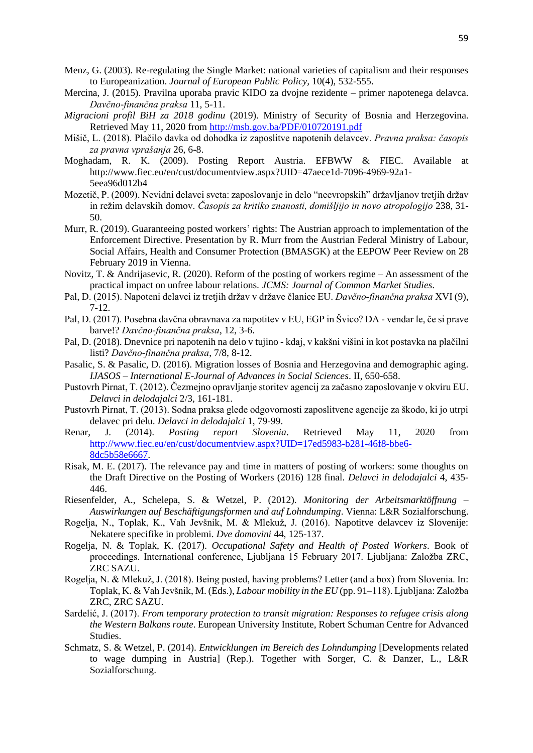- Menz, G. (2003). Re-regulating the Single Market: national varieties of capitalism and their responses to Europeanization. *Journal of European Public Policy,* 10(4), 532-555.
- Mercina, J. (2015). Pravilna uporaba pravic KIDO za dvojne rezidente primer napotenega delavca. *Davčno-finančna praksa* 11, 5-11.
- *Migracioni profil BiH za 2018 godinu* (2019). Ministry of Security of Bosnia and Herzegovina. Retrieved May 11, 2020 from<http://msb.gov.ba/PDF/010720191.pdf>
- Mišič, L. (2018). Plačilo davka od dohodka iz zaposlitve napotenih delavcev. *Pravna praksa: časopis za pravna vprašanja* 26, 6-8.
- Moghadam, R. K. (2009). Posting Report Austria. EFBWW & FIEC. Available at http://www.fiec.eu/en/cust/documentview.aspx?UID=47aece1d-7096-4969-92a1- 5eea96d012b4
- Mozetič, P. (2009). Nevidni delavci sveta: zaposlovanje in delo "neevropskih" državljanov tretjih držav in režim delavskih domov. *Časopis za kritiko znanosti, domišljijo in novo atropologijo* 238, 31- 50.
- Murr, R. (2019). Guaranteeing posted workers' rights: The Austrian approach to implementation of the Enforcement Directive. Presentation by R. Murr from the Austrian Federal Ministry of Labour, Social Affairs, Health and Consumer Protection (BMASGK) at the EEPOW Peer Review on 28 February 2019 in Vienna.
- Novitz, T. & Andrijasevic, R. (2020). Reform of the posting of workers regime An assessment of the practical impact on unfree labour relations. *JCMS: Journal of Common Market Studies*.
- Pal, D. (2015). Napoteni delavci iz tretjih držav v države članice EU. *Davčno-finančna praksa* XVI (9), 7-12.
- Pal, D. (2017). Posebna davčna obravnava za napotitev v EU, EGP in Švico? DA vendar le, če si prave barve!? *Davčno-finančna praksa*, 12, 3-6.
- Pal, D. (2018). Dnevnice pri napotenih na delo v tujino kdaj, v kakšni višini in kot postavka na plačilni listi? *Davčno-finančna praksa*, 7/8, 8-12.
- Pasalic, S. & Pasalic, D. (2016). Migration losses of Bosnia and Herzegovina and demographic aging. *IJASOS – International E-Journal of Advances in Social Sciences*. II, 650-658.
- Pustovrh Pirnat, T. (2012). Čezmejno opravljanje storitev agencij za začasno zaposlovanje v okviru EU. *Delavci in delodajalci* 2/3, 161-181.
- Pustovrh Pirnat, T. (2013). Sodna praksa glede odgovornosti zaposlitvene agencije za škodo, ki jo utrpi delavec pri delu. *Delavci in delodajalci* 1, 79-99.
- Renar, J. (2014). *Posting report Slovenia*. Retrieved May 11, 2020 from [http://www.fiec.eu/en/cust/documentview.aspx?UID=17ed5983-b281-46f8-bbe6-](http://www.fiec.eu/en/cust/documentview.aspx?UID=17ed5983-b281-46f8-bbe6-8dc5b58e6667) [8dc5b58e6667.](http://www.fiec.eu/en/cust/documentview.aspx?UID=17ed5983-b281-46f8-bbe6-8dc5b58e6667)
- Risak, M. E. (2017). The relevance pay and time in matters of posting of workers: some thoughts on the Draft Directive on the Posting of Workers (2016) 128 final. *Delavci in delodajalci* 4, 435- 446.
- Riesenfelder, A., Schelepa, S. & Wetzel, P. (2012). *Monitoring der Arbeitsmarktöffnung – Auswirkungen auf Beschäftigungsformen und auf Lohndumping*. Vienna: L&R Sozialforschung.
- Rogelja, N., Toplak, K., Vah Jevšnik, M. & Mlekuž, J. (2016). Napotitve delavcev iz Slovenije: Nekatere specifike in problemi. *Dve domovini* 44, 125-137.
- Rogelja, N. & Toplak, K. (2017). *Occupational Safety and Health of Posted Workers*. Book of proceedings. International conference, Ljubljana 15 February 2017. Ljubljana: Založba ZRC, ZRC SAZU.
- Rogelja, N. & Mlekuž, J. (2018). Being posted, having problems? Letter (and a box) from Slovenia. In: Toplak, K. & Vah Jevšnik, M. (Eds.), *Labour mobility in the EU* (pp. 91–118). Ljubljana: Založba ZRC, ZRC SAZU.
- Sardelić, J. (2017). *From temporary protection to transit migration: Responses to refugee crisis along the Western Balkans route*. European University Institute, Robert Schuman Centre for Advanced Studies.
- Schmatz, S. & Wetzel, P. (2014). *Entwicklungen im Bereich des Lohndumping* [Developments related to wage dumping in Austria] (Rep.). Together with Sorger, C. & Danzer, L., L&R Sozialforschung.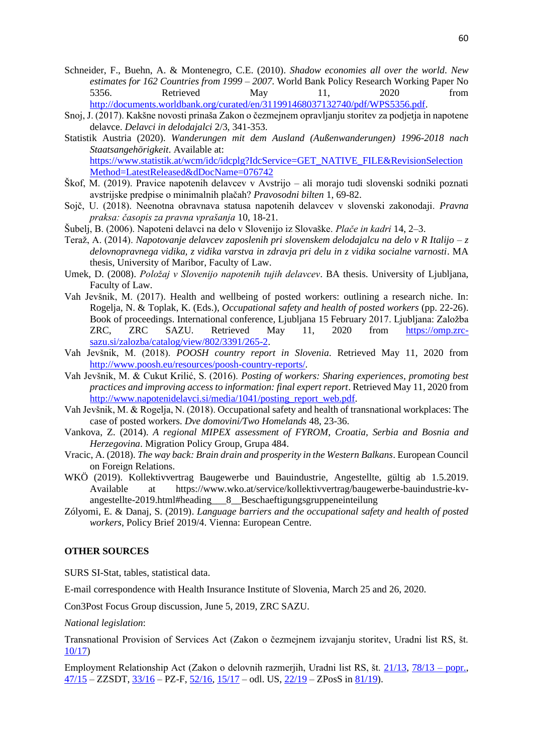- Schneider, F., Buehn, A. & Montenegro, C.E. (2010). *Shadow economies all over the world. New estimates for 162 Countries from 1999 – 2007*. World Bank Policy Research Working Paper No 5356. Retrieved May 11, 2020 from [http://documents.worldbank.org/curated/en/311991468037132740/pdf/WPS5356.pdf.](http://documents.worldbank.org/curated/en/311991468037132740/pdf/WPS5356.pdf)
- Snoj, J. (2017). Kakšne novosti prinaša Zakon o čezmejnem opravljanju storitev za podjetja in napotene delavce. *Delavci in delodajalci* 2/3, 341-353.
- Statistik Austria (2020). *Wanderungen mit dem Ausland (Außenwanderungen) 1996-2018 nach Staatsangehörigkeit*. Available at: [https://www.statistik.at/wcm/idc/idcplg?IdcService=GET\\_NATIVE\\_FILE&RevisionSelection](https://www.statistik.at/wcm/idc/idcplg?IdcService=GET_NATIVE_FILE&RevisionSelectionMethod=LatestReleased&dDocName=076742) [Method=LatestReleased&dDocName=076742](https://www.statistik.at/wcm/idc/idcplg?IdcService=GET_NATIVE_FILE&RevisionSelectionMethod=LatestReleased&dDocName=076742)
- Škof, M. (2019). Pravice napotenih delavcev v Avstrijo ali morajo tudi slovenski sodniki poznati avstrijske predpise o minimalnih plačah? *Pravosodni bilten* 1, 69-82.
- Sojč, U. (2018). Neenotna obravnava statusa napotenih delavcev v slovenski zakonodaji. *Pravna praksa: časopis za pravna vprašanja* 10, 18-21.
- Šubelj, B. (2006). Napoteni delavci na delo v Slovenijo iz Slovaške. *Plače in kadri* 14, 2–3.
- Teraž, A. (2014). *Napotovanje delavcev zaposlenih pri slovenskem delodajalcu na delo v R Italijo – z delovnopravnega vidika, z vidika varstva in zdravja pri delu in z vidika socialne varnosti*. MA thesis, University of Maribor, Faculty of Law.
- Umek, D. (2008). *Položaj v Slovenijo napotenih tujih delavcev*. BA thesis. University of Ljubljana, Faculty of Law.
- Vah Jevšnik, M. (2017). Health and wellbeing of posted workers: outlining a research niche. In: Rogelja, N. & Toplak, K. (Eds.), *Occupational safety and health of posted workers* (pp. 22-26). Book of proceedings. International conference, Ljubljana 15 February 2017. Ljubljana: Založba ZRC, ZRC SAZU. Retrieved May 11, 2020 from [https://omp.zrc](https://omp.zrc-sazu.si/zalozba/catalog/view/802/3391/265-2)[sazu.si/zalozba/catalog/view/802/3391/265-2.](https://omp.zrc-sazu.si/zalozba/catalog/view/802/3391/265-2)
- Vah Jevšnik, M. (2018). *POOSH country report in Slovenia*. Retrieved May 11, 2020 from [http://www.poosh.eu/resources/poosh-country-reports/.](http://www.poosh.eu/resources/poosh-country-reports/)
- Vah Jevšnik, M. & Cukut Krilić, S. (2016). *Posting of workers: Sharing experiences, promoting best practices and improving access to information: final expert report*. Retrieved May 11, 2020 from [http://www.napotenidelavci.si/media/1041/posting\\_report\\_web.pdf.](http://www.napotenidelavci.si/media/1041/posting_report_web.pdf)
- Vah Jevšnik, M. & Rogelja, N. (2018). Occupational safety and health of transnational workplaces: The case of posted workers. *Dve domovini/Two Homelands* 48, 23-36.
- Vankova, Z. (2014). *A regional MIPEX assessment of FYROM, Croatia, Serbia and Bosnia and Herzegovina*. Migration Policy Group, Grupa 484.
- Vracic, A. (2018). *The way back: Brain drain and prosperity in the Western Balkans*. European Council on Foreign Relations.
- WKÖ (2019). Kollektivvertrag Baugewerbe und Bauindustrie, Angestellte, gültig ab 1.5.2019. Available at https://www.wko.at/service/kollektivvertrag/baugewerbe-bauindustrie-kvangestellte-2019.html#heading\_\_\_8\_\_Beschaeftigungsgruppeneinteilung
- Zólyomi, E. & Danaj, S. (2019). *Language barriers and the occupational safety and health of posted workers*, Policy Brief 2019/4. Vienna: European Centre.

#### **OTHER SOURCES**

SURS SI-Stat, tables, statistical data.

E-mail correspondence with Health Insurance Institute of Slovenia, March 25 and 26, 2020.

Con3Post Focus Group discussion, June 5, 2019, ZRC SAZU.

*National legislation*:

Transnational Provision of Services Act (Zakon o čezmejnem izvajanju storitev, Uradni list RS, št. [10/17\)](http://www.uradni-list.si/1/objava.jsp?sop=2017-01-0461)

Employment Relationship Act (Zakon o delovnih razmerjih, Uradni list RS, št. [21/13,](http://www.uradni-list.si/1/objava.jsp?sop=2013-01-0784) [78/13 –](http://www.uradni-list.si/1/objava.jsp?sop=2013-21-2826) popr.,  $\frac{47}{15}$  – ZZSDT,  $\frac{33}{16}$  – PZ-F,  $\frac{52}{16}$ ,  $\frac{15}{17}$  – odl. US,  $\frac{22}{19}$  – ZPosS in  $\frac{81}{19}$ ).